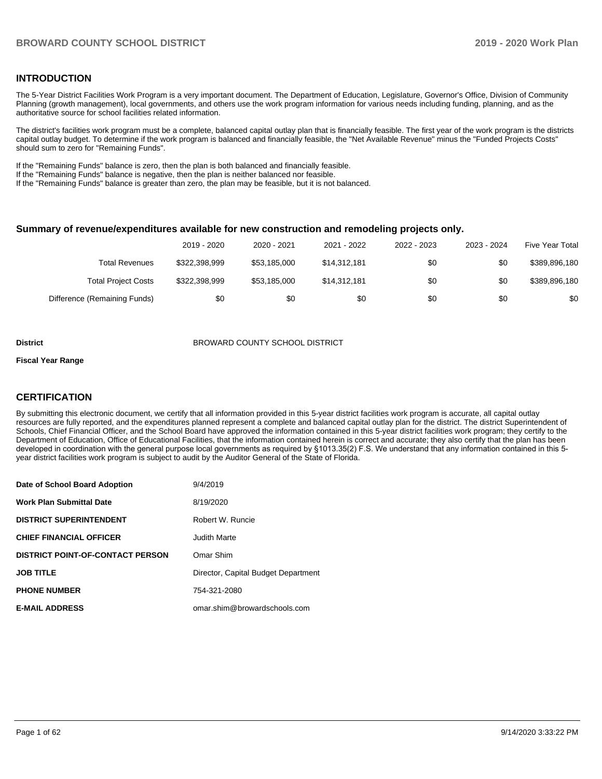### **INTRODUCTION**

The 5-Year District Facilities Work Program is a very important document. The Department of Education, Legislature, Governor's Office, Division of Community Planning (growth management), local governments, and others use the work program information for various needs including funding, planning, and as the authoritative source for school facilities related information.

The district's facilities work program must be a complete, balanced capital outlay plan that is financially feasible. The first year of the work program is the districts capital outlay budget. To determine if the work program is balanced and financially feasible, the "Net Available Revenue" minus the "Funded Projects Costs" should sum to zero for "Remaining Funds".

If the "Remaining Funds" balance is zero, then the plan is both balanced and financially feasible.

If the "Remaining Funds" balance is negative, then the plan is neither balanced nor feasible.

If the "Remaining Funds" balance is greater than zero, the plan may be feasible, but it is not balanced.

#### **Summary of revenue/expenditures available for new construction and remodeling projects only.**

| <b>Five Year Total</b> | 2023 - 2024 | 2022 - 2023 | 2021 - 2022  | 2020 - 2021  | 2019 - 2020   |                              |
|------------------------|-------------|-------------|--------------|--------------|---------------|------------------------------|
| \$389,896,180          | \$0         | \$0         | \$14.312.181 | \$53,185,000 | \$322.398.999 | Total Revenues               |
| \$389,896,180          | \$0         | \$0         | \$14,312,181 | \$53,185,000 | \$322,398,999 | <b>Total Project Costs</b>   |
| \$0                    | \$0         | \$0         | \$0          | \$0          | \$0           | Difference (Remaining Funds) |

#### **District** BROWARD COUNTY SCHOOL DISTRICT

#### **Fiscal Year Range**

## **CERTIFICATION**

By submitting this electronic document, we certify that all information provided in this 5-year district facilities work program is accurate, all capital outlay resources are fully reported, and the expenditures planned represent a complete and balanced capital outlay plan for the district. The district Superintendent of Schools, Chief Financial Officer, and the School Board have approved the information contained in this 5-year district facilities work program; they certify to the Department of Education, Office of Educational Facilities, that the information contained herein is correct and accurate; they also certify that the plan has been developed in coordination with the general purpose local governments as required by §1013.35(2) F.S. We understand that any information contained in this 5 year district facilities work program is subject to audit by the Auditor General of the State of Florida.

| Date of School Board Adoption           | 9/4/2019                            |
|-----------------------------------------|-------------------------------------|
| <b>Work Plan Submittal Date</b>         | 8/19/2020                           |
| <b>DISTRICT SUPERINTENDENT</b>          | Robert W. Runcie                    |
| <b>CHIEF FINANCIAL OFFICER</b>          | Judith Marte                        |
| <b>DISTRICT POINT-OF-CONTACT PERSON</b> | Omar Shim                           |
| <b>JOB TITLE</b>                        | Director, Capital Budget Department |
| <b>PHONE NUMBER</b>                     | 754-321-2080                        |
| <b>E-MAIL ADDRESS</b>                   | omar.shim@browardschools.com        |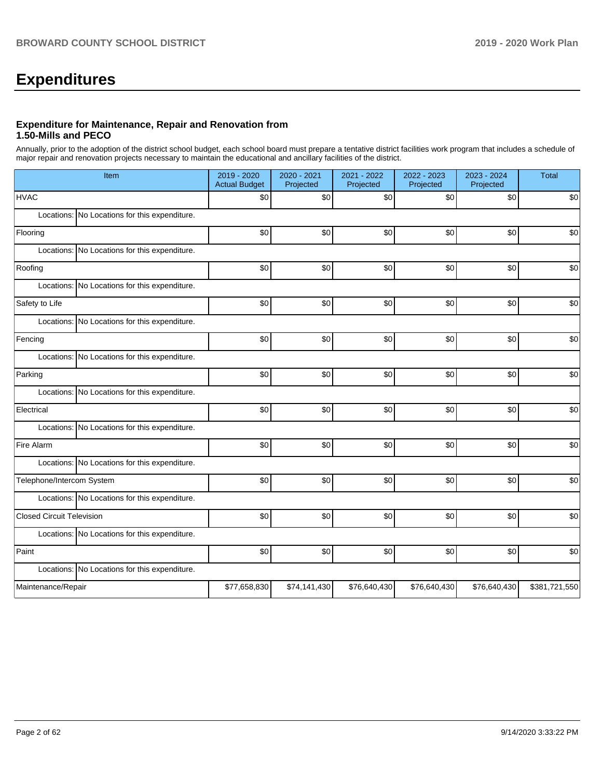# **Expenditures**

### **Expenditure for Maintenance, Repair and Renovation from 1.50-Mills and PECO**

Annually, prior to the adoption of the district school budget, each school board must prepare a tentative district facilities work program that includes a schedule of major repair and renovation projects necessary to maintain the educational and ancillary facilities of the district.

| Item                                          | 2019 - 2020<br><b>Actual Budget</b> | 2020 - 2021<br>Projected | 2021 - 2022<br>Projected | 2022 - 2023<br>Projected | 2023 - 2024<br>Projected | <b>Total</b>  |
|-----------------------------------------------|-------------------------------------|--------------------------|--------------------------|--------------------------|--------------------------|---------------|
| <b>HVAC</b>                                   | \$0                                 | \$0                      | \$0                      | \$0                      | \$0                      | \$0           |
| Locations: No Locations for this expenditure. |                                     |                          |                          |                          |                          |               |
| Flooring                                      | \$0                                 | \$0                      | \$0                      | \$0                      | \$0                      | \$0           |
| Locations: No Locations for this expenditure. |                                     |                          |                          |                          |                          |               |
| Roofing                                       | \$0                                 | \$0                      | \$0                      | \$0                      | \$0                      | \$0           |
| Locations: No Locations for this expenditure. |                                     |                          |                          |                          |                          |               |
| Safety to Life                                | \$0                                 | \$0                      | \$0                      | \$0                      | \$0                      | \$0           |
| Locations: No Locations for this expenditure. |                                     |                          |                          |                          |                          |               |
| Fencing                                       | \$0                                 | \$0                      | \$0                      | \$0                      | \$0                      | \$0           |
| Locations: No Locations for this expenditure. |                                     |                          |                          |                          |                          |               |
| Parking                                       | \$0                                 | \$0                      | \$0                      | \$0                      | \$0                      | \$0           |
| Locations: No Locations for this expenditure. |                                     |                          |                          |                          |                          |               |
| Electrical                                    | \$0                                 | \$0                      | \$0                      | \$0                      | \$0                      | \$0           |
| Locations: No Locations for this expenditure. |                                     |                          |                          |                          |                          |               |
| Fire Alarm                                    | \$0                                 | \$0                      | \$0                      | \$0                      | \$0                      | \$0           |
| Locations: No Locations for this expenditure. |                                     |                          |                          |                          |                          |               |
| Telephone/Intercom System                     | \$0                                 | \$0                      | \$0                      | \$0                      | \$0                      | \$0           |
| Locations: No Locations for this expenditure. |                                     |                          |                          |                          |                          |               |
| <b>Closed Circuit Television</b>              | \$0                                 | \$0                      | \$0                      | \$0                      | \$0                      | \$0           |
| Locations: No Locations for this expenditure. |                                     |                          |                          |                          |                          |               |
| Paint                                         | \$0                                 | \$0                      | \$0                      | \$0                      | \$0                      | \$0           |
| Locations: No Locations for this expenditure. |                                     |                          |                          |                          |                          |               |
| Maintenance/Repair                            | \$77,658,830                        | \$74,141,430             | \$76,640,430             | \$76,640,430             | \$76,640,430             | \$381,721,550 |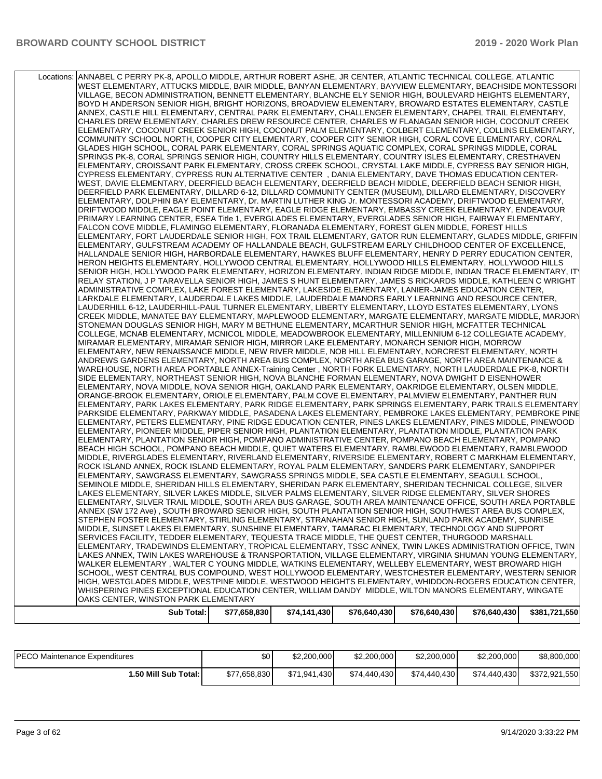| Locations: ANNABEL C PERRY PK-8, APOLLO MIDDLE, ARTHUR ROBERT ASHE, JR CENTER, ATLANTIC TECHNICAL COLLEGE, ATLANTIC |
|---------------------------------------------------------------------------------------------------------------------|
| WEST ELEMENTARY, ATTUCKS MIDDLE, BAIR MIDDLE, BANYAN ELEMENTARY, BAYVIEW ELEMENTARY, BEACHSIDE MONTESSORI           |
|                                                                                                                     |
| VILLAGE, BECON ADMINISTRATION, BENNETT ELEMENTARY, BLANCHE ELY SENIOR HIGH, BOULEVARD HEIGHTS ELEMENTARY,           |
| BOYD H ANDERSON SENIOR HIGH, BRIGHT HORIZONS, BROADVIEW ELEMENTARY, BROWARD ESTATES ELEMENTARY, CASTLE              |
| ANNEX, CASTLE HILL ELEMENTARY, CENTRAL PARK ELEMENTARY, CHALLENGER ELEMENTARY, CHAPEL TRAIL ELEMENTARY,             |
|                                                                                                                     |
| CHARLES DREW ELEMENTARY, CHARLES DREW RESOURCE CENTER, CHARLES W FLANAGAN SENIOR HIGH, COCONUT CREEK                |
| ELEMENTARY, COCONUT CREEK SENIOR HIGH, COCONUT PALM ELEMENTARY, COLBERT ELEMENTARY, COLLINS ELEMENTARY,             |
| COMMUNITY SCHOOL NORTH, COOPER CITY ELEMENTARY, COOPER CITY SENIOR HIGH, CORAL COVE ELEMENTARY, CORAL               |
| GLADES HIGH SCHOOL, CORAL PARK ELEMENTARY, CORAL SPRINGS AQUATIC COMPLEX, CORAL SPRINGS MIDDLE, CORAL               |
|                                                                                                                     |
| SPRINGS PK-8, CORAL SPRINGS SENIOR HIGH, COUNTRY HILLS ELEMENTARY, COUNTRY ISLES ELEMENTARY, CRESTHAVEN             |
| ELEMENTARY, CROISSANT PARK ELEMENTARY, CROSS CREEK SCHOOL, CRYSTAL LAKE MIDDLE, CYPRESS BAY SENIOR HIGH,            |
| CYPRESS ELEMENTARY, CYPRESS RUN ALTERNATIVE CENTER, DANIA ELEMENTARY, DAVE THOMAS EDUCATION CENTER-                 |
| WEST, DAVIE ELEMENTARY, DEERFIELD BEACH ELEMENTARY, DEERFIELD BEACH MIDDLE, DEERFIELD BEACH SENIOR HIGH,            |
|                                                                                                                     |
| DEERFIELD PARK ELEMENTARY, DILLARD 6-12, DILLARD COMMUNITY CENTER (MUSEUM), DILLARD ELEMENTARY, DISCOVERY           |
| ELEMENTARY, DOLPHIN BAY ELEMENTARY, Dr. MARTIN LUTHER KING Jr. MONTESSORI ACADEMY, DRIFTWOOD ELEMENTARY,            |
| DRIFTWOOD MIDDLE, EAGLE POINT ELEMENTARY, EAGLE RIDGE ELEMENTARY, EMBASSY CREEK ELEMENTARY, ENDEAVOUR               |
| PRIMARY LEARNING CENTER, ESEA Title 1, EVERGLADES ELEMENTARY, EVERGLADES SENIOR HIGH, FAIRWAY ELEMENTARY,           |
|                                                                                                                     |
| FALCON COVE MIDDLE, FLAMINGO ELEMENTARY, FLORANADA ELEMENTARY, FOREST GLEN MIDDLE, FOREST HILLS                     |
| ELEMENTARY, FORT LAUDERDALE SENIOR HIGH, FOX TRAIL ELEMENTARY, GATOR RUN ELEMENTARY, GLADES MIDDLE, GRIFFIN         |
| ELEMENTARY, GULFSTREAM ACADEMY OF HALLANDALE BEACH, GULFSTREAM EARLY CHILDHOOD CENTER OF EXCELLENCE,                |
| HALLANDALE SENIOR HIGH, HARBORDALE ELEMENTARY, HAWKES BLUFF ELEMENTARY, HENRY D PERRY EDUCATION CENTER,             |
|                                                                                                                     |
| HERON HEIGHTS ELEMENTARY, HOLLYWOOD CENTRAL ELEMENTARY, HOLLYWOOD HILLS ELEMENTARY, HOLLYWOOD HILLS                 |
| SENIOR HIGH, HOLLYWOOD PARK ELEMENTARY, HORIZON ELEMENTARY, INDIAN RIDGE MIDDLE, INDIAN TRACE ELEMENTARY, IT        |
| RELAY STATION, J P TARAVELLA SENIOR HIGH, JAMES S HUNT ELEMENTARY, JAMES S RICKARDS MIDDLE, KATHLEEN C WRIGHT       |
| ADMINISTRATIVE COMPLEX, LAKE FOREST ELEMENTARY, LAKESIDE ELEMENTARY, LANIER-JAMES EDUCATION CENTER,                 |
|                                                                                                                     |
| LARKDALE ELEMENTARY, LAUDERDALE LAKES MIDDLE, LAUDERDALE MANORS EARLY LEARNING AND RESOURCE CENTER,                 |
| LAUDERHILL 6-12, LAUDERHILL-PAUL TURNER ELEMENTARY, LIBERTY ELEMENTARY, LLOYD ESTATES ELEMENTARY, LYONS             |
| CREEK MIDDLE, MANATEE BAY ELEMENTARY, MAPLEWOOD ELEMENTARY, MARGATE ELEMENTARY, MARGATE MIDDLE, MARJORY             |
| STONEMAN DOUGLAS SENIOR HIGH, MARY M BETHUNE ELEMENTARY, MCARTHUR SENIOR HIGH, MCFATTER TECHNICAL                   |
| COLLEGE, MCNAB ELEMENTARY, MCNICOL MIDDLE, MEADOWBROOK ELEMENTARY, MILLENNIUM 6-12 COLLEGIATE ACADEMY,              |
|                                                                                                                     |
| MIRAMAR ELEMENTARY, MIRAMAR SENIOR HIGH, MIRROR LAKE ELEMENTARY, MONARCH SENIOR HIGH, MORROW                        |
| ELEMENTARY, NEW RENAISSANCE MIDDLE, NEW RIVER MIDDLE, NOB HILL ELEMENTARY, NORCREST ELEMENTARY, NORTH               |
| ANDREWS GARDENS ELEMENTARY, NORTH AREA BUS COMPLEX, NORTH AREA BUS GARAGE, NORTH AREA MAINTENANCE &                 |
| WAREHOUSE, NORTH AREA PORTABLE ANNEX-Training Center, NORTH FORK ELEMENTARY, NORTH LAUDERDALE PK-8, NORTH           |
|                                                                                                                     |
| SIDE ELEMENTARY, NORTHEAST SENIOR HIGH, NOVA BLANCHE FORMAN ELEMENTARY, NOVA DWIGHT D EISENHOWER                    |
| ELEMENTARY, NOVA MIDDLE, NOVA SENIOR HIGH, OAKLAND PARK ELEMENTARY, OAKRIDGE ELEMENTARY, OLSEN MIDDLE,              |
| ORANGE-BROOK ELEMENTARY, ORIOLE ELEMENTARY, PALM COVE ELEMENTARY, PALMVIEW ELEMENTARY, PANTHER RUN                  |
| ELEMENTARY, PARK LAKES ELEMENTARY, PARK RIDGE ELEMENTARY, PARK SPRINGS ELEMENTARY, PARK TRAILS ELEMENTARY           |
|                                                                                                                     |
| PARKSIDE ELEMENTARY, PARKWAY MIDDLE, PASADENA LAKES ELEMENTARY, PEMBROKE LAKES ELEMENTARY, PEMBROKE PINE            |
| ELEMENTARY, PETERS ELEMENTARY, PINE RIDGE EDUCATION CENTER, PINES LAKES ELEMENTARY, PINES MIDDLE, PINEWOOD          |
| ELEMENTARY, PIONEER MIDDLE, PIPER SENIOR HIGH, PLANTATION ELEMENTARY, PLANTATION MIDDLE, PLANTATION PARK            |
| ELEMENTARY, PLANTATION SENIOR HIGH, POMPANO ADMINISTRATIVE CENTER, POMPANO BEACH ELEMENTARY, POMPANO                |
|                                                                                                                     |
| BEACH HIGH SCHOOL, POMPANO BEACH MIDDLE, QUIET WATERS ELEMENTARY, RAMBLEWOOD ELEMENTARY, RAMBLEWOOD                 |
| MIDDLE, RIVERGLADES ELEMENTARY, RIVERLAND ELEMENTARY, RIVERSIDE ELEMENTARY, ROBERT C MARKHAM ELEMENTARY,            |
| ROCK ISLAND ANNEX, ROCK ISLAND ELEMENTARY, ROYAL PALM ELEMENTARY, SANDERS PARK ELEMENTARY, SANDPIPER                |
| ELEMENTARY, SAWGRASS ELEMENTARY, SAWGRASS SPRINGS MIDDLE, SEA CASTLE ELEMENTARY, SEAGULL SCHOOL,                    |
| SEMINOLE MIDDLE, SHERIDAN HILLS ELEMENTARY, SHERIDAN PARK ELEMENTARY, SHERIDAN TECHNICAL COLLEGE, SILVER            |
|                                                                                                                     |
| LAKES ELEMENTARY, SILVER LAKES MIDDLE, SILVER PALMS ELEMENTARY, SILVER RIDGE ELEMENTARY, SILVER SHORES              |
| ELEMENTARY, SILVER TRAIL MIDDLE, SOUTH AREA BUS GARAGE, SOUTH AREA MAINTENANCE OFFICE, SOUTH AREA PORTABLE          |
| ANNEX (SW 172 Ave), SOUTH BROWARD SENIOR HIGH, SOUTH PLANTATION SENIOR HIGH, SOUTHWEST AREA BUS COMPLEX,            |
| STEPHEN FOSTER ELEMENTARY, STIRLING ELEMENTARY, STRANAHAN SENIOR HIGH, SUNLAND PARK ACADEMY, SUNRISE                |
| MIDDLE, SUNSET LAKES ELEMENTARY, SUNSHINE ELEMENTARY, TAMARAC ELEMENTARY, TECHNOLOGY AND SUPPORT                    |
|                                                                                                                     |
| SERVICES FACILITY, TEDDER ELEMENTARY, TEQUESTA TRACE MIDDLE, THE QUEST CENTER, THURGOOD MARSHALL                    |
| ELEMENTARY, TRADEWINDS ELEMENTARY, TROPICAL ELEMENTARY, TSSC ANNEX, TWIN LAKES ADMINISTRATION OFFICE, TWIN          |
| LAKES ANNEX, TWIN LAKES WAREHOUSE & TRANSPORTATION, VILLAGE ELEMENTARY, VIRGINIA SHUMAN YOUNG ELEMENTARY,           |
| WALKER ELEMENTARY, WALTER C YOUNG MIDDLE, WATKINS ELEMENTARY, WELLEBY ELEMENTARY, WEST BROWARD HIGH                 |
| SCHOOL. WEST CENTRAL BUS COMPOUND, WEST HOLLYWOOD ELEMENTARY, WESTCHESTER ELEMENTARY, WESTERN SENIOR                |
|                                                                                                                     |
| HIGH, WESTGLADES MIDDLE, WESTPINE MIDDLE, WESTWOOD HEIGHTS ELEMENTARY, WHIDDON-ROGERS EDUCATION CENTER.             |
| WHISPERING PINES EXCEPTIONAL EDUCATION CENTER, WILLIAM DANDY MIDDLE, WILTON MANORS ELEMENTARY, WINGATE              |
| OAKS CENTER, WINSTON PARK ELEMENTARY                                                                                |
|                                                                                                                     |
| Sub Total:<br>$$77,658,830$ $$74,141,430$<br>\$76,640,430<br>\$76,640,430<br>$$76,640,430$ $$381,721,550$           |

| Sub Total: | \$77,658,830 | \$74.141.430 | \$76,640,430 | \$76,640,430 | \$76.640.430 | \$381,721,550 |
|------------|--------------|--------------|--------------|--------------|--------------|---------------|
|            |              |              |              |              |              |               |

| <b>PECO Maintenance Expenditures</b> | \$0          | \$2,200,000  | \$2,200,000  | \$2,200,000  | \$2,200,000  | \$8,800,000   |
|--------------------------------------|--------------|--------------|--------------|--------------|--------------|---------------|
| 1.50 Mill Sub Total:                 | \$77,658,830 | \$71,941,430 | \$74,440,430 | \$74,440,430 | \$74,440,430 | \$372,921,550 |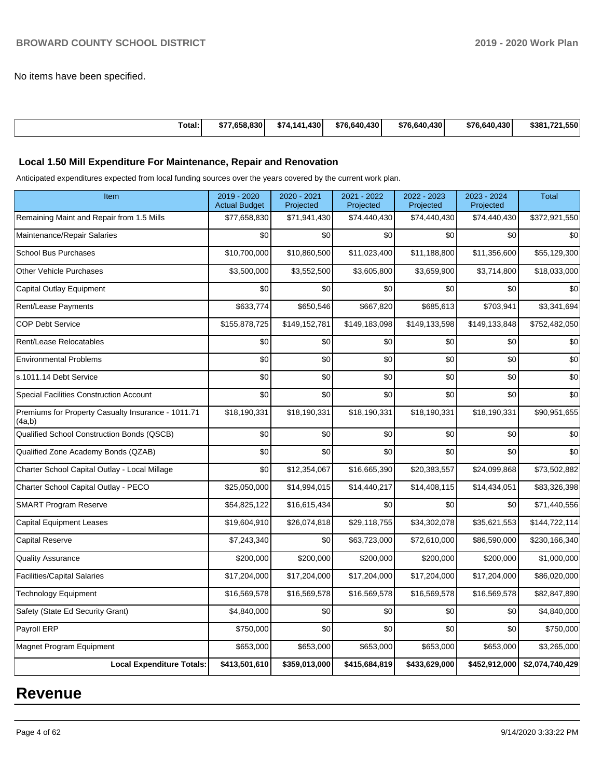No items have been specified.

| Total: | 7.658.830<br>æ. | ا 430. ت<br>\$74.141 | \$76,640,430 | \$76,640,430 | \$76,640,430 | . .550'<br>\$381.721 |
|--------|-----------------|----------------------|--------------|--------------|--------------|----------------------|

## **Local 1.50 Mill Expenditure For Maintenance, Repair and Renovation**

Anticipated expenditures expected from local funding sources over the years covered by the current work plan.

| Item                                                         | 2019 - 2020<br><b>Actual Budget</b> | 2020 - 2021<br>Projected | 2021 - 2022<br>Projected | 2022 - 2023<br>Projected | 2023 - 2024<br>Projected | <b>Total</b>    |
|--------------------------------------------------------------|-------------------------------------|--------------------------|--------------------------|--------------------------|--------------------------|-----------------|
| Remaining Maint and Repair from 1.5 Mills                    | \$77,658,830                        | \$71,941,430             | \$74,440,430             | \$74,440,430             | \$74,440,430             | \$372,921,550   |
| Maintenance/Repair Salaries                                  | \$0                                 | \$0                      | \$0                      | \$0                      | \$0                      | \$0             |
| <b>School Bus Purchases</b>                                  | \$10,700,000                        | \$10,860,500             | \$11,023,400             | \$11,188,800             | \$11,356,600             | \$55,129,300    |
| <b>Other Vehicle Purchases</b>                               | \$3,500,000                         | \$3,552,500              | \$3,605,800              | \$3,659,900              | \$3,714,800              | \$18,033,000    |
| Capital Outlay Equipment                                     | \$0                                 | \$0                      | \$0                      | \$0                      | \$0                      | \$0             |
| Rent/Lease Payments                                          | \$633,774                           | \$650,546                | \$667,820                | \$685,613                | \$703,941                | \$3,341,694     |
| <b>COP Debt Service</b>                                      | \$155,878,725                       | \$149,152,781            | \$149,183,098            | \$149,133,598            | \$149,133,848            | \$752,482,050   |
| Rent/Lease Relocatables                                      | \$0                                 | \$0                      | \$0                      | \$0                      | \$0                      | \$0             |
| <b>Environmental Problems</b>                                | \$0                                 | \$0                      | \$0                      | \$0                      | \$0                      | \$0             |
| s.1011.14 Debt Service                                       | \$0                                 | \$0                      | \$0                      | \$0                      | \$0                      | \$0             |
| <b>Special Facilities Construction Account</b>               | \$0                                 | \$0                      | \$0                      | \$0                      | \$0                      | \$0             |
| Premiums for Property Casualty Insurance - 1011.71<br>(4a,b) | \$18,190,331                        | \$18,190,331             | \$18,190,331             | \$18,190,331             | \$18,190,331             | \$90,951,655    |
| Qualified School Construction Bonds (QSCB)                   | \$0                                 | \$0                      | \$0                      | \$0                      | \$0                      | \$0             |
| Qualified Zone Academy Bonds (QZAB)                          | \$0                                 | \$0                      | \$0                      | \$0                      | \$0                      | \$0             |
| Charter School Capital Outlay - Local Millage                | \$0                                 | \$12,354,067             | \$16,665,390             | \$20,383,557             | \$24,099,868             | \$73,502,882    |
| Charter School Capital Outlay - PECO                         | \$25,050,000                        | \$14,994,015             | \$14,440,217             | \$14,408,115             | \$14,434,051             | \$83,326,398    |
| <b>SMART Program Reserve</b>                                 | \$54,825,122                        | \$16,615,434             | \$0                      | \$0                      | \$0                      | \$71,440,556    |
| <b>Capital Equipment Leases</b>                              | \$19,604,910                        | \$26,074,818             | \$29,118,755             | \$34,302,078             | \$35,621,553             | \$144,722,114   |
| <b>Capital Reserve</b>                                       | \$7,243,340                         | \$0                      | \$63,723,000             | \$72,610,000             | \$86,590,000             | \$230,166,340   |
| <b>Quality Assurance</b>                                     | \$200,000                           | \$200,000                | \$200,000                | \$200,000                | \$200,000                | \$1,000,000     |
| <b>Facilities/Capital Salaries</b>                           | \$17,204,000                        | \$17,204,000             | \$17,204,000             | \$17,204,000             | \$17,204,000             | \$86,020,000    |
| <b>Technology Equipment</b>                                  | \$16,569,578                        | \$16,569,578             | \$16,569,578             | \$16,569,578             | \$16,569,578             | \$82,847,890    |
| Safety (State Ed Security Grant)                             | \$4,840,000                         | \$0                      | \$0                      | \$0                      | \$0                      | \$4,840,000     |
| Payroll ERP                                                  | \$750,000                           | \$0                      | \$0                      | \$0                      | \$0                      | \$750,000       |
| Magnet Program Equipment                                     | \$653,000                           | \$653,000                | \$653,000                | \$653,000                | \$653,000                | \$3,265,000     |
| <b>Local Expenditure Totals:</b>                             | \$413,501,610                       | \$359,013,000            | \$415,684,819            | \$433,629,000            | \$452,912,000            | \$2,074,740,429 |

# **Revenue**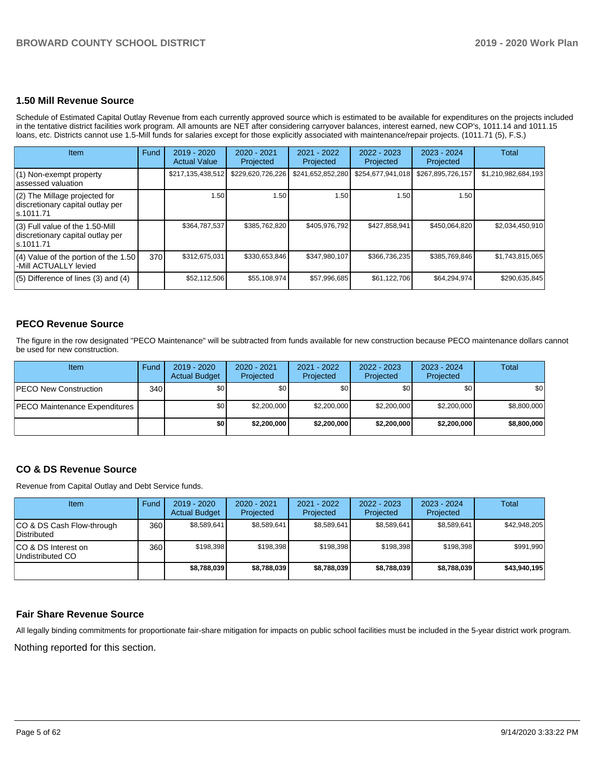#### **1.50 Mill Revenue Source**

Schedule of Estimated Capital Outlay Revenue from each currently approved source which is estimated to be available for expenditures on the projects included in the tentative district facilities work program. All amounts are NET after considering carryover balances, interest earned, new COP's, 1011.14 and 1011.15 loans, etc. Districts cannot use 1.5-Mill funds for salaries except for those explicitly associated with maintenance/repair projects. (1011.71 (5), F.S.)

| Item                                                                                | <b>Fund</b> | $2019 - 2020$<br><b>Actual Value</b> | $2020 - 2021$<br>Projected | 2021 - 2022<br>Projected | $2022 - 2023$<br>Projected | $2023 - 2024$<br>Projected | Total               |
|-------------------------------------------------------------------------------------|-------------|--------------------------------------|----------------------------|--------------------------|----------------------------|----------------------------|---------------------|
| $(1)$ Non-exempt property<br>lassessed valuation                                    |             | \$217,135,438,512                    | \$229,620,726,226          | \$241,652,852,280        | \$254,677,941,018          | \$267,895,726,157          | \$1,210,982,684,193 |
| $(2)$ The Millage projected for<br>discretionary capital outlay per<br>ls.1011.71   |             | 1.50                                 | 1.50                       | 1.50                     | 1.50                       | 1.50                       |                     |
| $(3)$ Full value of the 1.50-Mill<br>discretionary capital outlay per<br>ls.1011.71 |             | \$364,787,537                        | \$385,762,820              | \$405,976,792            | \$427,858,941              | \$450,064,820              | \$2,034,450,910     |
| $(4)$ Value of the portion of the 1.50<br>-Mill ACTUALLY levied                     | 370         | \$312,675,031                        | \$330,653,846              | \$347,980,107            | \$366,736,235              | \$385,769,846              | \$1,743,815,065     |
| $(5)$ Difference of lines $(3)$ and $(4)$                                           |             | \$52,112,506                         | \$55,108,974               | \$57,996,685             | \$61,122,706               | \$64,294,974               | \$290,635,845       |

## **PECO Revenue Source**

The figure in the row designated "PECO Maintenance" will be subtracted from funds available for new construction because PECO maintenance dollars cannot be used for new construction.

| Item                           | Fund | $2019 - 2020$<br><b>Actual Budget</b> | 2020 - 2021<br>Projected | 2021 - 2022<br>Projected | 2022 - 2023<br>Projected | $2023 - 2024$<br>Projected | Total            |
|--------------------------------|------|---------------------------------------|--------------------------|--------------------------|--------------------------|----------------------------|------------------|
| <b>PECO New Construction</b>   | 340  | \$0                                   | \$0                      | \$0                      | \$0                      | \$0                        | \$0 <sub>1</sub> |
| IPECO Maintenance Expenditures |      | ا S0                                  | \$2,200,000              | \$2,200,000              | \$2,200,000              | \$2,200,000                | \$8,800,000      |
|                                |      | \$0                                   | \$2,200,000              | \$2,200,000              | \$2,200,000              | \$2,200,000                | \$8,800,000      |

## **CO & DS Revenue Source**

Revenue from Capital Outlay and Debt Service funds.

| Item                                      | Fund | $2019 - 2020$<br><b>Actual Budget</b> | $2020 - 2021$<br>Projected | 2021 - 2022<br>Projected | $2022 - 2023$<br><b>Projected</b> | $2023 - 2024$<br>Projected | Total        |
|-------------------------------------------|------|---------------------------------------|----------------------------|--------------------------|-----------------------------------|----------------------------|--------------|
| ICO & DS Cash Flow-through<br>Distributed | 360  | \$8,589,641                           | \$8,589,641                | \$8,589,641              | \$8,589,641                       | \$8,589,641                | \$42,948,205 |
| ICO & DS Interest on<br>Undistributed CO  | 360  | \$198.398                             | \$198.398                  | \$198.398                | \$198.398                         | \$198.398                  | \$991,990    |
|                                           |      | \$8,788,039                           | \$8,788,039                | \$8,788,039              | \$8,788,039                       | \$8,788,039                | \$43,940,195 |

#### **Fair Share Revenue Source**

All legally binding commitments for proportionate fair-share mitigation for impacts on public school facilities must be included in the 5-year district work program.

Nothing reported for this section.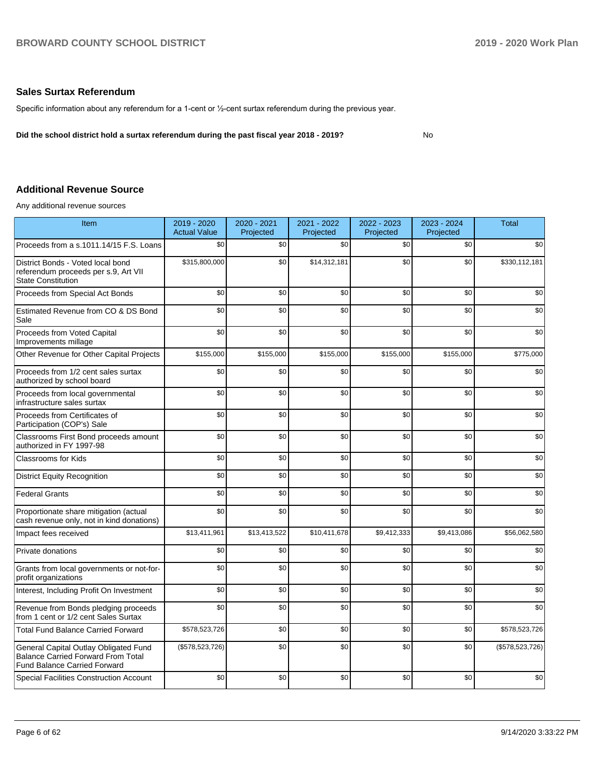## **Sales Surtax Referendum**

Specific information about any referendum for a 1-cent or ½-cent surtax referendum during the previous year.

**Did the school district hold a surtax referendum during the past fiscal year 2018 - 2019?**

No

## **Additional Revenue Source**

Any additional revenue sources

| Item                                                                                                                      | 2019 - 2020<br><b>Actual Value</b> | 2020 - 2021<br>Projected | 2021 - 2022<br>Projected | 2022 - 2023<br>Projected | 2023 - 2024<br>Projected | <b>Total</b>    |
|---------------------------------------------------------------------------------------------------------------------------|------------------------------------|--------------------------|--------------------------|--------------------------|--------------------------|-----------------|
| Proceeds from a s.1011.14/15 F.S. Loans                                                                                   | \$0                                | \$0                      | \$0                      | \$0                      | \$0                      | \$0             |
| District Bonds - Voted local bond<br>referendum proceeds per s.9, Art VII<br><b>State Constitution</b>                    | \$315,800,000                      | \$0                      | \$14,312,181             | \$0                      | \$0                      | \$330,112,181   |
| Proceeds from Special Act Bonds                                                                                           | \$0                                | \$0                      | \$0                      | \$0                      | \$0                      | \$0             |
| Estimated Revenue from CO & DS Bond<br>Sale                                                                               | \$0                                | \$0                      | \$0                      | \$0                      | \$0                      | \$0             |
| Proceeds from Voted Capital<br>Improvements millage                                                                       | \$0                                | \$0                      | \$0                      | \$0                      | \$0                      | \$0             |
| Other Revenue for Other Capital Projects                                                                                  | \$155,000                          | \$155,000                | \$155,000                | \$155,000                | \$155,000                | \$775,000       |
| Proceeds from 1/2 cent sales surtax<br>authorized by school board                                                         | \$0                                | \$0                      | \$0                      | \$0                      | \$0                      | \$0             |
| Proceeds from local governmental<br>infrastructure sales surtax                                                           | \$0                                | \$0                      | \$0                      | \$0                      | \$0                      | \$0             |
| Proceeds from Certificates of<br>Participation (COP's) Sale                                                               | \$0                                | \$0                      | \$0                      | \$0                      | \$0                      | \$0             |
| Classrooms First Bond proceeds amount<br>authorized in FY 1997-98                                                         | \$0                                | \$0                      | \$0                      | \$0                      | \$0                      | \$0             |
| <b>Classrooms for Kids</b>                                                                                                | \$0                                | \$0                      | \$0                      | \$0                      | \$0                      | \$0             |
| <b>District Equity Recognition</b>                                                                                        | \$0                                | \$0                      | \$0                      | \$0                      | \$0                      | \$0             |
| <b>Federal Grants</b>                                                                                                     | \$0                                | \$0                      | \$0                      | \$0                      | \$0                      | \$0             |
| Proportionate share mitigation (actual<br>cash revenue only, not in kind donations)                                       | \$0                                | \$0                      | \$0                      | \$0                      | \$0                      | \$0             |
| Impact fees received                                                                                                      | \$13,411,961                       | \$13,413,522             | \$10,411,678             | \$9,412,333              | \$9,413,086              | \$56,062,580    |
| Private donations                                                                                                         | \$0                                | \$0                      | \$0                      | \$0                      | \$0                      | \$0             |
| Grants from local governments or not-for-<br>profit organizations                                                         | \$0                                | \$0                      | \$0                      | \$0                      | \$0                      | \$0             |
| Interest, Including Profit On Investment                                                                                  | \$0                                | \$0                      | \$0                      | \$0                      | \$0                      | \$0             |
| Revenue from Bonds pledging proceeds<br>from 1 cent or 1/2 cent Sales Surtax                                              | \$0                                | \$0                      | \$0                      | \$0                      | \$0                      | \$0             |
| <b>Total Fund Balance Carried Forward</b>                                                                                 | \$578,523,726                      | \$0                      | \$0                      | \$0                      | \$0                      | \$578,523,726   |
| General Capital Outlay Obligated Fund<br><b>Balance Carried Forward From Total</b><br><b>Fund Balance Carried Forward</b> | (\$578,523,726)                    | \$0                      | \$0                      | \$0                      | \$0                      | (\$578,523,726) |
| <b>Special Facilities Construction Account</b>                                                                            | \$0                                | \$0                      | \$0                      | \$0                      | \$0                      | \$0             |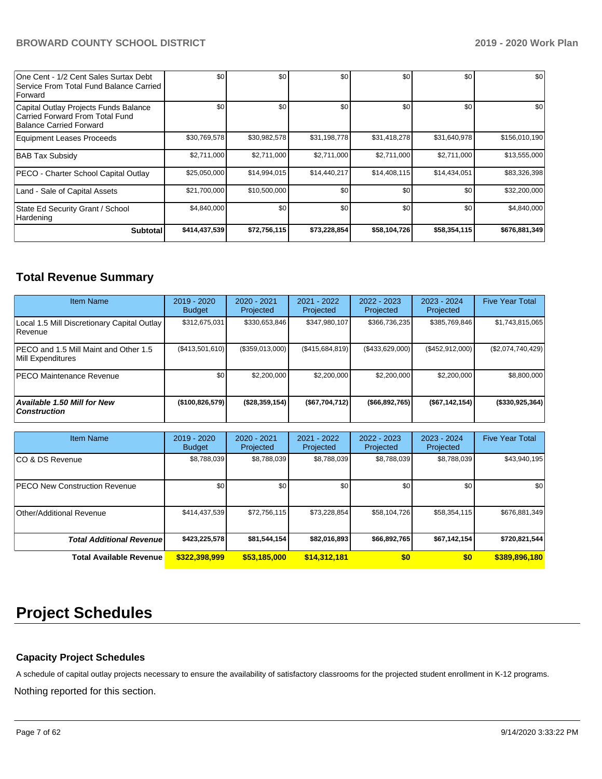| One Cent - 1/2 Cent Sales Surtax Debt<br>Service From Total Fund Balance Carried<br><b>Forward</b>  | \$0           | \$0          | \$0          | \$0          | \$0          | \$0           |
|-----------------------------------------------------------------------------------------------------|---------------|--------------|--------------|--------------|--------------|---------------|
| Capital Outlay Projects Funds Balance<br>Carried Forward From Total Fund<br>Balance Carried Forward | \$0           | \$0          | \$0          | \$0          | \$0          | \$0           |
| Equipment Leases Proceeds                                                                           | \$30,769,578  | \$30,982,578 | \$31,198,778 | \$31,418,278 | \$31,640,978 | \$156,010,190 |
| <b>BAB Tax Subsidy</b>                                                                              | \$2,711,000   | \$2,711,000  | \$2,711,000  | \$2,711,000  | \$2,711,000  | \$13,555,000  |
| PECO - Charter School Capital Outlay                                                                | \$25,050,000  | \$14,994,015 | \$14,440,217 | \$14,408,115 | \$14,434,051 | \$83,326,398  |
| Land - Sale of Capital Assets                                                                       | \$21,700,000  | \$10,500,000 | \$0          | \$0          | \$0          | \$32,200,000  |
| State Ed Security Grant / School<br>Hardening                                                       | \$4,840,000   | \$0          | \$0          | \$0          | \$0          | \$4,840,000   |
| <b>Subtotal</b>                                                                                     | \$414,437,539 | \$72,756,115 | \$73,228,854 | \$58,104,726 | \$58,354,115 | \$676,881,349 |

# **Total Revenue Summary**

| <b>Item Name</b>                                                  | 2019 - 2020<br><b>Budget</b> | 2020 - 2021<br>Projected | 2021 - 2022<br>Projected | $2022 - 2023$<br>Projected | $2023 - 2024$<br>Projected | <b>Five Year Total</b> |
|-------------------------------------------------------------------|------------------------------|--------------------------|--------------------------|----------------------------|----------------------------|------------------------|
| Local 1.5 Mill Discretionary Capital Outlay<br><b>Revenue</b>     | \$312,675,031                | \$330,653,846            | \$347,980,107            | \$366,736,235              | \$385,769,846              | \$1,743,815,065        |
| <b>PECO</b> and 1.5 Mill Maint and Other 1.5<br>Mill Expenditures | (\$413,501,610)              | (\$359,013,000)          | (S415.684.819)           | (\$433,629,000)            | (\$452,912,000)            | (\$2,074,740,429)      |
| <b>PECO Maintenance Revenue</b>                                   | \$0 <sub>1</sub>             | \$2,200,000              | \$2,200,000              | \$2,200,000                | \$2,200,000                | \$8,800,000            |
| Available 1.50 Mill for New<br><b>Construction</b>                | (\$100,826,579)              | ( \$28, 359, 154)        | (\$67,704,712)           | ( \$66, 892, 765)          | (\$67,142,154)             | (\$330,925,364)        |

| <b>Item Name</b>                     | $2019 - 2020$<br><b>Budget</b> | $2020 - 2021$<br>Projected | 2021 - 2022<br>Projected | $2022 - 2023$<br>Projected | $2023 - 2024$<br>Projected | <b>Five Year Total</b> |
|--------------------------------------|--------------------------------|----------------------------|--------------------------|----------------------------|----------------------------|------------------------|
| ICO & DS Revenue                     | \$8,788,039                    | \$8,788,039                | \$8,788,039              | \$8,788,039                | \$8,788,039                | \$43,940,195           |
| <b>PECO New Construction Revenue</b> | \$0                            | \$0 <sub>1</sub>           | \$0                      | \$0                        | \$0                        | \$0                    |
| Other/Additional Revenue             | \$414,437,539                  | \$72,756,115               | \$73,228,854             | \$58,104,726               | \$58,354,115               | \$676,881,349          |
| <b>Total Additional Revenuel</b>     | \$423,225,578                  | \$81,544,154               | \$82,016,893             | \$66,892,765               | \$67,142,154               | \$720,821,544          |
| <b>Total Available Revenue</b>       | \$322,398,999                  | \$53,185,000               | \$14,312,181             | \$0                        | \$0                        | \$389,896,180          |

# **Project Schedules**

# **Capacity Project Schedules**

A schedule of capital outlay projects necessary to ensure the availability of satisfactory classrooms for the projected student enrollment in K-12 programs.

Nothing reported for this section.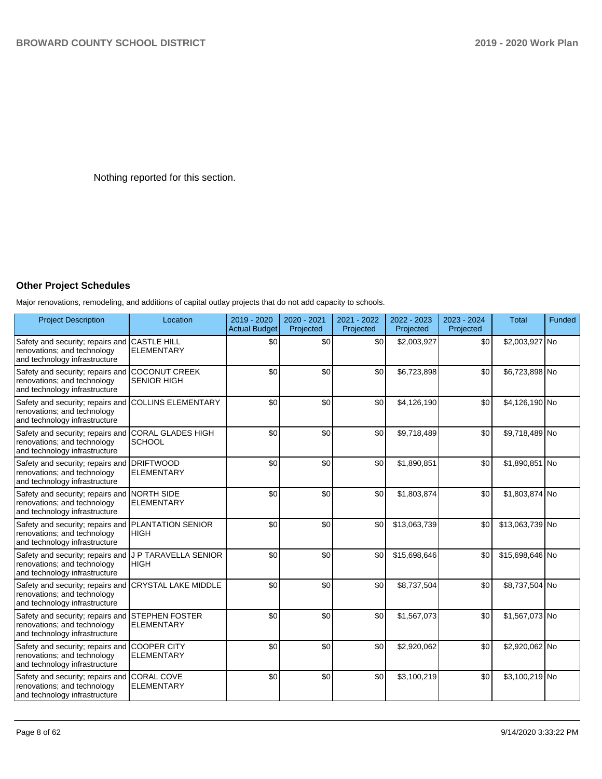Nothing reported for this section.

# **Other Project Schedules**

Major renovations, remodeling, and additions of capital outlay projects that do not add capacity to schools.

| <b>Project Description</b>                                                                                  | Location                                   | 2019 - 2020<br><b>Actual Budget</b> | 2020 - 2021<br>Projected | 2021 - 2022<br>Projected | 2022 - 2023<br>Projected | 2023 - 2024<br>Projected | <b>Total</b>    | Funded |
|-------------------------------------------------------------------------------------------------------------|--------------------------------------------|-------------------------------------|--------------------------|--------------------------|--------------------------|--------------------------|-----------------|--------|
| Safety and security; repairs and<br>renovations; and technology<br>and technology infrastructure            | <b>CASTLE HILL</b><br><b>ELEMENTARY</b>    | \$0                                 | \$0                      | \$0                      | \$2,003,927              | \$0                      | \$2,003,927 No  |        |
| Safety and security; repairs and<br>renovations; and technology<br>and technology infrastructure            | <b>COCONUT CREEK</b><br><b>SENIOR HIGH</b> | \$0                                 | \$0                      | \$0                      | \$6,723,898              | \$0                      | \$6,723,898 No  |        |
| Safety and security; repairs and<br>renovations; and technology<br>and technology infrastructure            | <b>COLLINS ELEMENTARY</b>                  | \$0                                 | \$0                      | \$0                      | \$4,126,190              | \$0                      | \$4,126,190 No  |        |
| Safety and security; repairs and<br>renovations; and technology<br>and technology infrastructure            | CORAL GLADES HIGH<br><b>SCHOOL</b>         | \$0                                 | \$0                      | \$0                      | \$9,718,489              | \$0                      | \$9,718,489 No  |        |
| Safety and security; repairs and DRIFTWOOD<br>renovations; and technology<br>and technology infrastructure  | <b>ELEMENTARY</b>                          | \$0                                 | \$0                      | \$0                      | \$1,890,851              | \$0                      | \$1,890,851 No  |        |
| Safety and security; repairs and NORTH SIDE<br>renovations; and technology<br>and technology infrastructure | <b>ELEMENTARY</b>                          | \$0                                 | \$0                      | \$0                      | \$1,803,874              | \$0                      | \$1,803,874 No  |        |
| Safety and security; repairs and<br>renovations; and technology<br>and technology infrastructure            | <b>PLANTATION SENIOR</b><br><b>HIGH</b>    | \$0                                 | \$0                      | \$0                      | \$13,063,739             | \$0                      | \$13,063,739 No |        |
| Safety and security; repairs and<br>renovations; and technology<br>and technology infrastructure            | J P TARAVELLA SENIOR<br><b>HIGH</b>        | \$0                                 | \$0                      | \$0                      | \$15,698,646             | \$0                      | \$15,698,646 No |        |
| Safety and security; repairs and<br>renovations; and technology<br>and technology infrastructure            | <b>CRYSTAL LAKE MIDDLE</b>                 | \$0                                 | \$0                      | \$0                      | \$8,737,504              | \$0                      | \$8,737,504 No  |        |
| Safety and security; repairs and<br>renovations; and technology<br>and technology infrastructure            | <b>STEPHEN FOSTER</b><br><b>ELEMENTARY</b> | \$0                                 | \$0                      | \$0                      | \$1,567,073              | \$0                      | \$1,567,073 No  |        |
| Safety and security; repairs and<br>renovations; and technology<br>and technology infrastructure            | <b>COOPER CITY</b><br><b>ELEMENTARY</b>    | \$0                                 | \$0                      | \$0                      | \$2,920,062              | \$0                      | \$2,920,062 No  |        |
| Safety and security; repairs and CORAL COVE<br>renovations; and technology<br>and technology infrastructure | <b>ELEMENTARY</b>                          | \$0                                 | \$0                      | \$0                      | \$3,100,219              | \$0                      | \$3,100,219 No  |        |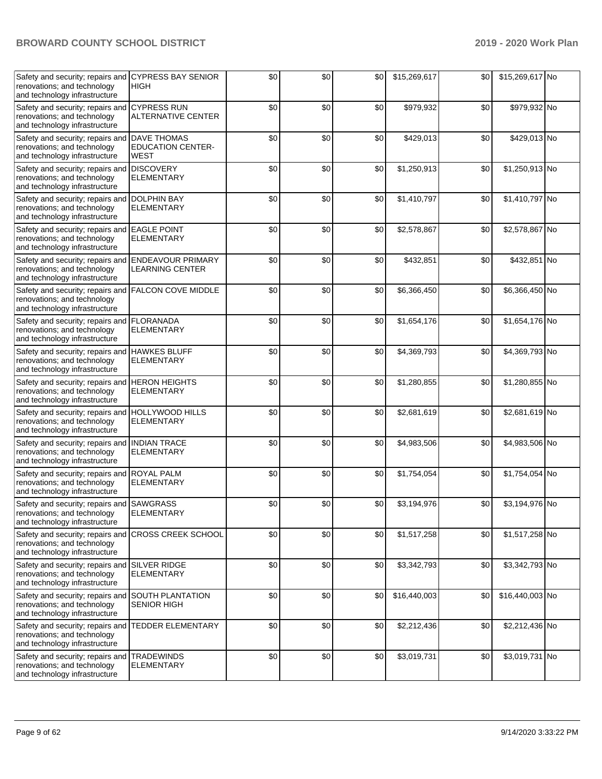| Safety and security; repairs and<br>renovations; and technology<br>and technology infrastructure               | <b>CYPRESS BAY SENIOR</b><br><b>HIGH</b>                      | \$0 | \$0 | \$0 | \$15,269,617 | \$0 | \$15,269,617 No |  |
|----------------------------------------------------------------------------------------------------------------|---------------------------------------------------------------|-----|-----|-----|--------------|-----|-----------------|--|
| Safety and security; repairs and<br>renovations; and technology<br>and technology infrastructure               | <b>CYPRESS RUN</b><br><b>ALTERNATIVE CENTER</b>               | \$0 | \$0 | \$0 | \$979,932    | \$0 | \$979,932 No    |  |
| Safety and security; repairs and<br>renovations; and technology<br>and technology infrastructure               | <b>DAVE THOMAS</b><br><b>EDUCATION CENTER-</b><br><b>WEST</b> | \$0 | \$0 | \$0 | \$429,013    | \$0 | \$429,013 No    |  |
| Safety and security; repairs and DISCOVERY<br>renovations; and technology<br>and technology infrastructure     | <b>ELEMENTARY</b>                                             | \$0 | \$0 | \$0 | \$1,250,913  | \$0 | \$1,250,913 No  |  |
| Safety and security; repairs and<br>renovations; and technology<br>and technology infrastructure               | <b>DOLPHIN BAY</b><br><b>ELEMENTARY</b>                       | \$0 | \$0 | \$0 | \$1,410,797  | \$0 | \$1,410,797 No  |  |
| Safety and security; repairs and EAGLE POINT<br>renovations; and technology<br>and technology infrastructure   | <b>ELEMENTARY</b>                                             | \$0 | \$0 | \$0 | \$2,578,867  | \$0 | \$2,578,867 No  |  |
| Safety and security; repairs and<br>renovations; and technology<br>and technology infrastructure               | <b>ENDEAVOUR PRIMARY</b><br><b>LEARNING CENTER</b>            | \$0 | \$0 | \$0 | \$432,851    | \$0 | \$432,851 No    |  |
| Safety and security; repairs and<br>renovations; and technology<br>and technology infrastructure               | <b>FALCON COVE MIDDLE</b>                                     | \$0 | \$0 | \$0 | \$6,366,450  | \$0 | \$6,366,450 No  |  |
| Safety and security; repairs and<br>renovations; and technology<br>and technology infrastructure               | <b>FLORANADA</b><br><b>ELEMENTARY</b>                         | \$0 | \$0 | \$0 | \$1,654,176  | \$0 | \$1,654,176 No  |  |
| Safety and security; repairs and<br>renovations; and technology<br>and technology infrastructure               | <b>HAWKES BLUFF</b><br><b>ELEMENTARY</b>                      | \$0 | \$0 | \$0 | \$4,369,793  | \$0 | \$4,369,793 No  |  |
| Safety and security; repairs and HERON HEIGHTS<br>renovations; and technology<br>and technology infrastructure | <b>ELEMENTARY</b>                                             | \$0 | \$0 | \$0 | \$1,280,855  | \$0 | \$1,280,855 No  |  |
| Safety and security; repairs and<br>renovations; and technology<br>and technology infrastructure               | <b>HOLLYWOOD HILLS</b><br><b>ELEMENTARY</b>                   | \$0 | \$0 | \$0 | \$2,681,619  | \$0 | \$2,681,619 No  |  |
| Safety and security; repairs and<br>renovations; and technology<br>and technology infrastructure               | <b>INDIAN TRACE</b><br><b>ELEMENTARY</b>                      | \$0 | \$0 | \$0 | \$4,983,506  | \$0 | \$4,983,506 No  |  |
| Safety and security; repairs and<br>renovations; and technology<br>and technology infrastructure               | <b>ROYAL PALM</b><br><b>ELEMENTARY</b>                        | \$0 | \$0 | \$0 | \$1,754,054  | \$0 | \$1,754,054 No  |  |
| Safety and security; repairs and<br>renovations; and technology<br>and technology infrastructure               | <b>SAWGRASS</b><br>ELEMENTARY                                 | \$0 | \$0 | \$0 | \$3,194,976  | \$0 | \$3,194,976 No  |  |
| Safety and security; repairs and<br>renovations; and technology<br>and technology infrastructure               | <b>CROSS CREEK SCHOOL</b>                                     | \$0 | \$0 | \$0 | \$1,517,258  | \$0 | \$1,517,258 No  |  |
| Safety and security; repairs and SILVER RIDGE<br>renovations; and technology<br>and technology infrastructure  | <b>ELEMENTARY</b>                                             | \$0 | \$0 | \$0 | \$3,342,793  | \$0 | \$3,342,793 No  |  |
| Safety and security; repairs and<br>renovations; and technology<br>and technology infrastructure               | <b>SOUTH PLANTATION</b><br><b>SENIOR HIGH</b>                 | \$0 | \$0 | \$0 | \$16,440,003 | \$0 | \$16,440,003 No |  |
| Safety and security; repairs and<br>renovations; and technology<br>and technology infrastructure               | <b>TEDDER ELEMENTARY</b>                                      | \$0 | \$0 | \$0 | \$2,212,436  | \$0 | \$2,212,436 No  |  |
| Safety and security; repairs and<br>renovations; and technology<br>and technology infrastructure               | <b>TRADEWINDS</b><br>ELEMENTARY                               | \$0 | \$0 | \$0 | \$3,019,731  | \$0 | \$3,019,731 No  |  |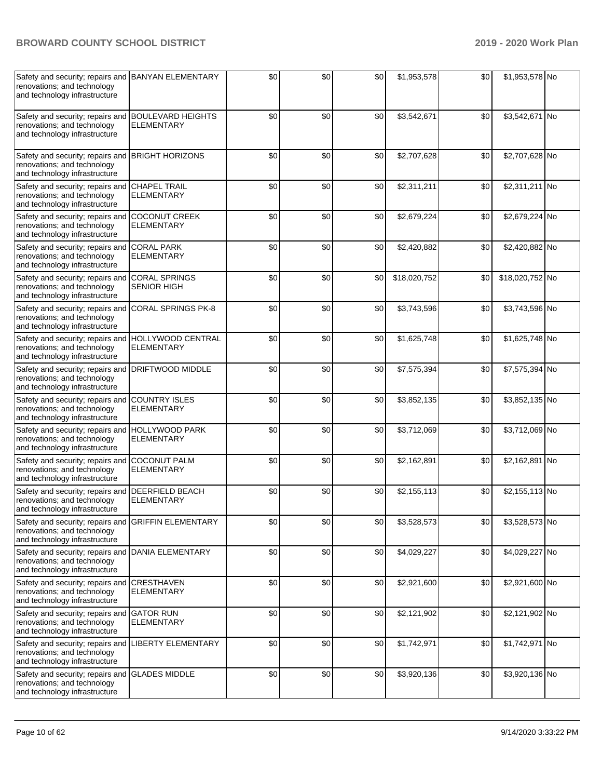| Safety and security; repairs and BANYAN ELEMENTARY<br>renovations; and technology<br>and technology infrastructure |                                               | \$0 | \$0 | \$0 | \$1,953,578  | \$0 | \$1,953,578 No  |  |
|--------------------------------------------------------------------------------------------------------------------|-----------------------------------------------|-----|-----|-----|--------------|-----|-----------------|--|
| Safety and security; repairs and BOULEVARD HEIGHTS<br>renovations; and technology<br>and technology infrastructure | <b>ELEMENTARY</b>                             | \$0 | \$0 | \$0 | \$3,542,671  | \$0 | \$3,542,671 No  |  |
| Safety and security; repairs and<br>renovations; and technology<br>and technology infrastructure                   | <b>BRIGHT HORIZONS</b>                        | \$0 | \$0 | \$0 | \$2,707,628  | \$0 | \$2,707,628 No  |  |
| Safety and security; repairs and<br>renovations; and technology<br>and technology infrastructure                   | <b>CHAPEL TRAIL</b><br><b>ELEMENTARY</b>      | \$0 | \$0 | \$0 | \$2,311,211  | \$0 | \$2,311,211 No  |  |
| Safety and security; repairs and<br>renovations; and technology<br>and technology infrastructure                   | <b>COCONUT CREEK</b><br><b>ELEMENTARY</b>     | \$0 | \$0 | \$0 | \$2,679,224  | \$0 | \$2,679,224 No  |  |
| Safety and security; repairs and CORAL PARK<br>renovations; and technology<br>and technology infrastructure        | <b>ELEMENTARY</b>                             | \$0 | \$0 | \$0 | \$2,420,882  | \$0 | \$2,420,882 No  |  |
| Safety and security; repairs and<br>renovations; and technology<br>and technology infrastructure                   | <b>CORAL SPRINGS</b><br><b>SENIOR HIGH</b>    | \$0 | \$0 | \$0 | \$18,020,752 | \$0 | \$18,020,752 No |  |
| Safety and security; repairs and<br>renovations; and technology<br>and technology infrastructure                   | <b>CORAL SPRINGS PK-8</b>                     | \$0 | \$0 | \$0 | \$3,743,596  | \$0 | \$3,743,596 No  |  |
| Safety and security; repairs and<br>renovations; and technology<br>and technology infrastructure                   | <b>HOLLYWOOD CENTRAL</b><br><b>ELEMENTARY</b> | \$0 | \$0 | \$0 | \$1,625,748  | \$0 | \$1,625,748 No  |  |
| Safety and security; repairs and<br>renovations; and technology<br>and technology infrastructure                   | DRIFTWOOD MIDDLE                              | \$0 | \$0 | \$0 | \$7,575,394  | \$0 | \$7,575,394 No  |  |
| Safety and security; repairs and<br>renovations; and technology<br>and technology infrastructure                   | <b>COUNTRY ISLES</b><br><b>ELEMENTARY</b>     | \$0 | \$0 | \$0 | \$3,852,135  | \$0 | \$3,852,135 No  |  |
| Safety and security; repairs and HOLLYWOOD PARK<br>renovations; and technology<br>and technology infrastructure    | <b>ELEMENTARY</b>                             | \$0 | \$0 | \$0 | \$3,712,069  | \$0 | \$3,712,069 No  |  |
| Safety and security; repairs and<br>renovations; and technology<br>and technology infrastructure                   | <b>COCONUT PALM</b><br><b>ELEMENTARY</b>      | \$0 | \$0 | \$0 | \$2,162,891  | \$0 | \$2,162,891 No  |  |
| Safety and security; repairs and<br>renovations; and technology<br>and technology infrastructure                   | <b>DEERFIELD BEACH</b><br><b>ELEMENTARY</b>   | \$0 | \$0 | \$0 | \$2,155,113  | \$0 | \$2,155,113 No  |  |
| Safety and security; repairs and<br>renovations; and technology<br>and technology infrastructure                   | <b>GRIFFIN ELEMENTARY</b>                     | \$0 | \$0 | \$0 | \$3,528,573  | \$0 | \$3,528,573 No  |  |
| Safety and security; repairs and<br>renovations; and technology<br>and technology infrastructure                   | DANIA ELEMENTARY                              | \$0 | \$0 | \$0 | \$4,029,227  | \$0 | \$4,029,227 No  |  |
| Safety and security; repairs and<br>renovations; and technology<br>and technology infrastructure                   | <b>CRESTHAVEN</b><br><b>ELEMENTARY</b>        | \$0 | \$0 | \$0 | \$2,921,600  | \$0 | \$2,921,600 No  |  |
| Safety and security; repairs and GATOR RUN<br>renovations; and technology<br>and technology infrastructure         | <b>ELEMENTARY</b>                             | \$0 | \$0 | \$0 | \$2,121,902  | \$0 | \$2,121,902 No  |  |
| Safety and security; repairs and<br>renovations; and technology<br>and technology infrastructure                   | LIBERTY ELEMENTARY                            | \$0 | \$0 | \$0 | \$1,742,971  | \$0 | \$1,742,971 No  |  |
| Safety and security; repairs and<br>renovations; and technology<br>and technology infrastructure                   | <b>GLADES MIDDLE</b>                          | \$0 | \$0 | \$0 | \$3,920,136  | \$0 | \$3,920,136 No  |  |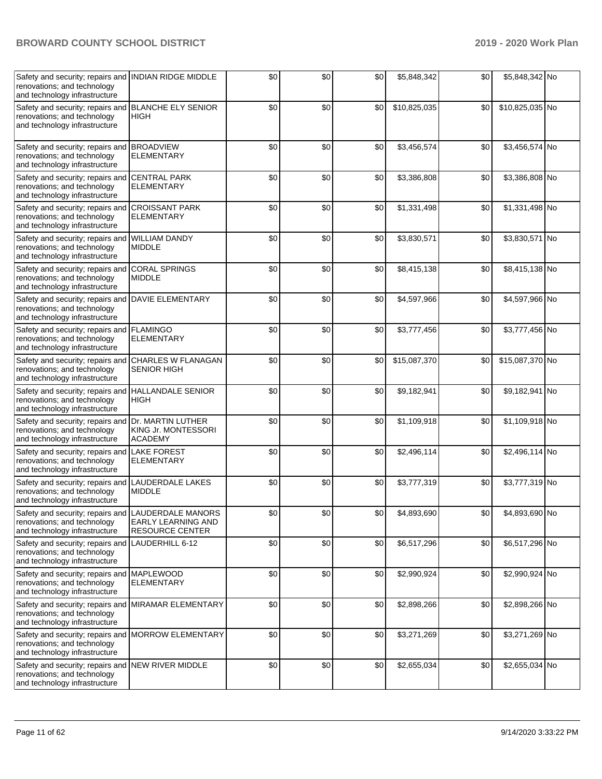| Safety and security; repairs and INDIAN RIDGE MIDDLE<br>renovations; and technology<br>and technology infrastructure |                                                            | \$0   | \$0   | \$0 | \$5,848,342  | \$0 | \$5,848,342 No  |  |
|----------------------------------------------------------------------------------------------------------------------|------------------------------------------------------------|-------|-------|-----|--------------|-----|-----------------|--|
| Safety and security; repairs and<br>renovations; and technology<br>and technology infrastructure                     | <b>BLANCHE ELY SENIOR</b><br><b>HIGH</b>                   | \$0   | \$0   | \$0 | \$10,825,035 | \$0 | \$10,825,035 No |  |
| Safety and security; repairs and BROADVIEW<br>renovations; and technology<br>and technology infrastructure           | <b>ELEMENTARY</b>                                          | \$0   | \$0   | \$0 | \$3,456,574  | \$0 | \$3,456,574 No  |  |
| Safety and security; repairs and<br>renovations; and technology<br>and technology infrastructure                     | <b>CENTRAL PARK</b><br><b>ELEMENTARY</b>                   | \$0   | \$0   | \$0 | \$3,386,808  | \$0 | \$3,386,808 No  |  |
| Safety and security; repairs and<br>renovations; and technology<br>and technology infrastructure                     | <b>CROISSANT PARK</b><br><b>ELEMENTARY</b>                 | \$0   | \$0   | \$0 | \$1,331,498  | \$0 | \$1,331,498 No  |  |
| Safety and security; repairs and<br>renovations; and technology<br>and technology infrastructure                     | <b>WILLIAM DANDY</b><br><b>MIDDLE</b>                      | \$0   | \$0   | \$0 | \$3,830,571  | \$0 | \$3,830,571 No  |  |
| Safety and security; repairs and<br>renovations; and technology<br>and technology infrastructure                     | <b>CORAL SPRINGS</b><br><b>MIDDLE</b>                      | \$0   | \$0   | \$0 | \$8,415,138  | \$0 | \$8,415,138 No  |  |
| Safety and security; repairs and DAVIE ELEMENTARY<br>renovations; and technology<br>and technology infrastructure    |                                                            | \$0   | \$0   | \$0 | \$4,597,966  | \$0 | \$4,597,966 No  |  |
| Safety and security; repairs and FLAMINGO<br>renovations; and technology<br>and technology infrastructure            | <b>ELEMENTARY</b>                                          | \$0   | \$0   | \$0 | \$3,777,456  | \$0 | \$3,777,456 No  |  |
| Safety and security; repairs and CHARLES W FLANAGAN<br>renovations; and technology<br>and technology infrastructure  | <b>SENIOR HIGH</b>                                         | \$0   | \$0   | \$0 | \$15,087,370 | \$0 | \$15,087,370 No |  |
| Safety and security; repairs and<br>renovations; and technology<br>and technology infrastructure                     | <b>HALLANDALE SENIOR</b><br>HIGH                           | \$0   | \$0   | \$0 | \$9,182,941  | \$0 | \$9,182,941 No  |  |
| Safety and security; repairs and<br>renovations; and technology<br>and technology infrastructure                     | Dr. MARTIN LUTHER<br>KING Jr. MONTESSORI<br><b>ACADEMY</b> | \$0   | \$0   | \$0 | \$1,109,918  | \$0 | \$1,109,918 No  |  |
| Safety and security; repairs and<br>renovations; and technology<br>and technology infrastructure                     | <b>LAKE FOREST</b><br><b>ELEMENTARY</b>                    | \$0   | \$0   | \$0 | \$2,496,114  | \$0 | \$2,496,114 No  |  |
| Safety and security; repairs and<br>renovations; and technology<br>and technology infrastructure                     | LAUDERDALE LAKES<br><b>MIDDLE</b>                          | \$0   | \$0   | \$0 | \$3,777,319  | \$0 | \$3,777,319 No  |  |
| Safety and security; repairs and LAUDERDALE MANORS<br>renovations; and technology<br>and technology infrastructure   | EARLY LEARNING AND<br><b>RESOURCE CENTER</b>               | $\$0$ | $\$0$ | \$0 | \$4,893,690  | \$0 | \$4,893,690 No  |  |
| Safety and security; repairs and<br>renovations; and technology<br>and technology infrastructure                     | LAUDERHILL 6-12                                            | \$0   | \$0   | \$0 | \$6,517,296  | \$0 | \$6,517,296 No  |  |
| Safety and security; repairs and MAPLEWOOD<br>renovations; and technology<br>and technology infrastructure           | <b>ELEMENTARY</b>                                          | \$0   | \$0   | \$0 | \$2,990,924  | \$0 | \$2,990,924 No  |  |
| Safety and security; repairs and<br>renovations; and technology<br>and technology infrastructure                     | MIRAMAR ELEMENTARY                                         | \$0   | \$0   | \$0 | \$2,898,266  | \$0 | \$2,898,266 No  |  |
| Safety and security; repairs and<br>renovations; and technology<br>and technology infrastructure                     | <b>MORROW ELEMENTARY</b>                                   | \$0   | \$0   | \$0 | \$3,271,269  | \$0 | \$3,271,269 No  |  |
| Safety and security; repairs and NEW RIVER MIDDLE<br>renovations; and technology<br>and technology infrastructure    |                                                            | \$0   | \$0   | \$0 | \$2,655,034  | \$0 | \$2,655,034 No  |  |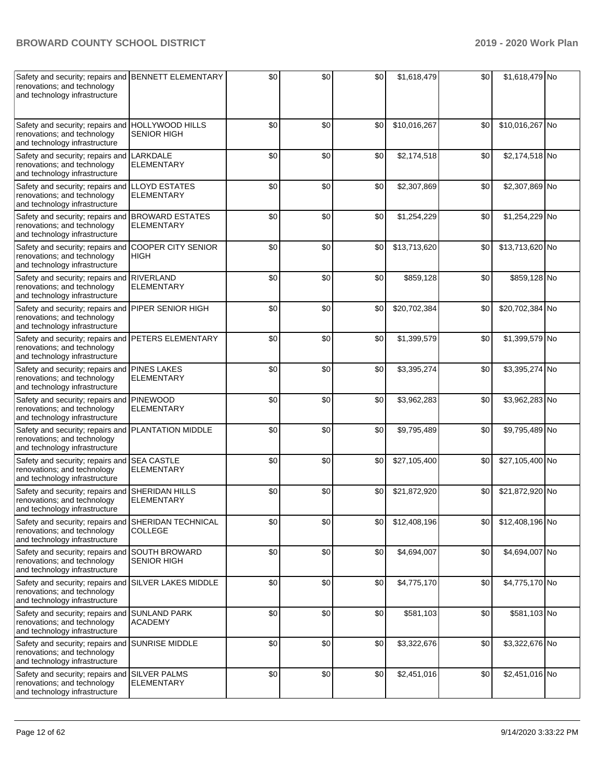| Safety and security; repairs and BENNETT ELEMENTARY<br>renovations; and technology<br>and technology infrastructure  |                                            | \$0 | \$0 | \$0 | \$1,618,479  | \$0 | \$1,618,479 No  |  |
|----------------------------------------------------------------------------------------------------------------------|--------------------------------------------|-----|-----|-----|--------------|-----|-----------------|--|
| Safety and security; repairs and HOLLYWOOD HILLS<br>renovations; and technology<br>and technology infrastructure     | <b>SENIOR HIGH</b>                         | \$0 | \$0 | \$0 | \$10,016,267 | \$0 | \$10,016,267 No |  |
| Safety and security; repairs and<br>renovations; and technology<br>and technology infrastructure                     | LARKDALE<br><b>ELEMENTARY</b>              | \$0 | \$0 | \$0 | \$2,174,518  | \$0 | \$2,174,518 No  |  |
| Safety and security; repairs and<br>renovations; and technology<br>and technology infrastructure                     | <b>LLOYD ESTATES</b><br><b>ELEMENTARY</b>  | \$0 | \$0 | \$0 | \$2,307,869  | \$0 | \$2,307,869 No  |  |
| Safety and security; repairs and BROWARD ESTATES<br>renovations; and technology<br>and technology infrastructure     | <b>ELEMENTARY</b>                          | \$0 | \$0 | \$0 | \$1,254,229  | \$0 | \$1,254,229 No  |  |
| Safety and security; repairs and COOPER CITY SENIOR<br>renovations; and technology<br>and technology infrastructure  | <b>HIGH</b>                                | \$0 | \$0 | \$0 | \$13,713,620 | \$0 | \$13,713,620 No |  |
| Safety and security; repairs and RIVERLAND<br>renovations; and technology<br>and technology infrastructure           | <b>ELEMENTARY</b>                          | \$0 | \$0 | \$0 | \$859,128    | \$0 | \$859,128 No    |  |
| Safety and security; repairs and<br>renovations; and technology<br>and technology infrastructure                     | PIPER SENIOR HIGH                          | \$0 | \$0 | \$0 | \$20,702,384 | \$0 | \$20,702,384 No |  |
| Safety and security; repairs and<br>renovations; and technology<br>and technology infrastructure                     | PETERS ELEMENTARY                          | \$0 | \$0 | \$0 | \$1,399,579  | \$0 | \$1,399,579 No  |  |
| Safety and security; repairs and<br>renovations; and technology<br>and technology infrastructure                     | <b>PINES LAKES</b><br><b>ELEMENTARY</b>    | \$0 | \$0 | \$0 | \$3,395,274  | \$0 | \$3,395,274 No  |  |
| Safety and security; repairs and<br>renovations; and technology<br>and technology infrastructure                     | <b>PINEWOOD</b><br><b>ELEMENTARY</b>       | \$0 | \$0 | \$0 | \$3,962,283  | \$0 | \$3,962,283 No  |  |
| Safety and security; repairs and PLANTATION MIDDLE<br>renovations; and technology<br>and technology infrastructure   |                                            | \$0 | \$0 | \$0 | \$9,795,489  | \$0 | \$9,795,489 No  |  |
| Safety and security; repairs and<br>renovations; and technology<br>and technology infrastructure                     | <b>SEA CASTLE</b><br><b>ELEMENTARY</b>     | \$0 | \$0 | \$0 | \$27,105,400 | \$0 | \$27,105,400 No |  |
| Safety and security; repairs and<br>renovations; and technology<br>and technology infrastructure                     | <b>SHERIDAN HILLS</b><br><b>ELEMENTARY</b> | \$0 | \$0 | \$0 | \$21,872,920 | \$0 | \$21,872,920 No |  |
| Safety and security; repairs and<br>renovations; and technology<br>and technology infrastructure                     | SHERIDAN TECHNICAL<br>COLLEGE              | \$0 | \$0 | \$0 | \$12,408,196 | \$0 | \$12,408,196 No |  |
| Safety and security; repairs and<br>renovations; and technology<br>and technology infrastructure                     | SOUTH BROWARD<br>SENIOR HIGH               | \$0 | \$0 | \$0 | \$4,694,007  | \$0 | \$4,694,007 No  |  |
| Safety and security; repairs and SILVER LAKES MIDDLE<br>renovations; and technology<br>and technology infrastructure |                                            | \$0 | \$0 | \$0 | \$4,775,170  | \$0 | \$4,775,170 No  |  |
| Safety and security; repairs and SUNLAND PARK<br>renovations; and technology<br>and technology infrastructure        | <b>ACADEMY</b>                             | \$0 | \$0 | \$0 | \$581,103    | \$0 | \$581,103 No    |  |
| Safety and security; repairs and<br>renovations; and technology<br>and technology infrastructure                     | <b>SUNRISE MIDDLE</b>                      | \$0 | \$0 | \$0 | \$3,322,676  | \$0 | \$3,322,676 No  |  |
| Safety and security; repairs and<br>renovations; and technology<br>and technology infrastructure                     | <b>SILVER PALMS</b><br><b>ELEMENTARY</b>   | \$0 | \$0 | \$0 | \$2,451,016  | \$0 | \$2,451,016 No  |  |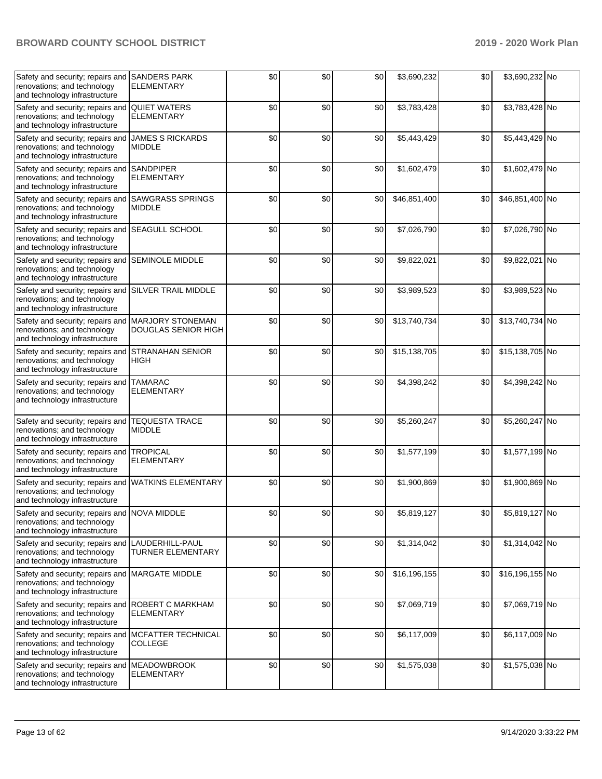| Safety and security; repairs and<br>renovations; and technology<br>and technology infrastructure                | <b>SANDERS PARK</b><br><b>ELEMENTARY</b>              | \$0 | \$0 | \$0    | \$3,690,232  | \$0 | \$3,690,232 No  |  |
|-----------------------------------------------------------------------------------------------------------------|-------------------------------------------------------|-----|-----|--------|--------------|-----|-----------------|--|
| Safety and security; repairs and<br>renovations; and technology<br>and technology infrastructure                | <b>QUIET WATERS</b><br><b>ELEMENTARY</b>              | \$0 | \$0 | \$0    | \$3,783,428  | \$0 | \$3,783,428 No  |  |
| Safety and security; repairs and<br>renovations; and technology<br>and technology infrastructure                | <b>JAMES S RICKARDS</b><br><b>MIDDLE</b>              | \$0 | \$0 | \$0    | \$5,443,429  | \$0 | \$5,443,429 No  |  |
| Safety and security; repairs and<br>renovations; and technology<br>and technology infrastructure                | <b>SANDPIPER</b><br><b>ELEMENTARY</b>                 | \$0 | \$0 | \$0    | \$1,602,479  | \$0 | \$1,602,479 No  |  |
| Safety and security; repairs and<br>renovations; and technology<br>and technology infrastructure                | <b>SAWGRASS SPRINGS</b><br><b>MIDDLE</b>              | \$0 | \$0 | \$0    | \$46,851,400 | \$0 | \$46,851,400 No |  |
| Safety and security; repairs and SEAGULL SCHOOL<br>renovations; and technology<br>and technology infrastructure |                                                       | \$0 | \$0 | \$0    | \$7,026,790  | \$0 | \$7,026,790 No  |  |
| Safety and security; repairs and<br>renovations; and technology<br>and technology infrastructure                | <b>SEMINOLE MIDDLE</b>                                | \$0 | \$0 | \$0    | \$9,822,021  | \$0 | \$9,822,021 No  |  |
| Safety and security; repairs and<br>renovations; and technology<br>and technology infrastructure                | <b>SILVER TRAIL MIDDLE</b>                            | \$0 | \$0 | \$0    | \$3,989,523  | \$0 | \$3,989,523 No  |  |
| Safety and security; repairs and<br>renovations; and technology<br>and technology infrastructure                | <b>MARJORY STONEMAN</b><br><b>DOUGLAS SENIOR HIGH</b> | \$0 | \$0 | \$0    | \$13,740,734 | \$0 | \$13,740,734 No |  |
| Safety and security; repairs and<br>renovations; and technology<br>and technology infrastructure                | <b>STRANAHAN SENIOR</b><br>HIGH                       | \$0 | \$0 | \$0    | \$15,138,705 | \$0 | \$15,138,705 No |  |
| Safety and security; repairs and TAMARAC<br>renovations; and technology<br>and technology infrastructure        | <b>ELEMENTARY</b>                                     | \$0 | \$0 | \$0    | \$4,398,242  | \$0 | \$4,398,242 No  |  |
| Safety and security; repairs and<br>renovations; and technology<br>and technology infrastructure                | <b>TEQUESTA TRACE</b><br><b>MIDDLE</b>                | \$0 | \$0 | \$0    | \$5,260,247  | \$0 | \$5,260,247 No  |  |
| Safety and security; repairs and<br>renovations; and technology<br>and technology infrastructure                | <b>TROPICAL</b><br><b>ELEMENTARY</b>                  | \$0 | \$0 | \$0    | \$1,577,199  | \$0 | \$1,577,199 No  |  |
| Safety and security; repairs and<br>renovations; and technology<br>and technology infrastructure                | <b>WATKINS ELEMENTARY</b>                             | \$0 | \$0 | \$0    | \$1,900,869  | \$0 | \$1,900,869 No  |  |
| Safety and security; repairs and NOVA MIDDLE<br>renovations; and technology<br>and technology infrastructure    |                                                       | \$0 | \$0 | $$0\,$ | \$5,819,127  | \$0 | \$5,819,127 No  |  |
| Safety and security; repairs and<br>renovations; and technology<br>and technology infrastructure                | LAUDERHILL-PAUL<br><b>TURNER ELEMENTARY</b>           | \$0 | \$0 | \$0    | \$1,314,042  | \$0 | \$1,314,042 No  |  |
| Safety and security; repairs and<br>renovations; and technology<br>and technology infrastructure                | <b>MARGATE MIDDLE</b>                                 | \$0 | \$0 | \$0    | \$16,196,155 | \$0 | \$16,196,155 No |  |
| Safety and security; repairs and<br>renovations; and technology<br>and technology infrastructure                | <b>ROBERT C MARKHAM</b><br><b>ELEMENTARY</b>          | \$0 | \$0 | \$0    | \$7,069,719  | \$0 | \$7,069,719 No  |  |
| Safety and security; repairs and<br>renovations; and technology<br>and technology infrastructure                | MCFATTER TECHNICAL<br><b>COLLEGE</b>                  | \$0 | \$0 | \$0    | \$6,117,009  | \$0 | \$6,117,009 No  |  |
| Safety and security; repairs and MEADOWBROOK<br>renovations; and technology<br>and technology infrastructure    | <b>ELEMENTARY</b>                                     | \$0 | \$0 | \$0    | \$1,575,038  | \$0 | \$1,575,038 No  |  |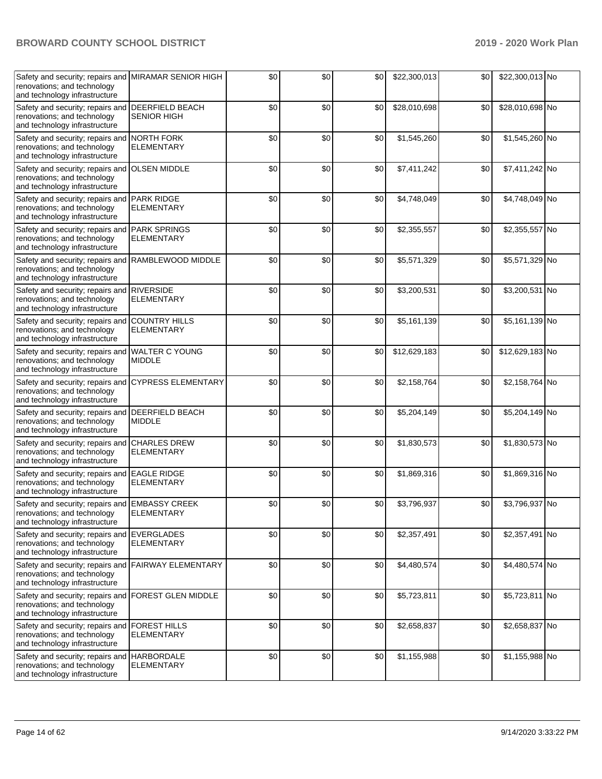| Safety and security; repairs and<br>renovations; and technology<br>and technology infrastructure                    | <b>MIRAMAR SENIOR HIGH</b>                   | \$0 | \$0 | \$0 | \$22,300,013 | \$0 | \$22,300,013 No |  |
|---------------------------------------------------------------------------------------------------------------------|----------------------------------------------|-----|-----|-----|--------------|-----|-----------------|--|
| Safety and security; repairs and<br>renovations; and technology<br>and technology infrastructure                    | <b>DEERFIELD BEACH</b><br><b>SENIOR HIGH</b> | \$0 | \$0 | \$0 | \$28,010,698 | \$0 | \$28,010,698 No |  |
| Safety and security; repairs and<br>renovations; and technology<br>and technology infrastructure                    | <b>NORTH FORK</b><br><b>ELEMENTARY</b>       | \$0 | \$0 | \$0 | \$1,545,260  | \$0 | \$1,545,260 No  |  |
| Safety and security; repairs and<br>renovations; and technology<br>and technology infrastructure                    | <b>OLSEN MIDDLE</b>                          | \$0 | \$0 | \$0 | \$7,411,242  | \$0 | \$7,411,242 No  |  |
| Safety and security; repairs and PARK RIDGE<br>renovations; and technology<br>and technology infrastructure         | <b>ELEMENTARY</b>                            | \$0 | \$0 | \$0 | \$4,748,049  | \$0 | \$4,748,049 No  |  |
| Safety and security; repairs and PARK SPRINGS<br>renovations; and technology<br>and technology infrastructure       | <b>ELEMENTARY</b>                            | \$0 | \$0 | \$0 | \$2,355,557  | \$0 | \$2,355,557 No  |  |
| Safety and security; repairs and<br>renovations; and technology<br>and technology infrastructure                    | RAMBLEWOOD MIDDLE                            | \$0 | \$0 | \$0 | \$5,571,329  | \$0 | \$5,571,329 No  |  |
| Safety and security; repairs and<br>renovations; and technology<br>and technology infrastructure                    | <b>RIVERSIDE</b><br><b>ELEMENTARY</b>        | \$0 | \$0 | \$0 | \$3,200,531  | \$0 | \$3,200,531 No  |  |
| Safety and security; repairs and<br>renovations; and technology<br>and technology infrastructure                    | <b>COUNTRY HILLS</b><br><b>ELEMENTARY</b>    | \$0 | \$0 | \$0 | \$5,161,139  | \$0 | \$5,161,139 No  |  |
| Safety and security; repairs and<br>renovations; and technology<br>and technology infrastructure                    | <b>WALTER C YOUNG</b><br><b>MIDDLE</b>       | \$0 | \$0 | \$0 | \$12,629,183 | \$0 | \$12,629,183 No |  |
| Safety and security; repairs and<br>renovations; and technology<br>and technology infrastructure                    | <b>CYPRESS ELEMENTARY</b>                    | \$0 | \$0 | \$0 | \$2,158,764  | \$0 | \$2,158,764 No  |  |
| Safety and security; repairs and DEERFIELD BEACH<br>renovations; and technology<br>and technology infrastructure    | <b>MIDDLE</b>                                | \$0 | \$0 | \$0 | \$5,204,149  | \$0 | \$5,204,149 No  |  |
| Safety and security; repairs and<br>renovations; and technology<br>and technology infrastructure                    | <b>CHARLES DREW</b><br><b>ELEMENTARY</b>     | \$0 | \$0 | \$0 | \$1,830,573  | \$0 | \$1,830,573 No  |  |
| Safety and security; repairs and<br>renovations; and technology<br>and technology infrastructure                    | <b>EAGLE RIDGE</b><br><b>ELEMENTARY</b>      | \$0 | \$0 | \$0 | \$1,869,316  | \$0 | \$1,869,316 No  |  |
| Safety and security; repairs and<br>renovations; and technology<br>and technology infrastructure                    | <b>EMBASSY CREEK</b><br>ELEMENIARY           | \$0 | \$0 | \$0 | \$3,796,937  | \$0 | \$3,796,937 No  |  |
| Safety and security; repairs and<br>renovations; and technology<br>and technology infrastructure                    | <b>EVERGLADES</b><br><b>ELEMENTARY</b>       | \$0 | \$0 | \$0 | \$2,357,491  | \$0 | \$2,357,491 No  |  |
| Safety and security; repairs and FAIRWAY ELEMENTARY<br>renovations; and technology<br>and technology infrastructure |                                              | \$0 | \$0 | \$0 | \$4,480,574  | \$0 | \$4,480,574 No  |  |
| Safety and security; repairs and FOREST GLEN MIDDLE<br>renovations; and technology<br>and technology infrastructure |                                              | \$0 | \$0 | \$0 | \$5,723,811  | \$0 | \$5,723,811 No  |  |
| Safety and security; repairs and<br>renovations; and technology<br>and technology infrastructure                    | <b>FOREST HILLS</b><br><b>ELEMENTARY</b>     | \$0 | \$0 | \$0 | \$2,658,837  | \$0 | \$2,658,837 No  |  |
| Safety and security; repairs and<br>renovations; and technology<br>and technology infrastructure                    | <b>HARBORDALE</b><br><b>ELEMENTARY</b>       | \$0 | \$0 | \$0 | \$1,155,988  | \$0 | \$1,155,988 No  |  |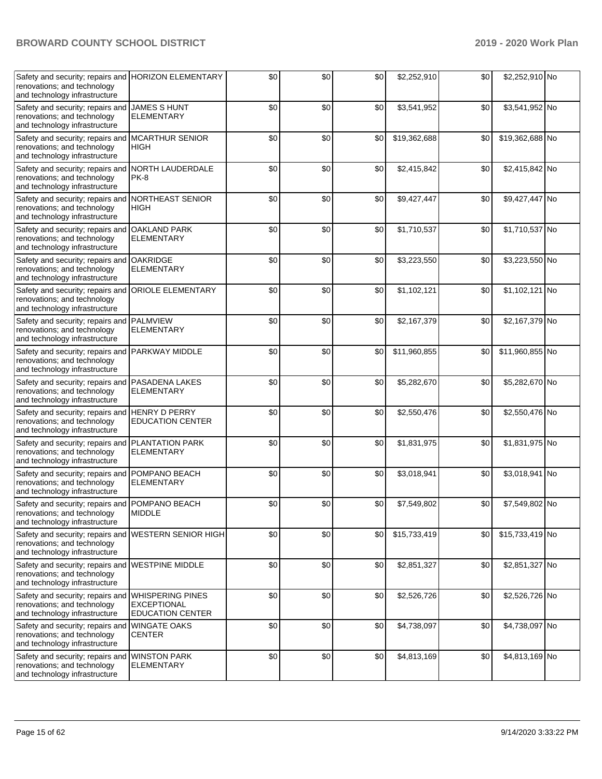| Safety and security; repairs and HORIZON ELEMENTARY<br>renovations; and technology<br>and technology infrastructure |                                               | \$0 | \$0 | \$0 | \$2,252,910  | \$0 | \$2,252,910 No  |  |
|---------------------------------------------------------------------------------------------------------------------|-----------------------------------------------|-----|-----|-----|--------------|-----|-----------------|--|
| Safety and security; repairs and<br>renovations; and technology<br>and technology infrastructure                    | <b>JAMES S HUNT</b><br><b>ELEMENTARY</b>      | \$0 | \$0 | \$0 | \$3,541,952  | \$0 | \$3,541,952 No  |  |
| Safety and security; repairs and MCARTHUR SENIOR<br>renovations; and technology<br>and technology infrastructure    | <b>HIGH</b>                                   | \$0 | \$0 | \$0 | \$19,362,688 | \$0 | \$19,362,688 No |  |
| Safety and security; repairs and<br>renovations; and technology<br>and technology infrastructure                    | NORTH LAUDERDALE<br>PK-8                      | \$0 | \$0 | \$0 | \$2,415,842  | \$0 | \$2,415,842 No  |  |
| Safety and security; repairs and NORTHEAST SENIOR<br>renovations; and technology<br>and technology infrastructure   | <b>HIGH</b>                                   | \$0 | \$0 | \$0 | \$9,427,447  | \$0 | \$9,427,447 No  |  |
| Safety and security; repairs and OAKLAND PARK<br>renovations; and technology<br>and technology infrastructure       | <b>ELEMENTARY</b>                             | \$0 | \$0 | \$0 | \$1,710,537  | \$0 | \$1,710,537 No  |  |
| Safety and security; repairs and<br>renovations; and technology<br>and technology infrastructure                    | <b>OAKRIDGE</b><br><b>ELEMENTARY</b>          | \$0 | \$0 | \$0 | \$3,223,550  | \$0 | \$3,223,550 No  |  |
| Safety and security; repairs and<br>renovations; and technology<br>and technology infrastructure                    | <b>ORIOLE ELEMENTARY</b>                      | \$0 | \$0 | \$0 | \$1,102,121  | \$0 | \$1,102,121 No  |  |
| Safety and security; repairs and<br>renovations; and technology<br>and technology infrastructure                    | <b>PALMVIEW</b><br><b>ELEMENTARY</b>          | \$0 | \$0 | \$0 | \$2,167,379  | \$0 | \$2,167,379 No  |  |
| Safety and security; repairs and PARKWAY MIDDLE<br>renovations; and technology<br>and technology infrastructure     |                                               | \$0 | \$0 | \$0 | \$11,960,855 | \$0 | \$11,960,855 No |  |
| Safety and security; repairs and PASADENA LAKES<br>renovations; and technology<br>and technology infrastructure     | <b>ELEMENTARY</b>                             | \$0 | \$0 | \$0 | \$5,282,670  | \$0 | \$5,282,670 No  |  |
| Safety and security; repairs and HENRY D PERRY<br>renovations; and technology<br>and technology infrastructure      | <b>EDUCATION CENTER</b>                       | \$0 | \$0 | \$0 | \$2,550,476  | \$0 | \$2,550,476 No  |  |
| Safety and security; repairs and<br>renovations; and technology<br>and technology infrastructure                    | <b>PLANTATION PARK</b><br><b>ELEMENTARY</b>   | \$0 | \$0 | \$0 | \$1,831,975  | \$0 | \$1,831,975 No  |  |
| Safety and security; repairs and<br>renovations; and technology<br>and technology infrastructure                    | POMPANO BEACH<br><b>ELEMENTARY</b>            | \$0 | \$0 | \$0 | \$3,018,941  | \$0 | \$3,018,941 No  |  |
| Safety and security; repairs and POMPANO BEACH<br>renovations; and technology<br>and technology infrastructure      | MIDDLE                                        | \$0 | \$0 | \$0 | \$7,549,802  | \$0 | \$7,549,802 No  |  |
| Safety and security; repairs and<br>renovations; and technology<br>and technology infrastructure                    | <b>WESTERN SENIOR HIGH</b>                    | \$0 | \$0 | \$0 | \$15,733,419 | \$0 | \$15,733,419 No |  |
| Safety and security; repairs and WESTPINE MIDDLE<br>renovations; and technology<br>and technology infrastructure    |                                               | \$0 | \$0 | \$0 | \$2,851,327  | \$0 | \$2,851,327 No  |  |
| Safety and security; repairs and WHISPERING PINES<br>renovations; and technology<br>and technology infrastructure   | <b>EXCEPTIONAL</b><br><b>EDUCATION CENTER</b> | \$0 | \$0 | \$0 | \$2,526,726  | \$0 | \$2,526,726 No  |  |
| Safety and security; repairs and<br>renovations; and technology<br>and technology infrastructure                    | <b>WINGATE OAKS</b><br><b>CENTER</b>          | \$0 | \$0 | \$0 | \$4,738,097  | \$0 | \$4,738,097 No  |  |
| Safety and security; repairs and<br>renovations; and technology<br>and technology infrastructure                    | <b>WINSTON PARK</b><br><b>ELEMENTARY</b>      | \$0 | \$0 | \$0 | \$4,813,169  | \$0 | \$4,813,169 No  |  |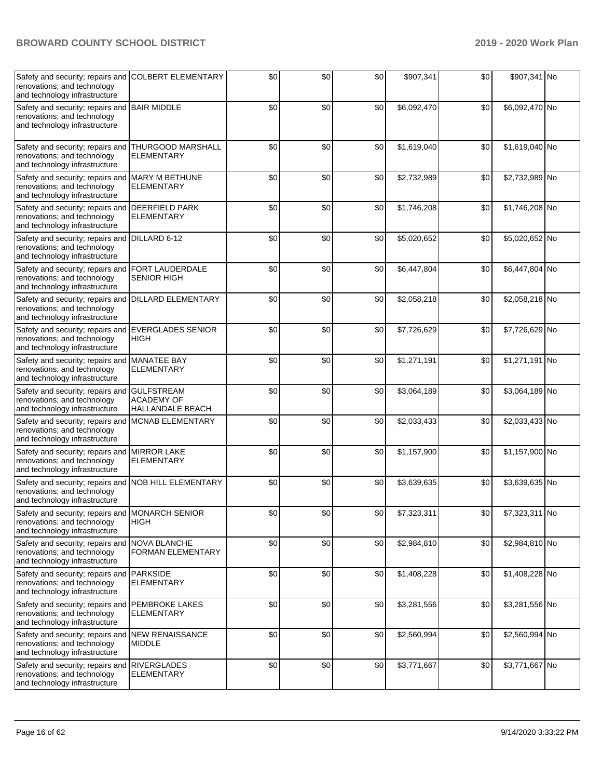| Safety and security; repairs and COLBERT ELEMENTARY<br>renovations; and technology<br>and technology infrastructure  |                                                            | \$0   | \$0 | \$0 | \$907,341   | \$0 | \$907,341 No   |  |
|----------------------------------------------------------------------------------------------------------------------|------------------------------------------------------------|-------|-----|-----|-------------|-----|----------------|--|
| Safety and security; repairs and<br>renovations; and technology<br>and technology infrastructure                     | <b>BAIR MIDDLE</b>                                         | \$0   | \$0 | \$0 | \$6,092,470 | \$0 | \$6,092,470 No |  |
| Safety and security; repairs and THURGOOD MARSHALL<br>renovations; and technology<br>and technology infrastructure   | <b>ELEMENTARY</b>                                          | \$0   | \$0 | \$0 | \$1,619,040 | \$0 | \$1,619,040 No |  |
| Safety and security; repairs and MARY M BETHUNE<br>renovations; and technology<br>and technology infrastructure      | <b>ELEMENTARY</b>                                          | \$0   | \$0 | \$0 | \$2,732,989 | \$0 | \$2,732,989 No |  |
| Safety and security; repairs and<br>renovations; and technology<br>and technology infrastructure                     | <b>DEERFIELD PARK</b><br><b>ELEMENTARY</b>                 | \$0   | \$0 | \$0 | \$1,746,208 | \$0 | \$1,746,208 No |  |
| Safety and security; repairs and<br>renovations; and technology<br>and technology infrastructure                     | DILLARD 6-12                                               | \$0   | \$0 | \$0 | \$5,020,652 | \$0 | \$5,020,652 No |  |
| Safety and security; repairs and<br>renovations; and technology<br>and technology infrastructure                     | FORT LAUDERDALE<br><b>SENIOR HIGH</b>                      | \$0   | \$0 | \$0 | \$6,447,804 | \$0 | \$6,447,804 No |  |
| Safety and security; repairs and<br>renovations; and technology<br>and technology infrastructure                     | <b>DILLARD ELEMENTARY</b>                                  | \$0   | \$0 | \$0 | \$2,058,218 | \$0 | \$2,058,218 No |  |
| Safety and security; repairs and EVERGLADES SENIOR<br>renovations; and technology<br>and technology infrastructure   | <b>HIGH</b>                                                | \$0   | \$0 | \$0 | \$7,726,629 | \$0 | \$7,726,629 No |  |
| Safety and security; repairs and MANATEE BAY<br>renovations; and technology<br>and technology infrastructure         | <b>ELEMENTARY</b>                                          | \$0   | \$0 | \$0 | \$1,271,191 | \$0 | \$1,271,191 No |  |
| Safety and security; repairs and<br>renovations; and technology<br>and technology infrastructure                     | <b>GULFSTREAM</b><br><b>ACADEMY OF</b><br>HALLANDALE BEACH | \$0   | \$0 | \$0 | \$3,064,189 | \$0 | \$3,064,189 No |  |
| Safety and security; repairs and<br>renovations; and technology<br>and technology infrastructure                     | <b>MCNAB ELEMENTARY</b>                                    | \$0   | \$0 | \$0 | \$2,033,433 | \$0 | \$2,033,433 No |  |
| Safety and security; repairs and<br>renovations; and technology<br>and technology infrastructure                     | <b>MIRROR LAKE</b><br><b>ELEMENTARY</b>                    | \$0   | \$0 | \$0 | \$1,157,900 | \$0 | \$1,157,900 No |  |
| Safety and security; repairs and NOB HILL ELEMENTARY<br>renovations; and technology<br>and technology infrastructure |                                                            | \$0   | \$0 | \$0 | \$3,639,635 | \$0 | \$3,639,635 No |  |
| Safety and security; repairs and MONARCH SENIOR<br>renovations; and technology<br>and technology infrastructure      | <b>HIGH</b>                                                | $\$0$ | \$0 | \$0 | \$7,323,311 | \$0 | \$7,323,311 No |  |
| Safety and security; repairs and NOVA BLANCHE<br>renovations; and technology<br>and technology infrastructure        | <b>FORMAN ELEMENTARY</b>                                   | \$0   | \$0 | \$0 | \$2,984,810 | \$0 | \$2,984,810 No |  |
| Safety and security; repairs and<br>renovations; and technology<br>and technology infrastructure                     | <b>PARKSIDE</b><br><b>ELEMENTARY</b>                       | \$0   | \$0 | \$0 | \$1,408,228 | \$0 | \$1,408,228 No |  |
| Safety and security; repairs and<br>renovations; and technology<br>and technology infrastructure                     | <b>PEMBROKE LAKES</b><br><b>ELEMENTARY</b>                 | \$0   | \$0 | \$0 | \$3,281,556 | \$0 | \$3,281,556 No |  |
| Safety and security; repairs and<br>renovations; and technology<br>and technology infrastructure                     | <b>NEW RENAISSANCE</b><br><b>MIDDLE</b>                    | \$0   | \$0 | \$0 | \$2,560,994 | \$0 | \$2,560,994 No |  |
| Safety and security; repairs and<br>renovations; and technology<br>and technology infrastructure                     | <b>RIVERGLADES</b><br><b>ELEMENTARY</b>                    | \$0   | \$0 | \$0 | \$3,771,667 | \$0 | \$3,771,667 No |  |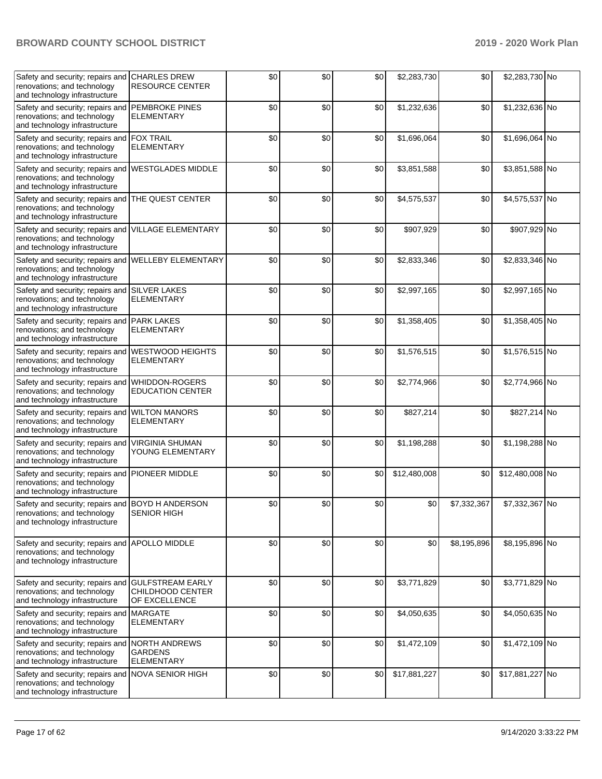| Safety and security; repairs and<br>renovations; and technology<br>and technology infrastructure                    | <b>CHARLES DREW</b><br><b>RESOURCE CENTER</b>                | \$0 | \$0 | \$0 | \$2,283,730  | \$0         | \$2,283,730 No  |  |
|---------------------------------------------------------------------------------------------------------------------|--------------------------------------------------------------|-----|-----|-----|--------------|-------------|-----------------|--|
| Safety and security; repairs and<br>renovations; and technology<br>and technology infrastructure                    | <b>PEMBROKE PINES</b><br><b>ELEMENTARY</b>                   | \$0 | \$0 | \$0 | \$1,232,636  | \$0         | \$1,232,636 No  |  |
| Safety and security; repairs and<br>renovations; and technology<br>and technology infrastructure                    | <b>FOX TRAIL</b><br><b>ELEMENTARY</b>                        | \$0 | \$0 | \$0 | \$1,696,064  | \$0         | \$1,696,064 No  |  |
| Safety and security; repairs and<br>renovations; and technology<br>and technology infrastructure                    | <b>WESTGLADES MIDDLE</b>                                     | \$0 | \$0 | \$0 | \$3,851,588  | \$0         | \$3,851,588 No  |  |
| Safety and security; repairs and<br>renovations; and technology<br>and technology infrastructure                    | <b>THE QUEST CENTER</b>                                      | \$0 | \$0 | \$0 | \$4,575,537  | \$0         | \$4,575,537 No  |  |
| Safety and security; repairs and VILLAGE ELEMENTARY<br>renovations; and technology<br>and technology infrastructure |                                                              | \$0 | \$0 | \$0 | \$907,929    | \$0         | \$907,929 No    |  |
| Safety and security; repairs and<br>renovations; and technology<br>and technology infrastructure                    | <b>WELLEBY ELEMENTARY</b>                                    | \$0 | \$0 | \$0 | \$2,833,346  | \$0         | \$2,833,346 No  |  |
| Safety and security; repairs and<br>renovations; and technology<br>and technology infrastructure                    | <b>SILVER LAKES</b><br><b>ELEMENTARY</b>                     | \$0 | \$0 | \$0 | \$2,997,165  | \$0         | \$2,997,165 No  |  |
| Safety and security; repairs and<br>renovations; and technology<br>and technology infrastructure                    | <b>PARK LAKES</b><br><b>ELEMENTARY</b>                       | \$0 | \$0 | \$0 | \$1,358,405  | \$0         | \$1,358,405 No  |  |
| Safety and security; repairs and<br>renovations; and technology<br>and technology infrastructure                    | <b>WESTWOOD HEIGHTS</b><br>ELEMENTARY                        | \$0 | \$0 | \$0 | \$1,576,515  | \$0         | \$1,576,515 No  |  |
| Safety and security; repairs and<br>renovations; and technology<br>and technology infrastructure                    | <b>WHIDDON-ROGERS</b><br><b>EDUCATION CENTER</b>             | \$0 | \$0 | \$0 | \$2,774,966  | \$0         | \$2,774,966 No  |  |
| Safety and security; repairs and<br>renovations; and technology<br>and technology infrastructure                    | <b>WILTON MANORS</b><br><b>ELEMENTARY</b>                    | \$0 | \$0 | \$0 | \$827,214    | \$0         | \$827,214 No    |  |
| Safety and security; repairs and<br>renovations; and technology<br>and technology infrastructure                    | <b>VIRGINIA SHUMAN</b><br>YOUNG ELEMENTARY                   | \$0 | \$0 | \$0 | \$1,198,288  | \$0         | \$1,198,288 No  |  |
| Safety and security; repairs and<br>renovations; and technology<br>and technology infrastructure                    | <b>PIONEER MIDDLE</b>                                        | \$0 | \$0 | \$0 | \$12,480,008 | \$0         | \$12,480,008 No |  |
| Safety and security; repairs and BOYD H ANDERSON<br>renovations; and technology<br>and technology infrastructure    | <b>SENIOR HIGH</b>                                           | \$0 | \$0 | \$0 | \$0          | \$7,332,367 | \$7,332,367 No  |  |
| Safety and security; repairs and<br>renovations; and technology<br>and technology infrastructure                    | APOLLO MIDDLE                                                | \$0 | \$0 | \$0 | \$0          | \$8,195,896 | \$8,195,896 No  |  |
| Safety and security; repairs and<br>renovations; and technology<br>and technology infrastructure                    | <b>GULFSTREAM EARLY</b><br>CHILDHOOD CENTER<br>OF EXCELLENCE | \$0 | \$0 | \$0 | \$3,771,829  | \$0         | \$3,771,829 No  |  |
| Safety and security; repairs and MARGATE<br>renovations; and technology<br>and technology infrastructure            | <b>ELEMENTARY</b>                                            | \$0 | \$0 | \$0 | \$4,050,635  | \$0         | \$4,050,635 No  |  |
| Safety and security; repairs and<br>renovations; and technology<br>and technology infrastructure                    | <b>NORTH ANDREWS</b><br><b>GARDENS</b><br><b>ELEMENTARY</b>  | \$0 | \$0 | \$0 | \$1,472,109  | \$0         | \$1,472,109 No  |  |
| Safety and security; repairs and<br>renovations; and technology<br>and technology infrastructure                    | <b>NOVA SENIOR HIGH</b>                                      | \$0 | \$0 | \$0 | \$17,881,227 | \$0         | \$17,881,227 No |  |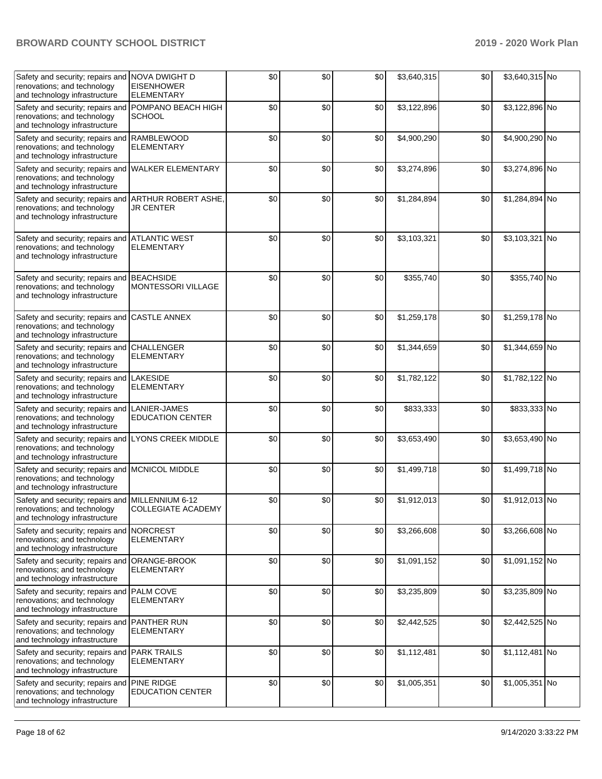| Safety and security; repairs and NOVA DWIGHT D<br>renovations; and technology<br>and technology infrastructure       | <b>EISENHOWER</b><br><b>ELEMENTARY</b>         | \$0 | \$0 | \$0 | \$3,640,315 | \$0 | \$3,640,315 No |  |
|----------------------------------------------------------------------------------------------------------------------|------------------------------------------------|-----|-----|-----|-------------|-----|----------------|--|
| Safety and security; repairs and<br>renovations; and technology<br>and technology infrastructure                     | POMPANO BEACH HIGH<br><b>SCHOOL</b>            | \$0 | \$0 | \$0 | \$3,122,896 | \$0 | \$3,122,896 No |  |
| Safety and security; repairs and<br>renovations; and technology<br>and technology infrastructure                     | <b>RAMBLEWOOD</b><br><b>ELEMENTARY</b>         | \$0 | \$0 | \$0 | \$4,900,290 | \$0 | \$4,900,290 No |  |
| Safety and security; repairs and<br>renovations; and technology<br>and technology infrastructure                     | <b>WALKER ELEMENTARY</b>                       | \$0 | \$0 | \$0 | \$3,274,896 | \$0 | \$3,274,896 No |  |
| Safety and security; repairs and ARTHUR ROBERT ASHE,<br>renovations; and technology<br>and technology infrastructure | <b>JR CENTER</b>                               | \$0 | \$0 | \$0 | \$1,284,894 | \$0 | \$1,284,894 No |  |
| Safety and security; repairs and ATLANTIC WEST<br>renovations; and technology<br>and technology infrastructure       | <b>ELEMENTARY</b>                              | \$0 | \$0 | \$0 | \$3,103,321 | \$0 | \$3,103,321 No |  |
| Safety and security; repairs and BEACHSIDE<br>renovations; and technology<br>and technology infrastructure           | <b>MONTESSORI VILLAGE</b>                      | \$0 | \$0 | \$0 | \$355,740   | \$0 | \$355,740 No   |  |
| Safety and security; repairs and CASTLE ANNEX<br>renovations; and technology<br>and technology infrastructure        |                                                | \$0 | \$0 | \$0 | \$1,259,178 | \$0 | \$1,259,178 No |  |
| Safety and security; repairs and CHALLENGER<br>renovations; and technology<br>and technology infrastructure          | <b>ELEMENTARY</b>                              | \$0 | \$0 | \$0 | \$1,344,659 | \$0 | \$1,344,659 No |  |
| Safety and security; repairs and LAKESIDE<br>renovations; and technology<br>and technology infrastructure            | <b>ELEMENTARY</b>                              | \$0 | \$0 | \$0 | \$1,782,122 | \$0 | \$1,782,122 No |  |
| Safety and security; repairs and<br>renovations; and technology<br>and technology infrastructure                     | <b>LANIER-JAMES</b><br><b>EDUCATION CENTER</b> | \$0 | \$0 | \$0 | \$833,333   | \$0 | \$833,333 No   |  |
| Safety and security; repairs and LYONS CREEK MIDDLE<br>renovations; and technology<br>and technology infrastructure  |                                                | \$0 | \$0 | \$0 | \$3,653,490 | \$0 | \$3,653,490 No |  |
| Safety and security; repairs and MCNICOL MIDDLE<br>renovations; and technology<br>and technology infrastructure      |                                                | \$0 | \$0 | \$0 | \$1,499,718 | \$0 | \$1,499,718 No |  |
| Safety and security; repairs and MILLENNIUM 6-12<br>renovations; and technology<br>and technology infrastructure     | <b>COLLEGIATE ACADEMY</b>                      | \$0 | \$0 | \$0 | \$1,912,013 | \$0 | \$1,912,013 No |  |
| Safety and security; repairs and NORCREST<br>renovations; and technology<br>and technology infrastructure            | ELEMENTARY                                     | \$0 | \$0 | \$0 | \$3,266,608 | \$0 | \$3,266,608 No |  |
| Safety and security; repairs and<br>renovations; and technology<br>and technology infrastructure                     | ORANGE-BROOK<br><b>ELEMENTARY</b>              | \$0 | \$0 | \$0 | \$1,091,152 | \$0 | \$1,091,152 No |  |
| Safety and security; repairs and<br>renovations; and technology<br>and technology infrastructure                     | <b>PALM COVE</b><br>ELEMENTARY                 | \$0 | \$0 | \$0 | \$3,235,809 | \$0 | \$3,235,809 No |  |
| Safety and security; repairs and<br>renovations; and technology<br>and technology infrastructure                     | <b>PANTHER RUN</b><br>ELEMENTARY               | \$0 | \$0 | \$0 | \$2,442,525 | \$0 | \$2,442,525 No |  |
| Safety and security; repairs and<br>renovations; and technology<br>and technology infrastructure                     | <b>PARK TRAILS</b><br>ELEMENTARY               | \$0 | \$0 | \$0 | \$1,112,481 | \$0 | \$1,112,481 No |  |
| Safety and security; repairs and PINE RIDGE<br>renovations; and technology<br>and technology infrastructure          | <b>EDUCATION CENTER</b>                        | \$0 | \$0 | \$0 | \$1,005,351 | \$0 | \$1,005,351 No |  |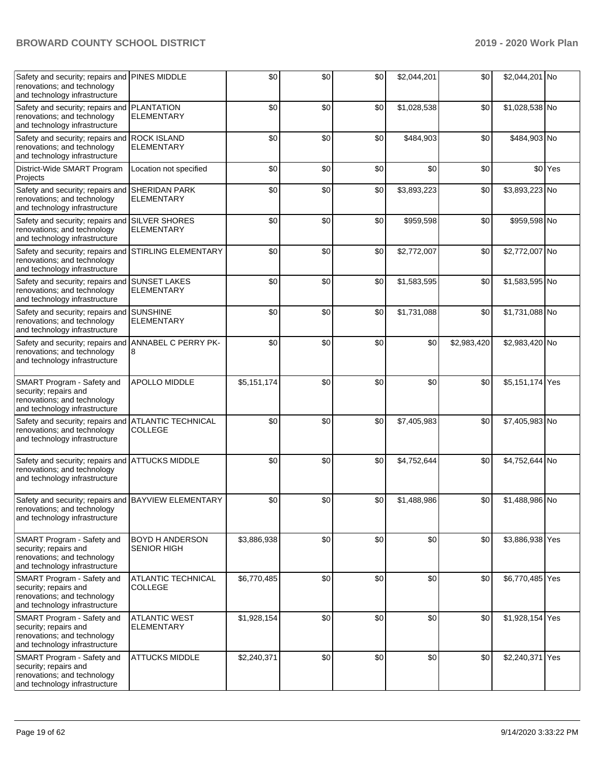| Safety and security; repairs and<br>renovations; and technology<br>and technology infrastructure                    | <b>PINES MIDDLE</b>                          | \$0         | \$0 | \$0 | \$2,044,201 | \$0         | \$2,044,201 No  |         |
|---------------------------------------------------------------------------------------------------------------------|----------------------------------------------|-------------|-----|-----|-------------|-------------|-----------------|---------|
| Safety and security; repairs and<br>renovations; and technology<br>and technology infrastructure                    | <b>PLANTATION</b><br><b>ELEMENTARY</b>       | \$0         | \$0 | \$0 | \$1,028,538 | \$0         | \$1,028,538 No  |         |
| Safety and security; repairs and<br>renovations; and technology<br>and technology infrastructure                    | <b>ROCK ISLAND</b><br><b>ELEMENTARY</b>      | \$0         | \$0 | \$0 | \$484,903   | \$0         | \$484,903 No    |         |
| District-Wide SMART Program<br>Projects                                                                             | Location not specified                       | \$0         | \$0 | \$0 | \$0         | \$0         |                 | \$0 Yes |
| Safety and security; repairs and<br>renovations; and technology<br>and technology infrastructure                    | <b>SHERIDAN PARK</b><br><b>ELEMENTARY</b>    | \$0         | \$0 | \$0 | \$3,893,223 | \$0         | \$3,893,223 No  |         |
| Safety and security; repairs and<br>renovations; and technology<br>and technology infrastructure                    | <b>SILVER SHORES</b><br>ELEMENTARY           | \$0         | \$0 | \$0 | \$959,598   | \$0         | \$959,598 No    |         |
| Safety and security; repairs and<br>renovations; and technology<br>and technology infrastructure                    | <b>STIRLING ELEMENTARY</b>                   | \$0         | \$0 | \$0 | \$2,772,007 | \$0         | \$2,772,007 No  |         |
| Safety and security; repairs and SUNSET LAKES<br>renovations; and technology<br>and technology infrastructure       | <b>ELEMENTARY</b>                            | \$0         | \$0 | \$0 | \$1,583,595 | \$0         | \$1,583,595 No  |         |
| Safety and security; repairs and SUNSHINE<br>renovations; and technology<br>and technology infrastructure           | <b>ELEMENTARY</b>                            | \$0         | \$0 | \$0 | \$1,731,088 | \$0         | \$1,731,088 No  |         |
| Safety and security; repairs and<br>renovations; and technology<br>and technology infrastructure                    | ANNABEL C PERRY PK-<br>8                     | \$0         | \$0 | \$0 | \$0         | \$2,983,420 | \$2,983,420 No  |         |
| SMART Program - Safety and<br>security; repairs and<br>renovations; and technology<br>and technology infrastructure | <b>APOLLO MIDDLE</b>                         | \$5,151,174 | \$0 | \$0 | \$0         | \$0         | \$5,151,174 Yes |         |
| Safety and security; repairs and<br>renovations; and technology<br>and technology infrastructure                    | <b>ATLANTIC TECHNICAL</b><br>COLLEGE         | \$0         | \$0 | \$0 | \$7,405,983 | \$0         | \$7,405,983 No  |         |
| Safety and security; repairs and<br>renovations; and technology<br>and technology infrastructure                    | <b>ATTUCKS MIDDLE</b>                        | \$0         | \$0 | \$0 | \$4,752,644 | \$0         | \$4,752,644 No  |         |
| Safety and security; repairs and BAYVIEW ELEMENTARY<br>renovations; and technology<br>and technology infrastructure |                                              | \$0         | \$0 | \$0 | \$1,488,986 | \$0         | \$1,488,986 No  |         |
| SMART Program - Safety and<br>security; repairs and<br>renovations; and technology<br>and technology infrastructure | <b>BOYD H ANDERSON</b><br><b>SENIOR HIGH</b> | \$3,886,938 | \$0 | \$0 | \$0         | \$0         | \$3,886,938 Yes |         |
| SMART Program - Safety and<br>security; repairs and<br>renovations; and technology<br>and technology infrastructure | ATLANTIC TECHNICAL<br><b>COLLEGE</b>         | \$6,770,485 | \$0 | \$0 | \$0         | \$0         | \$6,770,485 Yes |         |
| SMART Program - Safety and<br>security; repairs and<br>renovations; and technology<br>and technology infrastructure | <b>ATLANTIC WEST</b><br><b>ELEMENTARY</b>    | \$1,928,154 | \$0 | \$0 | \$0         | \$0         | \$1,928,154 Yes |         |
| SMART Program - Safety and<br>security; repairs and<br>renovations; and technology<br>and technology infrastructure | <b>ATTUCKS MIDDLE</b>                        | \$2,240,371 | \$0 | \$0 | \$0         | \$0         | \$2,240,371 Yes |         |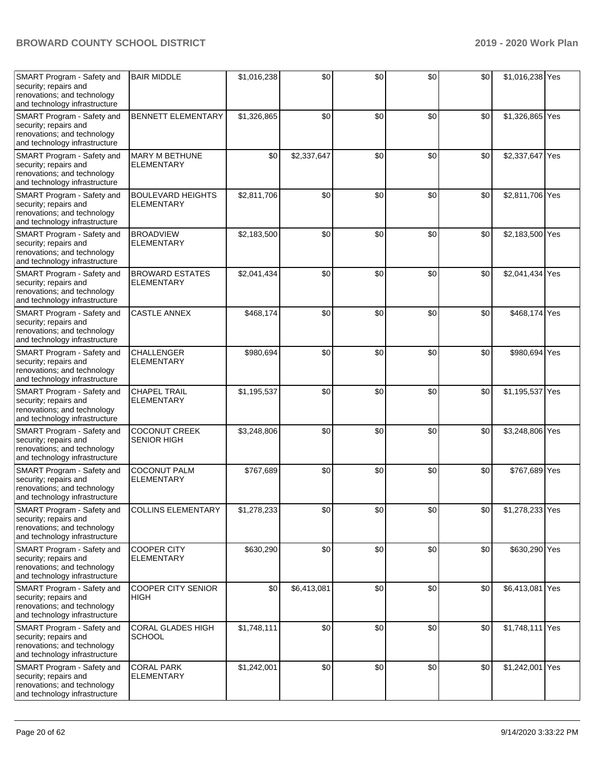| SMART Program - Safety and<br>security; repairs and<br>renovations; and technology<br>and technology infrastructure | <b>BAIR MIDDLE</b>                            | \$1,016,238 | \$0         | \$0 | \$0 | \$0 | \$1,016,238 Yes |  |
|---------------------------------------------------------------------------------------------------------------------|-----------------------------------------------|-------------|-------------|-----|-----|-----|-----------------|--|
| SMART Program - Safety and<br>security; repairs and<br>renovations; and technology<br>and technology infrastructure | <b>BENNETT ELEMENTARY</b>                     | \$1,326,865 | \$0         | \$0 | \$0 | \$0 | \$1,326,865 Yes |  |
| SMART Program - Safety and<br>security; repairs and<br>renovations; and technology<br>and technology infrastructure | <b>MARY M BETHUNE</b><br><b>ELEMENTARY</b>    | \$0         | \$2,337,647 | \$0 | \$0 | \$0 | \$2,337,647 Yes |  |
| SMART Program - Safety and<br>security; repairs and<br>renovations; and technology<br>and technology infrastructure | <b>BOULEVARD HEIGHTS</b><br><b>ELEMENTARY</b> | \$2,811,706 | \$0         | \$0 | \$0 | \$0 | \$2,811,706 Yes |  |
| SMART Program - Safety and<br>security; repairs and<br>renovations; and technology<br>and technology infrastructure | <b>BROADVIEW</b><br><b>ELEMENTARY</b>         | \$2,183,500 | \$0         | \$0 | \$0 | \$0 | \$2,183,500 Yes |  |
| SMART Program - Safety and<br>security; repairs and<br>renovations; and technology<br>and technology infrastructure | <b>BROWARD ESTATES</b><br><b>ELEMENTARY</b>   | \$2,041,434 | \$0         | \$0 | \$0 | \$0 | \$2,041,434 Yes |  |
| SMART Program - Safety and<br>security; repairs and<br>renovations; and technology<br>and technology infrastructure | <b>CASTLE ANNEX</b>                           | \$468,174   | \$0         | \$0 | \$0 | \$0 | \$468,174 Yes   |  |
| SMART Program - Safety and<br>security; repairs and<br>renovations; and technology<br>and technology infrastructure | <b>CHALLENGER</b><br><b>ELEMENTARY</b>        | \$980,694   | \$0         | \$0 | \$0 | \$0 | \$980,694 Yes   |  |
| SMART Program - Safety and<br>security; repairs and<br>renovations; and technology<br>and technology infrastructure | <b>CHAPEL TRAIL</b><br><b>ELEMENTARY</b>      | \$1,195,537 | \$0         | \$0 | \$0 | \$0 | \$1,195,537 Yes |  |
| SMART Program - Safety and<br>security; repairs and<br>renovations; and technology<br>and technology infrastructure | <b>COCONUT CREEK</b><br><b>SENIOR HIGH</b>    | \$3,248,806 | \$0         | \$0 | \$0 | \$0 | \$3,248,806 Yes |  |
| SMART Program - Safety and<br>security; repairs and<br>renovations; and technology<br>and technology infrastructure | <b>COCONUT PALM</b><br><b>ELEMENTARY</b>      | \$767,689   | \$0         | \$0 | \$0 | \$0 | \$767,689 Yes   |  |
| SMART Program - Safety and<br>security; repairs and<br>renovations; and technology<br>and technology infrastructure | <b>COLLINS ELEMENTARY</b>                     | \$1,278,233 | \$0         | \$0 | \$0 | \$0 | \$1,278,233 Yes |  |
| SMART Program - Safety and<br>security; repairs and<br>renovations; and technology<br>and technology infrastructure | <b>COOPER CITY</b><br><b>ELEMENTARY</b>       | \$630,290   | \$0         | \$0 | \$0 | \$0 | \$630,290 Yes   |  |
| SMART Program - Safety and<br>security; repairs and<br>renovations; and technology<br>and technology infrastructure | COOPER CITY SENIOR<br>HIGH                    | \$0         | \$6,413,081 | \$0 | \$0 | \$0 | \$6,413,081 Yes |  |
| SMART Program - Safety and<br>security; repairs and<br>renovations; and technology<br>and technology infrastructure | CORAL GLADES HIGH<br><b>SCHOOL</b>            | \$1,748,111 | \$0         | \$0 | \$0 | \$0 | \$1,748,111 Yes |  |
| SMART Program - Safety and<br>security; repairs and<br>renovations; and technology<br>and technology infrastructure | <b>CORAL PARK</b><br><b>ELEMENTARY</b>        | \$1,242,001 | \$0         | \$0 | \$0 | \$0 | \$1,242,001 Yes |  |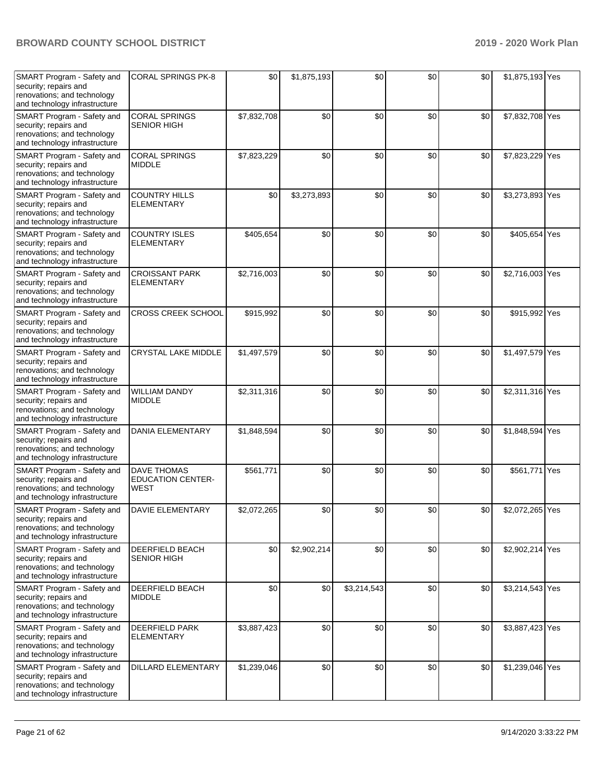| SMART Program - Safety and<br>security; repairs and<br>renovations; and technology<br>and technology infrastructure | <b>CORAL SPRINGS PK-8</b>                              | \$0         | \$1,875,193 | \$0         | \$0 | \$0 | \$1,875,193 Yes |     |
|---------------------------------------------------------------------------------------------------------------------|--------------------------------------------------------|-------------|-------------|-------------|-----|-----|-----------------|-----|
| SMART Program - Safety and<br>security; repairs and<br>renovations; and technology<br>and technology infrastructure | <b>CORAL SPRINGS</b><br><b>SENIOR HIGH</b>             | \$7,832,708 | \$0         | \$0         | \$0 | \$0 | \$7,832,708 Yes |     |
| SMART Program - Safety and<br>security; repairs and<br>renovations; and technology<br>and technology infrastructure | <b>CORAL SPRINGS</b><br><b>MIDDLE</b>                  | \$7,823,229 | \$0         | \$0         | \$0 | \$0 | \$7,823,229     | Yes |
| SMART Program - Safety and<br>security; repairs and<br>renovations; and technology<br>and technology infrastructure | <b>COUNTRY HILLS</b><br><b>ELEMENTARY</b>              | \$0         | \$3,273,893 | \$0         | \$0 | \$0 | \$3,273,893 Yes |     |
| SMART Program - Safety and<br>security; repairs and<br>renovations; and technology<br>and technology infrastructure | <b>COUNTRY ISLES</b><br><b>ELEMENTARY</b>              | \$405,654   | \$0         | \$0         | \$0 | \$0 | \$405,654 Yes   |     |
| SMART Program - Safety and<br>security; repairs and<br>renovations; and technology<br>and technology infrastructure | <b>CROISSANT PARK</b><br><b>ELEMENTARY</b>             | \$2,716,003 | \$0         | \$0         | \$0 | \$0 | \$2,716,003 Yes |     |
| SMART Program - Safety and<br>security; repairs and<br>renovations; and technology<br>and technology infrastructure | <b>CROSS CREEK SCHOOL</b>                              | \$915,992   | \$0         | \$0         | \$0 | \$0 | \$915,992 Yes   |     |
| SMART Program - Safety and<br>security; repairs and<br>renovations; and technology<br>and technology infrastructure | CRYSTAL LAKE MIDDLE                                    | \$1,497,579 | \$0         | \$0         | \$0 | \$0 | \$1,497,579 Yes |     |
| SMART Program - Safety and<br>security; repairs and<br>renovations; and technology<br>and technology infrastructure | <b>WILLIAM DANDY</b><br><b>MIDDLE</b>                  | \$2,311,316 | \$0         | \$0         | \$0 | \$0 | \$2,311,316 Yes |     |
| SMART Program - Safety and<br>security; repairs and<br>renovations; and technology<br>and technology infrastructure | <b>DANIA ELEMENTARY</b>                                | \$1,848,594 | \$0         | \$0         | \$0 | \$0 | \$1,848,594 Yes |     |
| SMART Program - Safety and<br>security; repairs and<br>renovations; and technology<br>and technology infrastructure | <b>DAVE THOMAS</b><br><b>EDUCATION CENTER-</b><br>WEST | \$561,771   | \$0         | \$0         | \$0 | \$0 | \$561,771 Yes   |     |
| SMART Program - Safety and<br>security; repairs and<br>renovations; and technology<br>and technology infrastructure | <b>DAVIE ELEMENTARY</b>                                | \$2,072,265 | \$0         | \$0         | \$0 | \$0 | \$2,072,265 Yes |     |
| SMART Program - Safety and<br>security; repairs and<br>renovations; and technology<br>and technology infrastructure | <b>DEERFIELD BEACH</b><br><b>SENIOR HIGH</b>           | \$0         | \$2,902,214 | \$0         | \$0 | \$0 | \$2,902,214 Yes |     |
| SMART Program - Safety and<br>security; repairs and<br>renovations; and technology<br>and technology infrastructure | DEERFIELD BEACH<br><b>MIDDLE</b>                       | \$0         | \$0         | \$3,214,543 | \$0 | \$0 | \$3,214,543 Yes |     |
| SMART Program - Safety and<br>security; repairs and<br>renovations; and technology<br>and technology infrastructure | <b>DEERFIELD PARK</b><br><b>ELEMENTARY</b>             | \$3,887,423 | \$0         | \$0         | \$0 | \$0 | \$3,887,423 Yes |     |
| SMART Program - Safety and<br>security; repairs and<br>renovations; and technology<br>and technology infrastructure | <b>DILLARD ELEMENTARY</b>                              | \$1,239,046 | \$0         | \$0         | \$0 | \$0 | \$1,239,046 Yes |     |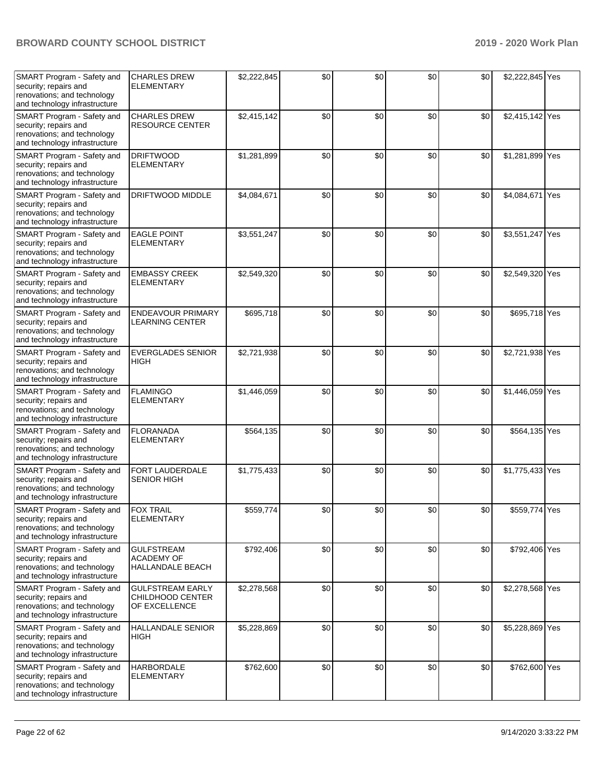| SMART Program - Safety and<br>security; repairs and<br>renovations; and technology<br>and technology infrastructure | <b>CHARLES DREW</b><br><b>ELEMENTARY</b>                     | \$2,222,845 | \$0 | \$0 | \$0 | \$0 | \$2,222,845 Yes |  |
|---------------------------------------------------------------------------------------------------------------------|--------------------------------------------------------------|-------------|-----|-----|-----|-----|-----------------|--|
| SMART Program - Safety and<br>security; repairs and<br>renovations; and technology<br>and technology infrastructure | <b>CHARLES DREW</b><br><b>RESOURCE CENTER</b>                | \$2,415,142 | \$0 | \$0 | \$0 | \$0 | \$2,415,142 Yes |  |
| SMART Program - Safety and<br>security; repairs and<br>renovations; and technology<br>and technology infrastructure | <b>DRIFTWOOD</b><br><b>ELEMENTARY</b>                        | \$1,281,899 | \$0 | \$0 | \$0 | \$0 | \$1,281,899 Yes |  |
| SMART Program - Safety and<br>security; repairs and<br>renovations; and technology<br>and technology infrastructure | DRIFTWOOD MIDDLE                                             | \$4,084,671 | \$0 | \$0 | \$0 | \$0 | \$4,084,671 Yes |  |
| SMART Program - Safety and<br>security; repairs and<br>renovations; and technology<br>and technology infrastructure | <b>EAGLE POINT</b><br><b>ELEMENTARY</b>                      | \$3,551,247 | \$0 | \$0 | \$0 | \$0 | \$3,551,247 Yes |  |
| SMART Program - Safety and<br>security; repairs and<br>renovations; and technology<br>and technology infrastructure | <b>EMBASSY CREEK</b><br><b>ELEMENTARY</b>                    | \$2,549,320 | \$0 | \$0 | \$0 | \$0 | \$2,549,320 Yes |  |
| SMART Program - Safety and<br>security; repairs and<br>renovations; and technology<br>and technology infrastructure | <b>ENDEAVOUR PRIMARY</b><br><b>LEARNING CENTER</b>           | \$695,718   | \$0 | \$0 | \$0 | \$0 | \$695,718 Yes   |  |
| SMART Program - Safety and<br>security; repairs and<br>renovations; and technology<br>and technology infrastructure | <b>EVERGLADES SENIOR</b><br><b>HIGH</b>                      | \$2,721,938 | \$0 | \$0 | \$0 | \$0 | \$2,721,938 Yes |  |
| SMART Program - Safety and<br>security; repairs and<br>renovations; and technology<br>and technology infrastructure | <b>FLAMINGO</b><br><b>ELEMENTARY</b>                         | \$1,446,059 | \$0 | \$0 | \$0 | \$0 | \$1,446,059 Yes |  |
| SMART Program - Safety and<br>security; repairs and<br>renovations; and technology<br>and technology infrastructure | <b>FLORANADA</b><br><b>ELEMENTARY</b>                        | \$564,135   | \$0 | \$0 | \$0 | \$0 | \$564,135 Yes   |  |
| SMART Program - Safety and<br>security; repairs and<br>renovations; and technology<br>and technology infrastructure | FORT LAUDERDALE<br><b>SENIOR HIGH</b>                        | \$1,775,433 | \$0 | \$0 | \$0 | \$0 | \$1,775,433 Yes |  |
| SMART Program - Safety and<br>security; repairs and<br>renovations; and technology<br>and technology infrastructure | <b>FOX TRAIL</b><br><b>ELEMENTARY</b>                        | \$559,774   | \$0 | \$0 | \$0 | \$0 | \$559,774 Yes   |  |
| SMART Program - Safety and<br>security; repairs and<br>renovations; and technology<br>and technology infrastructure | <b>GULFSTREAM</b><br><b>ACADEMY OF</b><br>HALLANDALE BEACH   | \$792,406   | \$0 | \$0 | \$0 | \$0 | \$792,406 Yes   |  |
| SMART Program - Safety and<br>security; repairs and<br>renovations; and technology<br>and technology infrastructure | <b>GULFSTREAM EARLY</b><br>CHILDHOOD CENTER<br>OF EXCELLENCE | \$2,278,568 | \$0 | \$0 | \$0 | \$0 | \$2,278,568 Yes |  |
| SMART Program - Safety and<br>security; repairs and<br>renovations; and technology<br>and technology infrastructure | <b>HALLANDALE SENIOR</b><br>HIGH                             | \$5,228,869 | \$0 | \$0 | \$0 | \$0 | \$5,228,869 Yes |  |
| SMART Program - Safety and<br>security; repairs and<br>renovations; and technology<br>and technology infrastructure | <b>HARBORDALE</b><br><b>ELEMENTARY</b>                       | \$762,600   | \$0 | \$0 | \$0 | \$0 | \$762,600 Yes   |  |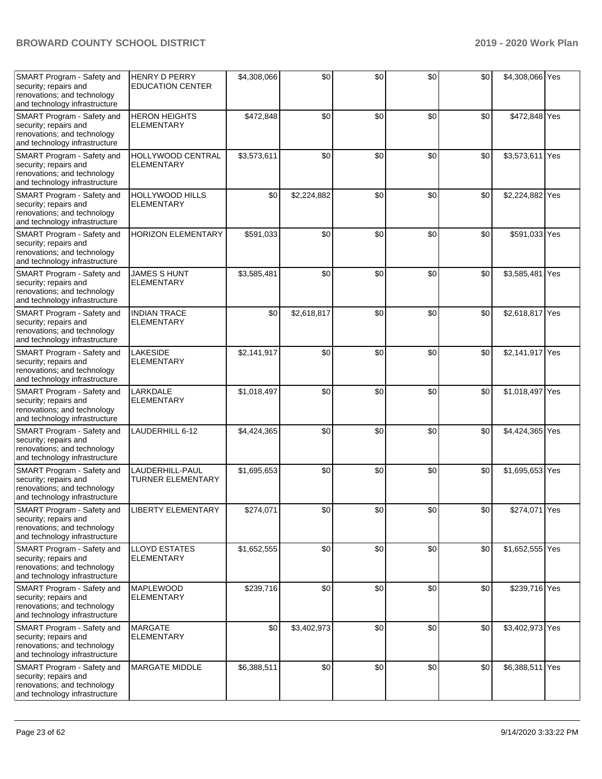| SMART Program - Safety and<br>security; repairs and<br>renovations; and technology<br>and technology infrastructure | <b>HENRY D PERRY</b><br><b>EDUCATION CENTER</b> | \$4,308,066 | \$0         | \$0 | \$0 | \$0 | \$4,308,066 Yes |  |
|---------------------------------------------------------------------------------------------------------------------|-------------------------------------------------|-------------|-------------|-----|-----|-----|-----------------|--|
| SMART Program - Safety and<br>security; repairs and<br>renovations; and technology<br>and technology infrastructure | <b>HERON HEIGHTS</b><br><b>ELEMENTARY</b>       | \$472,848   | \$0         | \$0 | \$0 | \$0 | \$472,848 Yes   |  |
| SMART Program - Safety and<br>security; repairs and<br>renovations; and technology<br>and technology infrastructure | HOLLYWOOD CENTRAL<br><b>ELEMENTARY</b>          | \$3,573,611 | \$0         | \$0 | \$0 | \$0 | \$3,573,611 Yes |  |
| SMART Program - Safety and<br>security; repairs and<br>renovations; and technology<br>and technology infrastructure | <b>HOLLYWOOD HILLS</b><br><b>ELEMENTARY</b>     | \$0         | \$2,224,882 | \$0 | \$0 | \$0 | \$2,224,882 Yes |  |
| SMART Program - Safety and<br>security; repairs and<br>renovations; and technology<br>and technology infrastructure | <b>HORIZON ELEMENTARY</b>                       | \$591,033   | \$0         | \$0 | \$0 | \$0 | \$591,033 Yes   |  |
| SMART Program - Safety and<br>security; repairs and<br>renovations; and technology<br>and technology infrastructure | <b>JAMES S HUNT</b><br><b>ELEMENTARY</b>        | \$3,585,481 | \$0         | \$0 | \$0 | \$0 | \$3,585,481 Yes |  |
| SMART Program - Safety and<br>security; repairs and<br>renovations; and technology<br>and technology infrastructure | <b>INDIAN TRACE</b><br><b>ELEMENTARY</b>        | \$0         | \$2,618,817 | \$0 | \$0 | \$0 | \$2,618,817 Yes |  |
| SMART Program - Safety and<br>security; repairs and<br>renovations; and technology<br>and technology infrastructure | <b>LAKESIDE</b><br><b>ELEMENTARY</b>            | \$2,141,917 | \$0         | \$0 | \$0 | \$0 | \$2,141,917 Yes |  |
| SMART Program - Safety and<br>security; repairs and<br>renovations; and technology<br>and technology infrastructure | LARKDALE<br><b>ELEMENTARY</b>                   | \$1,018,497 | \$0         | \$0 | \$0 | \$0 | \$1,018,497 Yes |  |
| SMART Program - Safety and<br>security; repairs and<br>renovations; and technology<br>and technology infrastructure | LAUDERHILL 6-12                                 | \$4,424,365 | \$0         | \$0 | \$0 | \$0 | \$4,424,365 Yes |  |
| SMART Program - Safety and<br>security; repairs and<br>renovations; and technology<br>and technology infrastructure | LAUDERHILL-PAUL<br><b>TURNER ELEMENTARY</b>     | \$1,695,653 | \$0         | \$0 | \$0 | \$0 | \$1,695,653 Yes |  |
| SMART Program - Safety and<br>security; repairs and<br>renovations; and technology<br>and technology infrastructure | <b>LIBERTY ELEMENTARY</b>                       | \$274,071   | \$0         | \$0 | \$0 | \$0 | \$274,071 Yes   |  |
| SMART Program - Safety and<br>security; repairs and<br>renovations; and technology<br>and technology infrastructure | <b>LLOYD ESTATES</b><br><b>ELEMENTARY</b>       | \$1,652,555 | \$0         | \$0 | \$0 | \$0 | \$1,652,555 Yes |  |
| SMART Program - Safety and<br>security; repairs and<br>renovations; and technology<br>and technology infrastructure | <b>MAPLEWOOD</b><br><b>ELEMENTARY</b>           | \$239,716   | \$0         | \$0 | \$0 | \$0 | \$239,716 Yes   |  |
| SMART Program - Safety and<br>security; repairs and<br>renovations; and technology<br>and technology infrastructure | <b>MARGATE</b><br><b>ELEMENTARY</b>             | \$0         | \$3,402,973 | \$0 | \$0 | \$0 | \$3,402,973 Yes |  |
| SMART Program - Safety and<br>security; repairs and<br>renovations; and technology<br>and technology infrastructure | <b>MARGATE MIDDLE</b>                           | \$6,388,511 | \$0         | \$0 | \$0 | \$0 | \$6,388,511 Yes |  |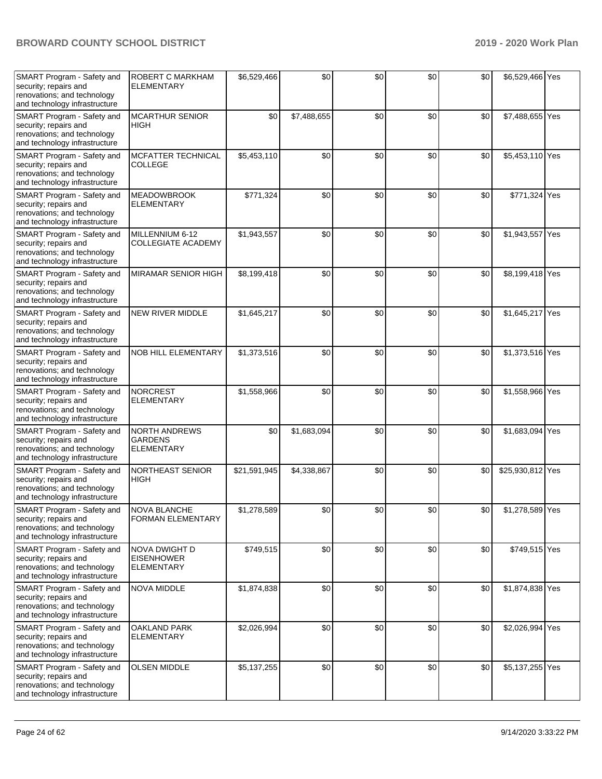| SMART Program - Safety and<br>security; repairs and<br>renovations; and technology<br>and technology infrastructure | ROBERT C MARKHAM<br><b>ELEMENTARY</b>                          | \$6,529,466  | \$0         | \$0 | \$0 | \$0 | \$6,529,466 Yes  |  |
|---------------------------------------------------------------------------------------------------------------------|----------------------------------------------------------------|--------------|-------------|-----|-----|-----|------------------|--|
| SMART Program - Safety and<br>security; repairs and<br>renovations; and technology<br>and technology infrastructure | <b>MCARTHUR SENIOR</b><br><b>HIGH</b>                          | \$0          | \$7,488,655 | \$0 | \$0 | \$0 | \$7,488,655 Yes  |  |
| SMART Program - Safety and<br>security; repairs and<br>renovations; and technology<br>and technology infrastructure | <b>MCFATTER TECHNICAL</b><br><b>COLLEGE</b>                    | \$5,453,110  | \$0         | \$0 | \$0 | \$0 | \$5,453,110 Yes  |  |
| SMART Program - Safety and<br>security; repairs and<br>renovations; and technology<br>and technology infrastructure | <b>MEADOWBROOK</b><br><b>ELEMENTARY</b>                        | \$771,324    | \$0         | \$0 | \$0 | \$0 | \$771,324 Yes    |  |
| SMART Program - Safety and<br>security; repairs and<br>renovations; and technology<br>and technology infrastructure | MILLENNIUM 6-12<br><b>COLLEGIATE ACADEMY</b>                   | \$1,943,557  | \$0         | \$0 | \$0 | \$0 | \$1,943,557 Yes  |  |
| SMART Program - Safety and<br>security; repairs and<br>renovations; and technology<br>and technology infrastructure | <b>MIRAMAR SENIOR HIGH</b>                                     | \$8,199,418  | \$0         | \$0 | \$0 | \$0 | \$8,199,418 Yes  |  |
| SMART Program - Safety and<br>security; repairs and<br>renovations; and technology<br>and technology infrastructure | <b>NEW RIVER MIDDLE</b>                                        | \$1,645,217  | \$0         | \$0 | \$0 | \$0 | \$1,645,217 Yes  |  |
| SMART Program - Safety and<br>security; repairs and<br>renovations; and technology<br>and technology infrastructure | <b>NOB HILL ELEMENTARY</b>                                     | \$1,373,516  | \$0         | \$0 | \$0 | \$0 | \$1,373,516 Yes  |  |
| SMART Program - Safety and<br>security; repairs and<br>renovations; and technology<br>and technology infrastructure | <b>NORCREST</b><br><b>ELEMENTARY</b>                           | \$1,558,966  | \$0         | \$0 | \$0 | \$0 | \$1,558,966 Yes  |  |
| SMART Program - Safety and<br>security; repairs and<br>renovations; and technology<br>and technology infrastructure | <b>NORTH ANDREWS</b><br><b>GARDENS</b><br>ELEMENTARY           | \$0          | \$1,683,094 | \$0 | \$0 | \$0 | \$1,683,094 Yes  |  |
| SMART Program - Safety and<br>security; repairs and<br>renovations; and technology<br>and technology infrastructure | <b>NORTHEAST SENIOR</b><br><b>HIGH</b>                         | \$21,591,945 | \$4,338,867 | \$0 | \$0 | \$0 | \$25,930,812 Yes |  |
| SMART Program - Safety and<br>security; repairs and<br>renovations; and technology<br>and technology infrastructure | <b>NOVA BLANCHE</b><br><b>FORMAN ELEMENTARY</b>                | \$1,278,589  | \$0         | \$0 | \$0 | \$0 | \$1,278,589 Yes  |  |
| SMART Program - Safety and<br>security; repairs and<br>renovations; and technology<br>and technology infrastructure | <b>NOVA DWIGHT D</b><br><b>EISENHOWER</b><br><b>ELEMENTARY</b> | \$749,515    | \$0         | \$0 | \$0 | \$0 | \$749,515 Yes    |  |
| SMART Program - Safety and<br>security; repairs and<br>renovations; and technology<br>and technology infrastructure | <b>NOVA MIDDLE</b>                                             | \$1,874,838  | \$0         | \$0 | \$0 | \$0 | \$1,874,838 Yes  |  |
| SMART Program - Safety and<br>security; repairs and<br>renovations; and technology<br>and technology infrastructure | <b>OAKLAND PARK</b><br><b>ELEMENTARY</b>                       | \$2,026,994  | \$0         | \$0 | \$0 | \$0 | \$2,026,994 Yes  |  |
| SMART Program - Safety and<br>security; repairs and<br>renovations; and technology<br>and technology infrastructure | <b>OLSEN MIDDLE</b>                                            | \$5,137,255  | \$0         | \$0 | \$0 | \$0 | \$5,137,255 Yes  |  |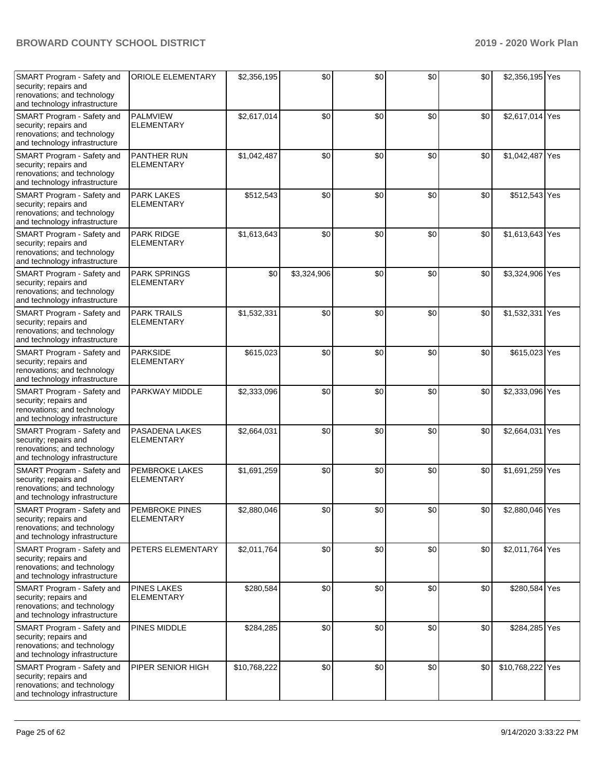| SMART Program - Safety and<br>security; repairs and<br>renovations; and technology<br>and technology infrastructure | <b>ORIOLE ELEMENTARY</b>                 | \$2,356,195  | \$0         | \$0 | \$0 | \$0 | \$2,356,195 Yes  |     |
|---------------------------------------------------------------------------------------------------------------------|------------------------------------------|--------------|-------------|-----|-----|-----|------------------|-----|
| SMART Program - Safety and<br>security; repairs and<br>renovations; and technology<br>and technology infrastructure | PALMVIEW<br><b>ELEMENTARY</b>            | \$2,617,014  | \$0         | \$0 | \$0 | \$0 | \$2,617,014 Yes  |     |
| SMART Program - Safety and<br>security; repairs and<br>renovations; and technology<br>and technology infrastructure | PANTHER RUN<br><b>ELEMENTARY</b>         | \$1,042,487  | \$0         | \$0 | \$0 | \$0 | \$1,042,487 Yes  |     |
| SMART Program - Safety and<br>security; repairs and<br>renovations; and technology<br>and technology infrastructure | <b>PARK LAKES</b><br><b>ELEMENTARY</b>   | \$512,543    | \$0         | \$0 | \$0 | \$0 | \$512,543 Yes    |     |
| SMART Program - Safety and<br>security; repairs and<br>renovations; and technology<br>and technology infrastructure | <b>PARK RIDGE</b><br><b>ELEMENTARY</b>   | \$1,613,643  | \$0         | \$0 | \$0 | \$0 | \$1,613,643 Yes  |     |
| SMART Program - Safety and<br>security; repairs and<br>renovations; and technology<br>and technology infrastructure | <b>PARK SPRINGS</b><br><b>ELEMENTARY</b> | \$0          | \$3,324,906 | \$0 | \$0 | \$0 | \$3,324,906 Yes  |     |
| SMART Program - Safety and<br>security; repairs and<br>renovations; and technology<br>and technology infrastructure | <b>PARK TRAILS</b><br><b>ELEMENTARY</b>  | \$1,532,331  | \$0         | \$0 | \$0 | \$0 | \$1,532,331      | Yes |
| SMART Program - Safety and<br>security; repairs and<br>renovations; and technology<br>and technology infrastructure | <b>PARKSIDE</b><br><b>ELEMENTARY</b>     | \$615,023    | \$0         | \$0 | \$0 | \$0 | \$615,023 Yes    |     |
| SMART Program - Safety and<br>security; repairs and<br>renovations; and technology<br>and technology infrastructure | PARKWAY MIDDLE                           | \$2,333,096  | \$0         | \$0 | \$0 | \$0 | \$2,333,096 Yes  |     |
| SMART Program - Safety and<br>security; repairs and<br>renovations; and technology<br>and technology infrastructure | PASADENA LAKES<br><b>ELEMENTARY</b>      | \$2,664,031  | \$0         | \$0 | \$0 | \$0 | \$2,664,031      | Yes |
| SMART Program - Safety and<br>security; repairs and<br>renovations; and technology<br>and technology infrastructure | PEMBROKE LAKES<br><b>ELEMENTARY</b>      | \$1,691,259  | \$0         | \$0 | \$0 | \$0 | \$1,691,259 Yes  |     |
| SMART Program - Safety and<br>security; repairs and<br>renovations; and technology<br>and technology infrastructure | PEMBROKE PINES<br><b>ELEMENTARY</b>      | \$2,880,046  | \$0         | \$0 | \$0 | \$0 | \$2,880,046 Yes  |     |
| SMART Program - Safety and<br>security; repairs and<br>renovations; and technology<br>and technology infrastructure | PETERS ELEMENTARY                        | \$2,011,764  | \$0         | \$0 | \$0 | \$0 | \$2,011,764 Yes  |     |
| SMART Program - Safety and<br>security; repairs and<br>renovations; and technology<br>and technology infrastructure | <b>PINES LAKES</b><br><b>ELEMENTARY</b>  | \$280,584    | \$0         | \$0 | \$0 | \$0 | \$280,584 Yes    |     |
| SMART Program - Safety and<br>security; repairs and<br>renovations; and technology<br>and technology infrastructure | PINES MIDDLE                             | \$284,285    | \$0         | \$0 | \$0 | \$0 | \$284,285 Yes    |     |
| SMART Program - Safety and<br>security; repairs and<br>renovations; and technology<br>and technology infrastructure | PIPER SENIOR HIGH                        | \$10,768,222 | \$0         | \$0 | \$0 | \$0 | \$10,768,222 Yes |     |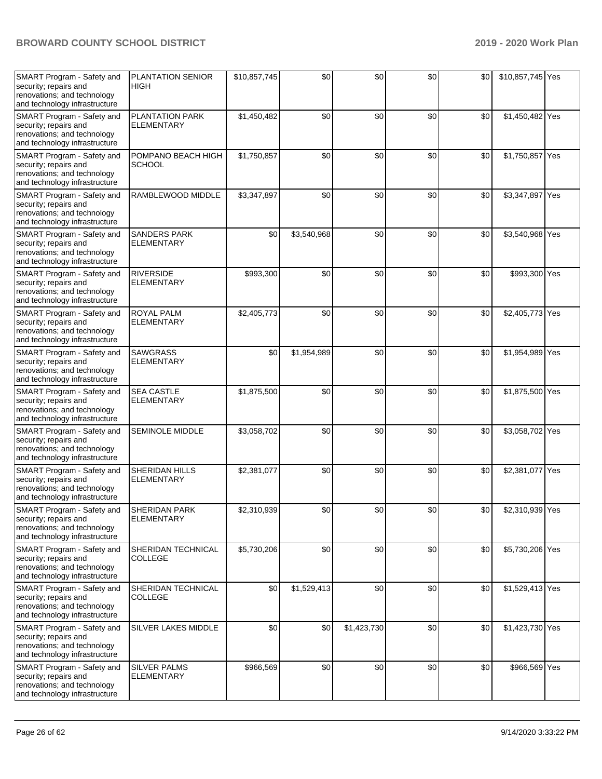| SMART Program - Safety and<br>security; repairs and<br>renovations; and technology<br>and technology infrastructure | <b>PLANTATION SENIOR</b><br><b>HIGH</b>  | \$10,857,745 | \$0         | \$0         | \$0 | \$0 | \$10,857,745 Yes |  |
|---------------------------------------------------------------------------------------------------------------------|------------------------------------------|--------------|-------------|-------------|-----|-----|------------------|--|
| SMART Program - Safety and<br>security; repairs and<br>renovations; and technology<br>and technology infrastructure | PLANTATION PARK<br><b>ELEMENTARY</b>     | \$1,450,482  | \$0         | \$0         | \$0 | \$0 | \$1,450,482 Yes  |  |
| SMART Program - Safety and<br>security; repairs and<br>renovations; and technology<br>and technology infrastructure | POMPANO BEACH HIGH<br><b>SCHOOL</b>      | \$1,750,857  | \$0         | \$0         | \$0 | \$0 | \$1,750,857 Yes  |  |
| SMART Program - Safety and<br>security; repairs and<br>renovations; and technology<br>and technology infrastructure | RAMBLEWOOD MIDDLE                        | \$3,347,897  | \$0         | \$0         | \$0 | \$0 | \$3,347,897 Yes  |  |
| SMART Program - Safety and<br>security; repairs and<br>renovations; and technology<br>and technology infrastructure | <b>SANDERS PARK</b><br><b>ELEMENTARY</b> | \$0          | \$3,540,968 | \$0         | \$0 | \$0 | \$3,540,968 Yes  |  |
| SMART Program - Safety and<br>security; repairs and<br>renovations; and technology<br>and technology infrastructure | <b>RIVERSIDE</b><br><b>ELEMENTARY</b>    | \$993,300    | \$0         | \$0         | \$0 | \$0 | \$993,300 Yes    |  |
| SMART Program - Safety and<br>security; repairs and<br>renovations; and technology<br>and technology infrastructure | <b>ROYAL PALM</b><br><b>ELEMENTARY</b>   | \$2,405,773  | \$0         | \$0         | \$0 | \$0 | \$2,405,773 Yes  |  |
| SMART Program - Safety and<br>security; repairs and<br>renovations; and technology<br>and technology infrastructure | <b>SAWGRASS</b><br><b>ELEMENTARY</b>     | \$0          | \$1,954,989 | \$0         | \$0 | \$0 | \$1,954,989 Yes  |  |
| SMART Program - Safety and<br>security; repairs and<br>renovations; and technology<br>and technology infrastructure | <b>SEA CASTLE</b><br><b>ELEMENTARY</b>   | \$1,875,500  | \$0         | \$0         | \$0 | \$0 | \$1,875,500 Yes  |  |
| SMART Program - Safety and<br>security; repairs and<br>renovations; and technology<br>and technology infrastructure | <b>SEMINOLE MIDDLE</b>                   | \$3,058,702  | \$0         | \$0         | \$0 | \$0 | \$3,058,702 Yes  |  |
| SMART Program - Safety and<br>security; repairs and<br>renovations; and technology<br>and technology infrastructure | SHERIDAN HILLS<br><b>ELEMENTARY</b>      | \$2,381,077  | \$0         | \$0         | \$0 | \$0 | \$2,381,077 Yes  |  |
| SMART Program - Safety and<br>security; repairs and<br>renovations; and technology<br>and technology infrastructure | SHERIDAN PARK<br><b>ELEMENTARY</b>       | \$2,310,939  | \$0         | \$0         | \$0 | \$0 | \$2,310,939 Yes  |  |
| SMART Program - Safety and<br>security; repairs and<br>renovations; and technology<br>and technology infrastructure | SHERIDAN TECHNICAL<br><b>COLLEGE</b>     | \$5,730,206  | \$0         | \$0         | \$0 | \$0 | \$5,730,206 Yes  |  |
| SMART Program - Safety and<br>security; repairs and<br>renovations; and technology<br>and technology infrastructure | SHERIDAN TECHNICAL<br><b>COLLEGE</b>     | \$0          | \$1,529,413 | \$0         | \$0 | \$0 | \$1,529,413 Yes  |  |
| SMART Program - Safety and<br>security; repairs and<br>renovations; and technology<br>and technology infrastructure | SILVER LAKES MIDDLE                      | \$0          | \$0         | \$1,423,730 | \$0 | \$0 | \$1,423,730 Yes  |  |
| SMART Program - Safety and<br>security; repairs and<br>renovations; and technology<br>and technology infrastructure | <b>SILVER PALMS</b><br><b>ELEMENTARY</b> | \$966,569    | \$0         | \$0         | \$0 | \$0 | \$966,569 Yes    |  |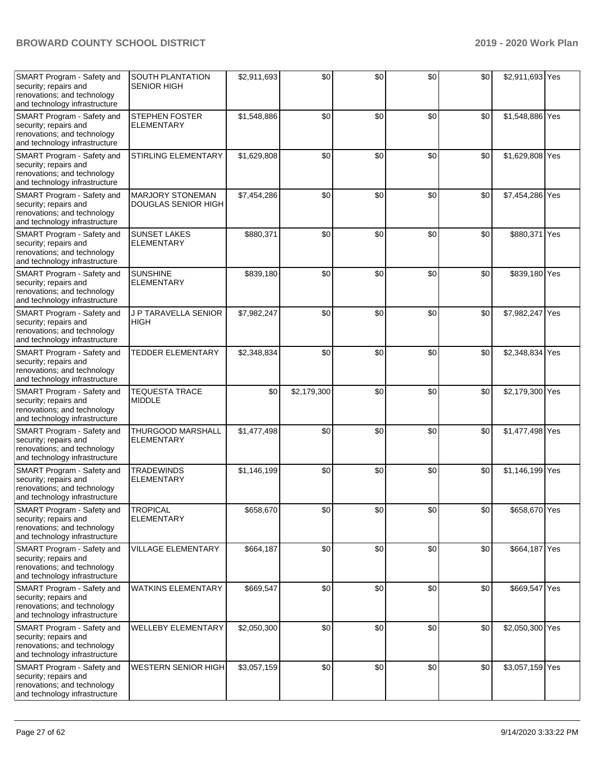| SMART Program - Safety and<br>security; repairs and<br>renovations; and technology<br>and technology infrastructure | <b>SOUTH PLANTATION</b><br><b>SENIOR HIGH</b>  | \$2,911,693 | \$0         | \$0 | \$0 | \$0 | \$2,911,693 Yes |  |
|---------------------------------------------------------------------------------------------------------------------|------------------------------------------------|-------------|-------------|-----|-----|-----|-----------------|--|
| SMART Program - Safety and<br>security; repairs and<br>renovations; and technology<br>and technology infrastructure | <b>STEPHEN FOSTER</b><br><b>ELEMENTARY</b>     | \$1,548,886 | \$0         | \$0 | \$0 | \$0 | \$1,548,886 Yes |  |
| SMART Program - Safety and<br>security; repairs and<br>renovations; and technology<br>and technology infrastructure | STIRLING ELEMENTARY                            | \$1,629,808 | \$0         | \$0 | \$0 | \$0 | \$1,629,808 Yes |  |
| SMART Program - Safety and<br>security; repairs and<br>renovations; and technology<br>and technology infrastructure | <b>MARJORY STONEMAN</b><br>DOUGLAS SENIOR HIGH | \$7,454,286 | \$0         | \$0 | \$0 | \$0 | \$7,454,286 Yes |  |
| SMART Program - Safety and<br>security; repairs and<br>renovations; and technology<br>and technology infrastructure | <b>SUNSET LAKES</b><br><b>ELEMENTARY</b>       | \$880,371   | \$0         | \$0 | \$0 | \$0 | \$880,371 Yes   |  |
| SMART Program - Safety and<br>security; repairs and<br>renovations; and technology<br>and technology infrastructure | <b>SUNSHINE</b><br><b>ELEMENTARY</b>           | \$839,180   | \$0         | \$0 | \$0 | \$0 | \$839,180 Yes   |  |
| SMART Program - Safety and<br>security; repairs and<br>renovations; and technology<br>and technology infrastructure | J P TARAVELLA SENIOR<br><b>HIGH</b>            | \$7,982,247 | \$0         | \$0 | \$0 | \$0 | \$7,982,247 Yes |  |
| SMART Program - Safety and<br>security; repairs and<br>renovations; and technology<br>and technology infrastructure | TEDDER ELEMENTARY                              | \$2,348,834 | \$0         | \$0 | \$0 | \$0 | \$2,348,834 Yes |  |
|                                                                                                                     |                                                |             |             | \$0 | \$0 |     | \$2,179,300 Yes |  |
| SMART Program - Safety and<br>security; repairs and<br>renovations; and technology<br>and technology infrastructure | <b>TEQUESTA TRACE</b><br><b>MIDDLE</b>         | \$0         | \$2,179,300 |     |     | \$0 |                 |  |
| SMART Program - Safety and<br>security; repairs and<br>renovations; and technology<br>and technology infrastructure | THURGOOD MARSHALL<br><b>ELEMENTARY</b>         | \$1,477,498 | \$0         | \$0 | \$0 | \$0 | \$1,477,498 Yes |  |
| SMART Program - Safety and<br>security; repairs and<br>renovations; and technology<br>and technology infrastructure | <b>TRADEWINDS</b><br><b>ELEMENTARY</b>         | \$1,146,199 | \$0         | \$0 | \$0 | \$0 | \$1,146,199 Yes |  |
| SMART Program - Safety and<br>security; repairs and<br>renovations; and technology<br>and technology infrastructure | <b>TROPICAL</b><br><b>ELEMENTARY</b>           | \$658,670   | \$0         | \$0 | \$0 | \$0 | \$658,670 Yes   |  |
| SMART Program - Safety and<br>security; repairs and<br>renovations; and technology<br>and technology infrastructure | VILLAGE ELEMENTARY                             | \$664,187   | \$0         | \$0 | \$0 | \$0 | \$664,187 Yes   |  |
| SMART Program - Safety and<br>security; repairs and<br>renovations; and technology<br>and technology infrastructure | <b>WATKINS ELEMENTARY</b>                      | \$669,547   | \$0         | \$0 | \$0 | \$0 | \$669,547 Yes   |  |
| SMART Program - Safety and<br>security; repairs and<br>renovations; and technology<br>and technology infrastructure | <b>WELLEBY ELEMENTARY</b>                      | \$2,050,300 | \$0         | \$0 | \$0 | \$0 | \$2,050,300 Yes |  |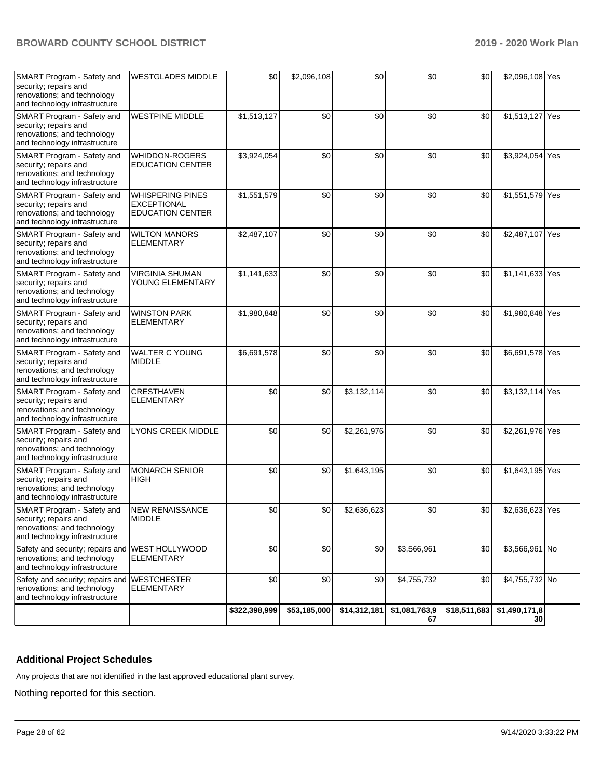| SMART Program - Safety and<br>security; repairs and<br>renovations; and technology<br>and technology infrastructure | <b>WESTGLADES MIDDLE</b>                                                 | \$0           | \$2,096,108  | \$0          | \$0                 | \$0          | \$2,096,108 Yes     |  |
|---------------------------------------------------------------------------------------------------------------------|--------------------------------------------------------------------------|---------------|--------------|--------------|---------------------|--------------|---------------------|--|
| SMART Program - Safety and<br>security; repairs and<br>renovations; and technology<br>and technology infrastructure | <b>WESTPINE MIDDLE</b>                                                   | \$1,513,127   | \$0          | \$0          | \$0                 | \$0          | \$1,513,127 Yes     |  |
| SMART Program - Safety and<br>security; repairs and<br>renovations; and technology<br>and technology infrastructure | WHIDDON-ROGERS<br><b>EDUCATION CENTER</b>                                | \$3,924,054   | \$0          | \$0          | \$0                 | \$0          | \$3,924,054 Yes     |  |
| SMART Program - Safety and<br>security; repairs and<br>renovations; and technology<br>and technology infrastructure | <b>WHISPERING PINES</b><br><b>EXCEPTIONAL</b><br><b>EDUCATION CENTER</b> | \$1,551,579   | \$0          | \$0          | \$0                 | \$0          | \$1,551,579 Yes     |  |
| SMART Program - Safety and<br>security; repairs and<br>renovations; and technology<br>and technology infrastructure | <b>WILTON MANORS</b><br><b>ELEMENTARY</b>                                | \$2,487,107   | \$0          | \$0          | \$0                 | \$0          | \$2,487,107 Yes     |  |
| SMART Program - Safety and<br>security; repairs and<br>renovations; and technology<br>and technology infrastructure | <b>VIRGINIA SHUMAN</b><br>YOUNG ELEMENTARY                               | \$1,141,633   | \$0          | \$0          | \$0                 | \$0          | \$1,141,633 Yes     |  |
| SMART Program - Safety and<br>security; repairs and<br>renovations; and technology<br>and technology infrastructure | <b>WINSTON PARK</b><br><b>ELEMENTARY</b>                                 | \$1,980,848   | \$0          | \$0          | \$0                 | \$0          | \$1,980,848 Yes     |  |
| SMART Program - Safety and<br>security; repairs and<br>renovations; and technology<br>and technology infrastructure | <b>WALTER C YOUNG</b><br><b>MIDDLE</b>                                   | \$6,691,578   | \$0          | \$0          | \$0                 | \$0          | \$6,691,578 Yes     |  |
| SMART Program - Safety and<br>security; repairs and<br>renovations; and technology<br>and technology infrastructure | CRESTHAVEN<br><b>ELEMENTARY</b>                                          | \$0           | \$0          | \$3,132,114  | \$0                 | \$0          | \$3,132,114 Yes     |  |
| SMART Program - Safety and<br>security; repairs and<br>renovations; and technology<br>and technology infrastructure | <b>LYONS CREEK MIDDLE</b>                                                | \$0           | \$0          | \$2,261,976  | \$0                 | \$0          | \$2,261,976 Yes     |  |
| SMART Program - Safety and<br>security; repairs and<br>renovations; and technology<br>and technology infrastructure | <b>MONARCH SENIOR</b><br><b>HIGH</b>                                     | \$0           | \$0          | \$1,643,195  | \$0                 | \$0          | \$1,643,195 Yes     |  |
| SMART Program - Safety and<br>security; repairs and<br>renovations; and technology<br>and technology infrastructure | <b>NEW RENAISSANCE</b><br><b>MIDDLE</b>                                  | \$0           | \$0          | \$2,636,623  | \$0                 | \$0          | \$2,636,623 Yes     |  |
| Safety and security; repairs and WEST HOLLYWOOD<br>renovations; and technology<br>and technology infrastructure     | <b>ELEMENTARY</b>                                                        | \$0           | \$0          | \$0          | \$3,566,961         | \$0          | \$3,566,961 No      |  |
| Safety and security; repairs and<br>renovations; and technology<br>and technology infrastructure                    | <b>WESTCHESTER</b><br><b>ELEMENTARY</b>                                  | \$0           | \$0          | \$0          | \$4,755,732         | \$0          | \$4,755,732 No      |  |
|                                                                                                                     |                                                                          | \$322,398,999 | \$53,185,000 | \$14,312,181 | \$1,081,763,9<br>67 | \$18,511,683 | \$1,490,171,8<br>30 |  |

# **Additional Project Schedules**

Any projects that are not identified in the last approved educational plant survey.

Nothing reported for this section.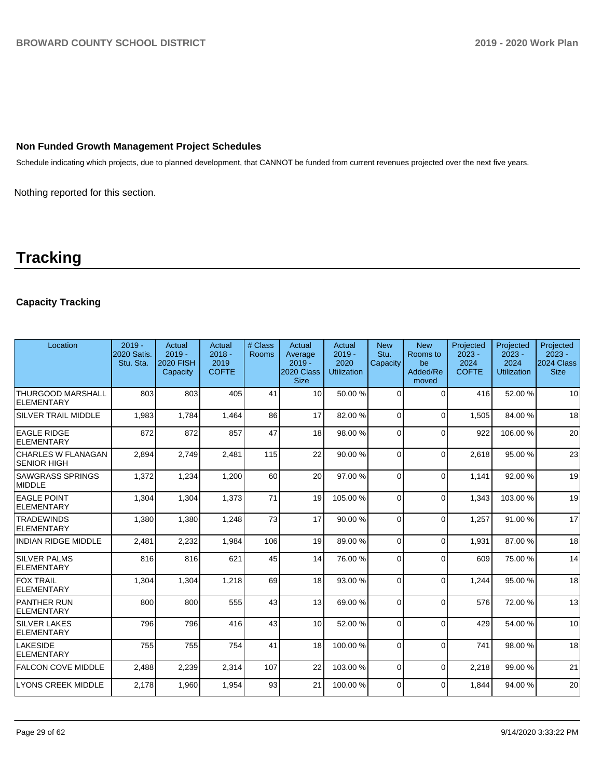# **Non Funded Growth Management Project Schedules**

Schedule indicating which projects, due to planned development, that CANNOT be funded from current revenues projected over the next five years.

Nothing reported for this section.

# **Tracking**

# **Capacity Tracking**

| Location                                        | $2019 -$<br><b>2020 Satis.</b><br>Stu. Sta. | Actual<br>$2019 -$<br>2020 FISH<br>Capacity | Actual<br>$2018 -$<br>2019<br><b>COFTE</b> | # Class<br>Rooms | Actual<br>Average<br>$2019 -$<br>2020 Class<br><b>Size</b> | Actual<br>$2019 -$<br>2020<br><b>Utilization</b> | <b>New</b><br>Stu.<br>Capacity | <b>New</b><br>Rooms to<br>be<br>Added/Re<br>moved | Projected<br>$2023 -$<br>2024<br><b>COFTE</b> | Projected<br>$2023 -$<br>2024<br><b>Utilization</b> | Projected<br>$2023 -$<br><b>2024 Class</b><br><b>Size</b> |
|-------------------------------------------------|---------------------------------------------|---------------------------------------------|--------------------------------------------|------------------|------------------------------------------------------------|--------------------------------------------------|--------------------------------|---------------------------------------------------|-----------------------------------------------|-----------------------------------------------------|-----------------------------------------------------------|
| <b>THURGOOD MARSHALL</b><br><b>ELEMENTARY</b>   | 803                                         | 803                                         | 405                                        | 41               | 10 <sup>1</sup>                                            | 50.00 %                                          | $\Omega$                       | $\Omega$                                          | 416                                           | 52.00 %                                             | 10                                                        |
| <b>SILVER TRAIL MIDDLE</b>                      | 1.983                                       | 1.784                                       | 1.464                                      | 86               | 17                                                         | 82.00 %                                          | $\Omega$                       | $\Omega$                                          | 1.505                                         | 84.00%                                              | 18                                                        |
| <b>EAGLE RIDGE</b><br>ELEMENTARY                | 872                                         | 872                                         | 857                                        | 47               | 18                                                         | 98.00 %                                          | $\Omega$                       | $\Omega$                                          | 922                                           | 106.00%                                             | 20                                                        |
| <b>CHARLES W FLANAGAN</b><br><b>SENIOR HIGH</b> | 2,894                                       | 2,749                                       | 2,481                                      | 115              | 22                                                         | 90.00 %                                          | $\Omega$                       | $\Omega$                                          | 2.618                                         | 95.00 %                                             | 23                                                        |
| <b>SAWGRASS SPRINGS</b><br>MIDDLE               | 1,372                                       | 1,234                                       | 1,200                                      | 60               | 20                                                         | 97.00 %                                          | $\Omega$                       | $\Omega$                                          | 1,141                                         | 92.00%                                              | 19                                                        |
| <b>EAGLE POINT</b><br><b>ELEMENTARY</b>         | 1,304                                       | 1,304                                       | 1,373                                      | 71               | 19                                                         | 105.00%                                          | $\Omega$                       | $\Omega$                                          | 1,343                                         | 103.00%                                             | 19                                                        |
| <b>TRADEWINDS</b><br><b>ELEMENTARY</b>          | 1,380                                       | 1,380                                       | 1,248                                      | 73               | 17                                                         | 90.00 %                                          | $\Omega$                       | $\mathbf{0}$                                      | 1,257                                         | 91.00 %                                             | 17                                                        |
| INDIAN RIDGE MIDDLE                             | 2,481                                       | 2,232                                       | 1,984                                      | 106              | 19                                                         | 89.00 %                                          | $\Omega$                       | $\Omega$                                          | 1,931                                         | 87.00 %                                             | 18                                                        |
| <b>SILVER PALMS</b><br>ELEMENTARY               | 816                                         | 816                                         | 621                                        | 45               | 14                                                         | 76.00 %                                          | $\Omega$                       | $\Omega$                                          | 609                                           | 75.00 %                                             | 14                                                        |
| <b>FOX TRAIL</b><br>ELEMENTARY                  | 1,304                                       | 1.304                                       | 1.218                                      | 69               | 18 <sup>1</sup>                                            | 93.00 %                                          | $\Omega$                       | $\Omega$                                          | 1.244                                         | 95.00 %                                             | 18                                                        |
| <b>PANTHER RUN</b><br>ELEMENTARY                | 800                                         | 800                                         | 555                                        | 43               | 13                                                         | 69.00%                                           | $\Omega$                       | $\Omega$                                          | 576                                           | 72.00 %                                             | 13                                                        |
| <b>SILVER LAKES</b><br>ELEMENTARY               | 796                                         | 796                                         | 416                                        | 43               | 10                                                         | 52.00 %                                          | $\Omega$                       | $\Omega$                                          | 429                                           | 54.00 %                                             | 10 <sup>1</sup>                                           |
| <b>LAKESIDE</b><br>ELEMENTARY                   | 755                                         | 755                                         | 754                                        | 41               | 18                                                         | 100.00%                                          | $\Omega$                       | $\Omega$                                          | 741                                           | 98.00 %                                             | 18                                                        |
| <b>FALCON COVE MIDDLE</b>                       | 2,488                                       | 2,239                                       | 2,314                                      | 107              | 22                                                         | 103.00%                                          | $\Omega$                       | $\Omega$                                          | 2,218                                         | 99.00 %                                             | 21                                                        |
| LYONS CREEK MIDDLE                              | 2,178                                       | 1,960                                       | 1,954                                      | 93               | 21                                                         | 100.00%                                          | $\Omega$                       | $\Omega$                                          | 1.844                                         | 94.00 %                                             | 20                                                        |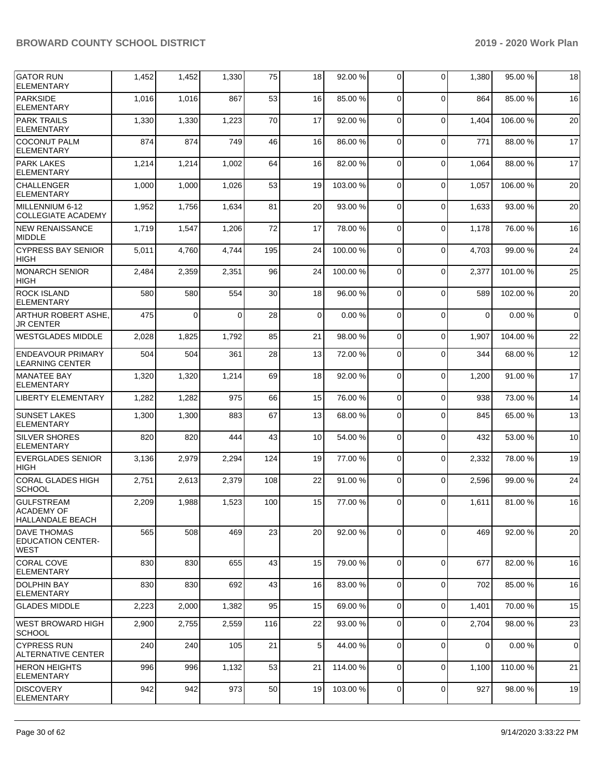| <b>GATOR RUN</b><br><b>ELEMENTARY</b>                             | 1,452 | 1,452    | 1,330    | 75  | 18             | 92.00 %  | $\Omega$       | 0           | 1,380       | 95.00 %  | 18             |
|-------------------------------------------------------------------|-------|----------|----------|-----|----------------|----------|----------------|-------------|-------------|----------|----------------|
| <b>PARKSIDE</b><br><b>ELEMENTARY</b>                              | 1,016 | 1,016    | 867      | 53  | 16             | 85.00 %  | $\Omega$       | 0           | 864         | 85.00 %  | 16             |
| <b>PARK TRAILS</b><br><b>ELEMENTARY</b>                           | 1,330 | 1,330    | 1,223    | 70  | 17             | 92.00 %  | $\Omega$       | 0           | 1,404       | 106.00%  | 20             |
| <b>COCONUT PALM</b><br><b>ELEMENTARY</b>                          | 874   | 874      | 749      | 46  | 16             | 86.00 %  | $\Omega$       | $\mathbf 0$ | 771         | 88.00 %  | 17             |
| <b>PARK LAKES</b><br><b>ELEMENTARY</b>                            | 1,214 | 1,214    | 1,002    | 64  | 16             | 82.00 %  | $\Omega$       | 0           | 1,064       | 88.00 %  | 17             |
| <b>CHALLENGER</b><br><b>ELEMENTARY</b>                            | 1,000 | 1,000    | 1,026    | 53  | 19             | 103.00%  | $\Omega$       | $\mathbf 0$ | 1,057       | 106.00%  | 20             |
| MILLENNIUM 6-12<br><b>COLLEGIATE ACADEMY</b>                      | 1,952 | 1,756    | 1,634    | 81  | 20             | 93.00 %  | $\Omega$       | 0           | 1,633       | 93.00 %  | 20             |
| <b>NEW RENAISSANCE</b><br><b>MIDDLE</b>                           | 1,719 | 1,547    | 1,206    | 72  | 17             | 78.00 %  | $\mathbf 0$    | 0           | 1,178       | 76.00 %  | 16             |
| <b>CYPRESS BAY SENIOR</b><br><b>HIGH</b>                          | 5,011 | 4,760    | 4,744    | 195 | 24             | 100.00%  | $\Omega$       | 0           | 4,703       | 99.00 %  | 24             |
| <b>MONARCH SENIOR</b><br><b>HIGH</b>                              | 2,484 | 2,359    | 2,351    | 96  | 24             | 100.00%  | $\Omega$       | 0           | 2,377       | 101.00%  | 25             |
| <b>ROCK ISLAND</b><br><b>ELEMENTARY</b>                           | 580   | 580      | 554      | 30  | 18             | 96.00 %  | $\Omega$       | 0           | 589         | 102.00%  | 20             |
| ARTHUR ROBERT ASHE.<br><b>JR CENTER</b>                           | 475   | $\Omega$ | $\Omega$ | 28  | $\overline{0}$ | 0.00%    | $\Omega$       | $\mathbf 0$ | $\Omega$    | 0.00%    | $\overline{0}$ |
| <b>WESTGLADES MIDDLE</b>                                          | 2,028 | 1,825    | 1,792    | 85  | 21             | 98.00 %  | 0              | 0           | 1,907       | 104.00%  | 22             |
| <b>ENDEAVOUR PRIMARY</b><br><b>LEARNING CENTER</b>                | 504   | 504      | 361      | 28  | 13             | 72.00 %  | 0              | $\Omega$    | 344         | 68.00 %  | 12             |
| <b>MANATEE BAY</b><br><b>ELEMENTARY</b>                           | 1,320 | 1,320    | 1,214    | 69  | 18             | 92.00 %  | $\Omega$       | 0           | 1,200       | 91.00%   | 17             |
| <b>LIBERTY ELEMENTARY</b>                                         | 1,282 | 1,282    | 975      | 66  | 15             | 76.00 %  | $\Omega$       | $\mathbf 0$ | 938         | 73.00 %  | 14             |
| <b>SUNSET LAKES</b><br>ELEMENTARY                                 | 1,300 | 1,300    | 883      | 67  | 13             | 68.00%   | $\Omega$       | 0           | 845         | 65.00 %  | 13             |
| <b>SILVER SHORES</b><br><b>ELEMENTARY</b>                         | 820   | 820      | 444      | 43  | 10             | 54.00 %  | $\Omega$       | $\mathbf 0$ | 432         | 53.00 %  | 10             |
| <b>EVERGLADES SENIOR</b><br><b>HIGH</b>                           | 3,136 | 2,979    | 2,294    | 124 | 19             | 77.00 %  | $\Omega$       | 0           | 2,332       | 78.00 %  | 19             |
| <b>CORAL GLADES HIGH</b><br><b>SCHOOL</b>                         | 2,751 | 2,613    | 2,379    | 108 | 22             | 91.00%   | $\Omega$       | $\Omega$    | 2,596       | 99.00 %  | 24             |
| <b>GULFSTREAM</b><br><b>ACADEMY OF</b><br><b>HALLANDALE BEACH</b> | 2,209 | 1,988    | 1,523    | 100 | 15             | 77.00 %  | 0              | $\Omega$    | 1,611       | 81.00 %  | 16             |
| <b>DAVE THOMAS</b><br><b>EDUCATION CENTER-</b><br> WEST           | 565   | 508      | 469      | 23  | 20             | 92.00 %  | $\mathbf 0$    | 0           | 469         | 92.00 %  | 20             |
| CORAL COVE<br><b>ELEMENTARY</b>                                   | 830   | 830      | 655      | 43  | 15             | 79.00 %  | $\mathbf{0}$   | $\mathbf 0$ | 677         | 82.00%   | 16             |
| IDOLPHIN BAY<br> ELEMENTARY                                       | 830   | 830      | 692      | 43  | 16             | 83.00 %  | 0              | 0           | 702         | 85.00 %  | 16             |
| <b>GLADES MIDDLE</b>                                              | 2,223 | 2,000    | 1,382    | 95  | 15             | 69.00 %  | $\overline{0}$ | 0           | 1,401       | 70.00%   | 15             |
| WEST BROWARD HIGH<br><b>SCHOOL</b>                                | 2,900 | 2,755    | 2,559    | 116 | 22             | 93.00 %  | $\mathbf 0$    | 0           | 2,704       | 98.00 %  | 23             |
| ICYPRESS RUN<br>ALTERNATIVE CENTER                                | 240   | 240      | 105      | 21  | 5 <sub>5</sub> | 44.00 %  | $\mathbf{0}$   | $\mathbf 0$ | $\mathbf 0$ | 0.00%    | $\overline{0}$ |
| <b>HERON HEIGHTS</b><br> ELEMENTARY                               | 996   | 996      | 1,132    | 53  | 21             | 114.00 % | 0              | 0           | 1,100       | 110.00 % | 21             |
| <b>DISCOVERY</b><br>ELEMENTARY                                    | 942   | 942      | 973      | 50  | 19             | 103.00 % | 0              | 0           | 927         | 98.00 %  | 19             |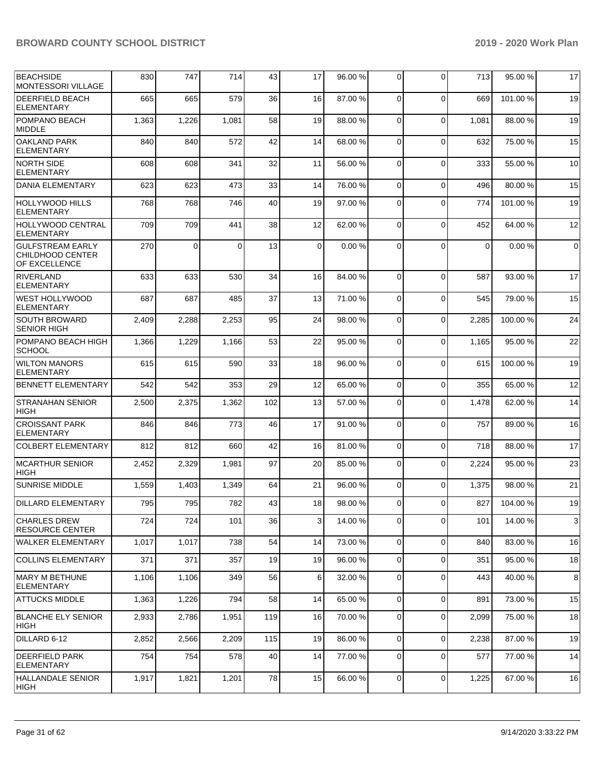| <b>BEACHSIDE</b><br><b>MONTESSORI VILLAGE</b>                | 830   | 747   | 714      | 43  | 17 | 96.00 % | 0              | $\Omega$    | 713         | 95.00 % | 17          |
|--------------------------------------------------------------|-------|-------|----------|-----|----|---------|----------------|-------------|-------------|---------|-------------|
| <b>DEERFIELD BEACH</b><br><b>ELEMENTARY</b>                  | 665   | 665   | 579      | 36  | 16 | 87.00 % | 0              | $\Omega$    | 669         | 101.00% | 19          |
| POMPANO BEACH<br><b>MIDDLE</b>                               | 1,363 | 1,226 | 1,081    | 58  | 19 | 88.00 % | $\mathbf 0$    | $\Omega$    | 1,081       | 88.00 % | 19          |
| <b>OAKLAND PARK</b><br><b>ELEMENTARY</b>                     | 840   | 840   | 572      | 42  | 14 | 68.00 % | 0              | $\Omega$    | 632         | 75.00 % | 15          |
| <b>NORTH SIDE</b><br><b>ELEMENTARY</b>                       | 608   | 608   | 341      | 32  | 11 | 56.00 % | $\mathbf 0$    | $\Omega$    | 333         | 55.00 % | 10          |
| <b>DANIA ELEMENTARY</b>                                      | 623   | 623   | 473      | 33  | 14 | 76.00 % | $\mathbf 0$    | $\Omega$    | 496         | 80.00 % | 15          |
| <b>HOLLYWOOD HILLS</b><br><b>ELEMENTARY</b>                  | 768   | 768   | 746      | 40  | 19 | 97.00 % | 0              | $\Omega$    | 774         | 101.00% | 19          |
| <b>HOLLYWOOD CENTRAL</b><br>ELEMENTARY                       | 709   | 709   | 441      | 38  | 12 | 62.00 % | 0              | $\Omega$    | 452         | 64.00 % | 12          |
| <b>GULFSTREAM EARLY</b><br>CHILDHOOD CENTER<br>OF EXCELLENCE | 270   | 0     | $\Omega$ | 13  | 0  | 0.00%   | $\Omega$       | $\Omega$    | $\mathbf 0$ | 0.00%   | $\mathbf 0$ |
| <b>RIVERLAND</b><br>ELEMENTARY                               | 633   | 633   | 530      | 34  | 16 | 84.00 % | $\Omega$       | $\Omega$    | 587         | 93.00 % | 17          |
| <b>WEST HOLLYWOOD</b><br>ELEMENTARY                          | 687   | 687   | 485      | 37  | 13 | 71.00 % | 0              | $\Omega$    | 545         | 79.00 % | 15          |
| <b>SOUTH BROWARD</b><br><b>SENIOR HIGH</b>                   | 2,409 | 2,288 | 2,253    | 95  | 24 | 98.00 % | 0              | $\Omega$    | 2,285       | 100.00% | 24          |
| POMPANO BEACH HIGH<br><b>SCHOOL</b>                          | 1,366 | 1,229 | 1,166    | 53  | 22 | 95.00%  | $\Omega$       | $\Omega$    | 1,165       | 95.00 % | 22          |
| <b>WILTON MANORS</b><br><b>ELEMENTARY</b>                    | 615   | 615   | 590      | 33  | 18 | 96.00 % | 0              | $\Omega$    | 615         | 100.00% | 19          |
| <b>BENNETT ELEMENTARY</b>                                    | 542   | 542   | 353      | 29  | 12 | 65.00 % | 0              | $\Omega$    | 355         | 65.00 % | 12          |
| <b>STRANAHAN SENIOR</b><br><b>HIGH</b>                       | 2,500 | 2,375 | 1,362    | 102 | 13 | 57.00 % | 0              | $\Omega$    | 1,478       | 62.00 % | 14          |
| <b>CROISSANT PARK</b><br><b>ELEMENTARY</b>                   | 846   | 846   | 773      | 46  | 17 | 91.00 % | $\Omega$       | $\Omega$    | 757         | 89.00 % | 16          |
| <b>COLBERT ELEMENTARY</b>                                    | 812   | 812   | 660      | 42  | 16 | 81.00%  | $\overline{0}$ | $\mathbf 0$ | 718         | 88.00 % | 17          |
| <b>MCARTHUR SENIOR</b><br><b>HIGH</b>                        | 2,452 | 2,329 | 1,981    | 97  | 20 | 85.00 % | 0              | $\Omega$    | 2,224       | 95.00 % | 23          |
| <b>SUNRISE MIDDLE</b>                                        | 1,559 | 1,403 | 1,349    | 64  | 21 | 96.00 % | 0              | $\Omega$    | 1,375       | 98.00 % | 21          |
| <b>DILLARD ELEMENTARY</b>                                    | 795   | 795   | 782      | 43  | 18 | 98.00 % | 0              | $\Omega$    | 827         | 104.00% | 19          |
| <b>CHARLES DREW</b><br><b>RESOURCE CENTER</b>                | 724   | 724   | 101      | 36  | 3  | 14.00 % | 0              | $\Omega$    | 101         | 14.00 % | 3           |
| <b>WALKER ELEMENTARY</b>                                     | 1,017 | 1,017 | 738      | 54  | 14 | 73.00 % | $\overline{0}$ | $\Omega$    | 840         | 83.00 % | 16          |
| <b>COLLINS ELEMENTARY</b>                                    | 371   | 371   | 357      | 19  | 19 | 96.00 % | $\overline{0}$ | $\Omega$    | 351         | 95.00 % | 18          |
| MARY M BETHUNE<br><b>ELEMENTARY</b>                          | 1,106 | 1,106 | 349      | 56  | 6  | 32.00 % | $\overline{0}$ | $\Omega$    | 443         | 40.00 % | 8           |
| <b>ATTUCKS MIDDLE</b>                                        | 1,363 | 1,226 | 794      | 58  | 14 | 65.00 % | $\overline{0}$ | $\mathbf 0$ | 891         | 73.00 % | 15          |
| <b>BLANCHE ELY SENIOR</b><br>HIGH                            | 2,933 | 2,786 | 1,951    | 119 | 16 | 70.00 % | $\overline{0}$ | 0           | 2,099       | 75.00 % | 18          |
| DILLARD 6-12                                                 | 2,852 | 2,566 | 2,209    | 115 | 19 | 86.00 % | 0              | $\Omega$    | 2,238       | 87.00 % | 19          |
| DEERFIELD PARK<br>ELEMENTARY                                 | 754   | 754   | 578      | 40  | 14 | 77.00 % | 0              | 0           | 577         | 77.00 % | 14          |
| <b>HALLANDALE SENIOR</b><br>HIGH                             | 1,917 | 1,821 | 1,201    | 78  | 15 | 66.00 % | $\overline{0}$ | 0           | 1,225       | 67.00%  | 16          |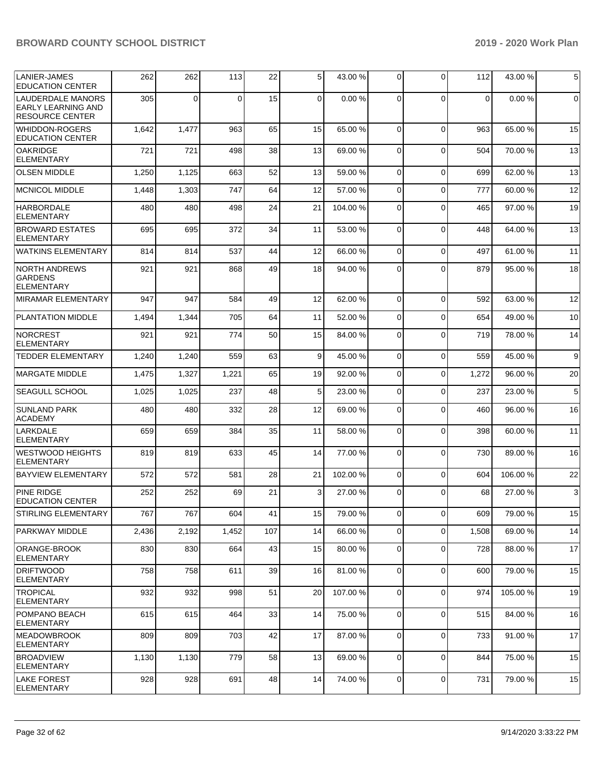| LANIER-JAMES                                                                    | 262   | 262   | 113   | 22  | 5               | 43.00 % | 0           | $\Omega$    | 112         | 43.00 %  | 5            |
|---------------------------------------------------------------------------------|-------|-------|-------|-----|-----------------|---------|-------------|-------------|-------------|----------|--------------|
| <b>EDUCATION CENTER</b>                                                         |       |       |       |     |                 |         |             |             |             |          |              |
| <b>LAUDERDALE MANORS</b><br><b>EARLY LEARNING AND</b><br><b>RESOURCE CENTER</b> | 305   | 0     | 0     | 15  | $\mathbf 0$     | 0.00%   | $\Omega$    | $\Omega$    | $\mathbf 0$ | 0.00%    | 0            |
| <b>WHIDDON-ROGERS</b><br><b>EDUCATION CENTER</b>                                | 1,642 | 1,477 | 963   | 65  | 15              | 65.00 % | $\Omega$    | $\Omega$    | 963         | 65.00 %  | 15           |
| <b>OAKRIDGE</b><br><b>ELEMENTARY</b>                                            | 721   | 721   | 498   | 38  | 13              | 69.00 % | $\mathbf 0$ | $\Omega$    | 504         | 70.00 %  | 13           |
| <b>OLSEN MIDDLE</b>                                                             | 1,250 | 1,125 | 663   | 52  | 13              | 59.00 % | 0           | $\Omega$    | 699         | 62.00 %  | 13           |
| <b>MCNICOL MIDDLE</b>                                                           | 1,448 | 1,303 | 747   | 64  | 12              | 57.00 % | 0           | $\Omega$    | 777         | 60.00%   | 12           |
| <b>HARBORDALE</b><br><b>ELEMENTARY</b>                                          | 480   | 480   | 498   | 24  | 21              | 104.00% | 0           | $\Omega$    | 465         | 97.00 %  | 19           |
| <b>BROWARD ESTATES</b><br><b>ELEMENTARY</b>                                     | 695   | 695   | 372   | 34  | 11              | 53.00 % | $\mathbf 0$ | $\Omega$    | 448         | 64.00 %  | 13           |
| <b>WATKINS ELEMENTARY</b>                                                       | 814   | 814   | 537   | 44  | 12              | 66.00 % | $\mathbf 0$ | $\Omega$    | 497         | 61.00 %  | 11           |
| <b>NORTH ANDREWS</b><br><b>GARDENS</b><br><b>ELEMENTARY</b>                     | 921   | 921   | 868   | 49  | 18              | 94.00 % | 0           | $\Omega$    | 879         | 95.00 %  | 18           |
| <b>MIRAMAR ELEMENTARY</b>                                                       | 947   | 947   | 584   | 49  | 12              | 62.00 % | $\mathbf 0$ | $\Omega$    | 592         | 63.00 %  | 12           |
| <b>PLANTATION MIDDLE</b>                                                        | 1,494 | 1,344 | 705   | 64  | 11              | 52.00 % | $\mathbf 0$ | $\Omega$    | 654         | 49.00 %  | 10           |
| NORCREST<br><b>ELEMENTARY</b>                                                   | 921   | 921   | 774   | 50  | 15              | 84.00 % | 0           | $\Omega$    | 719         | 78.00 %  | 14           |
| <b>TEDDER ELEMENTARY</b>                                                        | 1,240 | 1,240 | 559   | 63  | 9               | 45.00 % | $\mathbf 0$ | $\Omega$    | 559         | 45.00 %  | 9            |
| <b>MARGATE MIDDLE</b>                                                           | 1,475 | 1,327 | 1,221 | 65  | 19              | 92.00 % | $\mathbf 0$ | $\mathbf 0$ | 1,272       | 96.00 %  | 20           |
| <b>SEAGULL SCHOOL</b>                                                           | 1,025 | 1,025 | 237   | 48  | 5               | 23.00 % | $\mathbf 0$ | $\Omega$    | 237         | 23.00 %  | 5            |
| <b>SUNLAND PARK</b><br><b>ACADEMY</b>                                           | 480   | 480   | 332   | 28  | 12              | 69.00 % | $\mathbf 0$ | $\Omega$    | 460         | 96.00 %  | 16           |
| LARKDALE<br><b>ELEMENTARY</b>                                                   | 659   | 659   | 384   | 35  | 11              | 58.00 % | $\mathbf 0$ | $\Omega$    | 398         | 60.00 %  | 11           |
| <b>WESTWOOD HEIGHTS</b><br><b>ELEMENTARY</b>                                    | 819   | 819   | 633   | 45  | 14              | 77.00 % | $\mathbf 0$ | $\Omega$    | 730         | 89.00 %  | 16           |
| <b>BAYVIEW ELEMENTARY</b>                                                       | 572   | 572   | 581   | 28  | 21              | 102.00% | $\mathbf 0$ | $\Omega$    | 604         | 106.00%  | 22           |
| <b>PINE RIDGE</b><br><b>EDUCATION CENTER</b>                                    | 252   | 252   | 69    | 21  | 3               | 27.00 % | $\Omega$    | $\Omega$    | 68          | 27.00 %  | $\mathbf{3}$ |
| STIRLING ELEMENTARY                                                             | 767   | 767   | 604   | 41  | 15 <sub>l</sub> | 79.00 % | 01          | 0           | 609         | 79.00 %  | 15           |
| PARKWAY MIDDLE                                                                  | 2,436 | 2,192 | 1,452 | 107 | 14              | 66.00 % | 0           | $\Omega$    | 1,508       | 69.00 %  | 14           |
| ORANGE-BROOK<br>ELEMENTARY                                                      | 830   | 830   | 664   | 43  | 15              | 80.00 % | 0           | $\Omega$    | 728         | 88.00 %  | 17           |
| <b>DRIFTWOOD</b><br><b>ELEMENTARY</b>                                           | 758   | 758   | 611   | 39  | 16              | 81.00%  | $\mathbf 0$ | $\Omega$    | 600         | 79.00%   | 15           |
| <b>TROPICAL</b><br><b>ELEMENTARY</b>                                            | 932   | 932   | 998   | 51  | 20              | 107.00% | $\mathbf 0$ | $\Omega$    | 974         | 105.00 % | 19           |
| POMPANO BEACH<br><b>ELEMENTARY</b>                                              | 615   | 615   | 464   | 33  | 14              | 75.00 % | 0           | $\mathbf 0$ | 515         | 84.00 %  | 16           |
| MEADOWBROOK<br><b>ELEMENTARY</b>                                                | 809   | 809   | 703   | 42  | 17              | 87.00 % | $\mathbf 0$ | $\mathbf 0$ | 733         | 91.00 %  | 17           |
| <b>BROADVIEW</b><br><b>ELEMENTARY</b>                                           | 1,130 | 1,130 | 779   | 58  | 13              | 69.00 % | $\mathbf 0$ | $\mathbf 0$ | 844         | 75.00 %  | 15           |
| LAKE FOREST<br> ELEMENTARY                                                      | 928   | 928   | 691   | 48  | 14              | 74.00 % | 0           | 0           | 731         | 79.00 %  | 15           |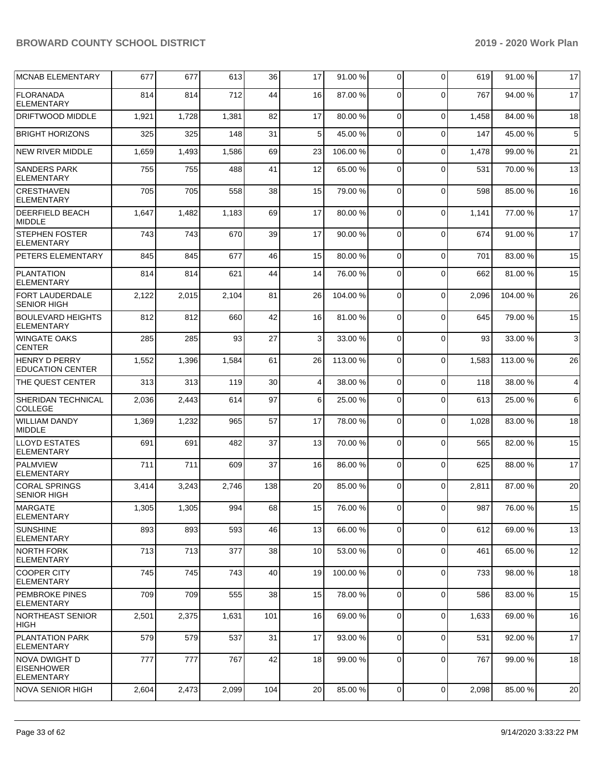| MCNAB ELEMENTARY                                               | 677   | 677   | 613   | 36  | 17              | 91.00 %  | $\Omega$       | 0            | 619   | 91.00 %  | 17             |
|----------------------------------------------------------------|-------|-------|-------|-----|-----------------|----------|----------------|--------------|-------|----------|----------------|
| <b>FLORANADA</b><br><b>ELEMENTARY</b>                          | 814   | 814   | 712   | 44  | 16              | 87.00 %  | $\Omega$       | $\Omega$     | 767   | 94.00 %  | 17             |
| <b>DRIFTWOOD MIDDLE</b>                                        | 1,921 | 1,728 | 1,381 | 82  | 17              | 80.00%   | $\Omega$       | $\mathbf 0$  | 1,458 | 84.00 %  | 18             |
| <b>BRIGHT HORIZONS</b>                                         | 325   | 325   | 148   | 31  | 5 <sup>1</sup>  | 45.00 %  | $\Omega$       | $\Omega$     | 147   | 45.00%   | 5              |
| <b>NEW RIVER MIDDLE</b>                                        | 1,659 | 1,493 | 1,586 | 69  | 23              | 106.00%  | $\Omega$       | $\mathbf 0$  | 1,478 | 99.00 %  | 21             |
| <b>SANDERS PARK</b><br><b>ELEMENTARY</b>                       | 755   | 755   | 488   | 41  | 12              | 65.00 %  | 0              | $\Omega$     | 531   | 70.00 %  | 13             |
| <b>CRESTHAVEN</b><br><b>ELEMENTARY</b>                         | 705   | 705   | 558   | 38  | 15              | 79.00 %  | $\Omega$       | $\Omega$     | 598   | 85.00 %  | 16             |
| <b>DEERFIELD BEACH</b><br><b>MIDDLE</b>                        | 1,647 | 1,482 | 1,183 | 69  | 17              | 80.00 %  | $\Omega$       | $\Omega$     | 1,141 | 77.00 %  | 17             |
| <b>STEPHEN FOSTER</b><br><b>ELEMENTARY</b>                     | 743   | 743   | 670   | 39  | 17              | 90.00 %  | $\Omega$       | $\Omega$     | 674   | 91.00 %  | 17             |
| <b>PETERS ELEMENTARY</b>                                       | 845   | 845   | 677   | 46  | 15              | 80.00 %  | $\Omega$       | $\mathbf 0$  | 701   | 83.00 %  | 15             |
| <b>PLANTATION</b><br><b>ELEMENTARY</b>                         | 814   | 814   | 621   | 44  | 14              | 76.00 %  | $\Omega$       | $\mathbf{0}$ | 662   | 81.00 %  | 15             |
| FORT LAUDERDALE<br><b>SENIOR HIGH</b>                          | 2,122 | 2,015 | 2,104 | 81  | 26              | 104.00%  | $\Omega$       | $\Omega$     | 2,096 | 104.00 % | 26             |
| <b>BOULEVARD HEIGHTS</b><br><b>ELEMENTARY</b>                  | 812   | 812   | 660   | 42  | 16              | 81.00 %  | $\Omega$       | $\Omega$     | 645   | 79.00 %  | 15             |
| <b>WINGATE OAKS</b><br><b>CENTER</b>                           | 285   | 285   | 93    | 27  | $\overline{3}$  | 33.00 %  | $\Omega$       | $\Omega$     | 93    | 33.00 %  | 3              |
| <b>HENRY D PERRY</b><br><b>EDUCATION CENTER</b>                | 1,552 | 1,396 | 1,584 | 61  | 26              | 113.00 % | $\Omega$       | $\mathbf 0$  | 1,583 | 113.00 % | 26             |
| THE QUEST CENTER                                               | 313   | 313   | 119   | 30  | $\overline{4}$  | 38.00 %  | $\Omega$       | $\Omega$     | 118   | 38.00%   | $\overline{4}$ |
| SHERIDAN TECHNICAL<br><b>COLLEGE</b>                           | 2,036 | 2,443 | 614   | 97  | 6               | 25.00 %  | 0              | $\Omega$     | 613   | 25.00 %  | 6              |
| WILLIAM DANDY<br><b>MIDDLE</b>                                 | 1,369 | 1,232 | 965   | 57  | 17              | 78.00 %  | $\Omega$       | $\Omega$     | 1,028 | 83.00 %  | 18             |
| <b>LLOYD ESTATES</b><br><b>ELEMENTARY</b>                      | 691   | 691   | 482   | 37  | 13              | 70.00 %  | $\Omega$       | $\mathbf 0$  | 565   | 82.00 %  | 15             |
| <b>PALMVIEW</b><br><b>ELEMENTARY</b>                           | 711   | 711   | 609   | 37  | 16              | 86.00 %  | $\Omega$       | $\Omega$     | 625   | 88.00%   | 17             |
| <b>CORAL SPRINGS</b><br><b>SENIOR HIGH</b>                     | 3,414 | 3,243 | 2,746 | 138 | 20              | 85.00 %  | $\Omega$       | $\Omega$     | 2,811 | 87.00 %  | 20             |
| MARGATE<br>ELEMENTARY                                          | 1,305 | 1,305 | 994   | 68  | 15 <sup>1</sup> | 76.00 %  | $\Omega$       | $\Omega$     | 987   | 76.00 %  | 15             |
| <b>SUNSHINE</b><br><b>ELEMENTARY</b>                           | 893   | 893   | 593   | 46  | 13              | 66.00 %  | $\Omega$       | $\mathbf 0$  | 612   | 69.00 %  | 13             |
| <b>NORTH FORK</b><br><b>ELEMENTARY</b>                         | 713   | 713   | 377   | 38  | 10              | 53.00 %  | $\mathbf 0$    | $\mathbf 0$  | 461   | 65.00 %  | 12             |
| <b>COOPER CITY</b><br>ELEMENTARY                               | 745   | 745   | 743   | 40  | 19              | 100.00 % | $\Omega$       | $\mathbf 0$  | 733   | 98.00 %  | 18             |
| <b>PEMBROKE PINES</b><br><b>ELEMENTARY</b>                     | 709   | 709   | 555   | 38  | 15              | 78.00 %  | $\Omega$       | $\mathbf 0$  | 586   | 83.00 %  | 15             |
| <b>NORTHEAST SENIOR</b><br> HIGH                               | 2,501 | 2,375 | 1,631 | 101 | 16              | 69.00 %  | $\mathbf 0$    | $\mathbf 0$  | 1,633 | 69.00 %  | 16             |
| <b>PLANTATION PARK</b><br>ELEMENTARY                           | 579   | 579   | 537   | 31  | 17              | 93.00 %  | 0              | $\mathbf 0$  | 531   | 92.00 %  | 17             |
| <b>NOVA DWIGHT D</b><br><b>EISENHOWER</b><br><b>ELEMENTARY</b> | 777   | 777   | 767   | 42  | 18              | 99.00 %  | $\Omega$       | $\mathbf 0$  | 767   | 99.00 %  | 18             |
| NOVA SENIOR HIGH                                               | 2,604 | 2,473 | 2,099 | 104 | 20              | 85.00 %  | $\overline{0}$ | $\mathbf 0$  | 2,098 | 85.00 %  | 20             |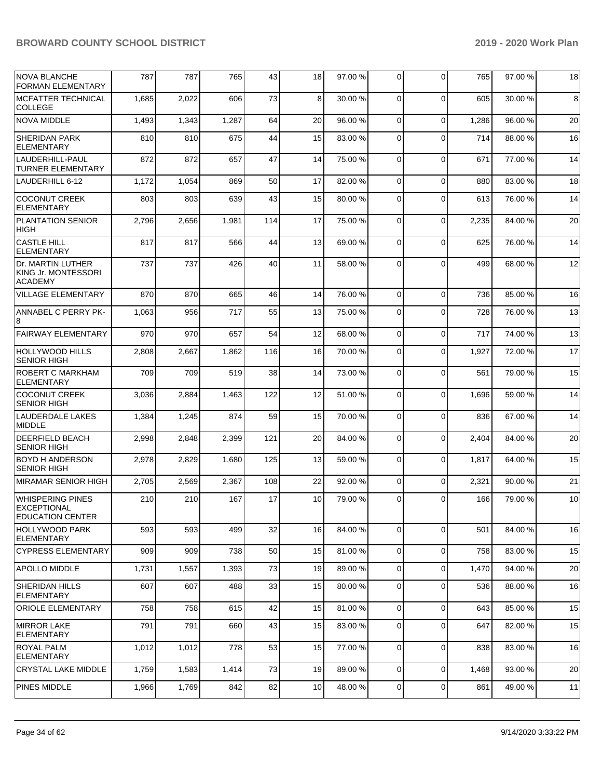| <b>NOVA BLANCHE</b><br><b>FORMAN ELEMENTARY</b>                          | 787   | 787   | 765   | 43  | 18 | 97.00 % | 0              | $\Omega$    | 765   | 97.00 % | 18 |
|--------------------------------------------------------------------------|-------|-------|-------|-----|----|---------|----------------|-------------|-------|---------|----|
| <b>MCFATTER TECHNICAL</b><br><b>COLLEGE</b>                              | 1,685 | 2,022 | 606   | 73  | 8  | 30.00 % | $\Omega$       | $\Omega$    | 605   | 30.00 % | 8  |
| <b>NOVA MIDDLE</b>                                                       | 1,493 | 1,343 | 1,287 | 64  | 20 | 96.00 % | $\Omega$       | $\Omega$    | 1,286 | 96.00 % | 20 |
| <b>SHERIDAN PARK</b><br>ELEMENTARY                                       | 810   | 810   | 675   | 44  | 15 | 83.00 % | $\Omega$       | $\Omega$    | 714   | 88.00 % | 16 |
| LAUDERHILL-PAUL<br><b>TURNER ELEMENTARY</b>                              | 872   | 872   | 657   | 47  | 14 | 75.00 % | $\Omega$       | $\Omega$    | 671   | 77.00 % | 14 |
| LAUDERHILL 6-12                                                          | 1,172 | 1,054 | 869   | 50  | 17 | 82.00 % | $\Omega$       | $\Omega$    | 880   | 83.00 % | 18 |
| <b>COCONUT CREEK</b><br><b>ELEMENTARY</b>                                | 803   | 803   | 639   | 43  | 15 | 80.00 % | $\Omega$       | $\Omega$    | 613   | 76.00 % | 14 |
| <b>PLANTATION SENIOR</b><br><b>HIGH</b>                                  | 2,796 | 2,656 | 1,981 | 114 | 17 | 75.00 % | $\Omega$       | $\Omega$    | 2,235 | 84.00 % | 20 |
| <b>CASTLE HILL</b><br><b>ELEMENTARY</b>                                  | 817   | 817   | 566   | 44  | 13 | 69.00 % | $\Omega$       | $\Omega$    | 625   | 76.00 % | 14 |
| Dr. MARTIN LUTHER<br>KING Jr. MONTESSORI<br><b>ACADEMY</b>               | 737   | 737   | 426   | 40  | 11 | 58.00 % | $\Omega$       | $\Omega$    | 499   | 68.00 % | 12 |
| <b>VILLAGE ELEMENTARY</b>                                                | 870   | 870   | 665   | 46  | 14 | 76.00 % | $\Omega$       | $\Omega$    | 736   | 85.00 % | 16 |
| ANNABEL C PERRY PK-<br>8                                                 | 1,063 | 956   | 717   | 55  | 13 | 75.00 % | $\Omega$       | $\Omega$    | 728   | 76.00%  | 13 |
| <b>FAIRWAY ELEMENTARY</b>                                                | 970   | 970   | 657   | 54  | 12 | 68.00 % | $\overline{0}$ | $\Omega$    | 717   | 74.00 % | 13 |
| <b>HOLLYWOOD HILLS</b><br><b>SENIOR HIGH</b>                             | 2,808 | 2,667 | 1,862 | 116 | 16 | 70.00 % | 0              | $\Omega$    | 1,927 | 72.00 % | 17 |
| ROBERT C MARKHAM<br>ELEMENTARY                                           | 709   | 709   | 519   | 38  | 14 | 73.00 % | $\Omega$       | $\Omega$    | 561   | 79.00 % | 15 |
| <b>COCONUT CREEK</b><br><b>SENIOR HIGH</b>                               | 3,036 | 2,884 | 1,463 | 122 | 12 | 51.00 % | $\Omega$       | $\Omega$    | 1.696 | 59.00 % | 14 |
| <b>LAUDERDALE LAKES</b><br><b>MIDDLE</b>                                 | 1,384 | 1,245 | 874   | 59  | 15 | 70.00%  | $\overline{0}$ | $\Omega$    | 836   | 67.00 % | 14 |
| <b>DEERFIELD BEACH</b><br><b>SENIOR HIGH</b>                             | 2,998 | 2,848 | 2,399 | 121 | 20 | 84.00 % | $\Omega$       | $\Omega$    | 2,404 | 84.00 % | 20 |
| <b>BOYD H ANDERSON</b><br><b>SENIOR HIGH</b>                             | 2,978 | 2,829 | 1,680 | 125 | 13 | 59.00 % | $\Omega$       | $\Omega$    | 1,817 | 64.00 % | 15 |
| MIRAMAR SENIOR HIGH                                                      | 2,705 | 2,569 | 2,367 | 108 | 22 | 92.00 % | $\overline{0}$ | $\Omega$    | 2,321 | 90.00 % | 21 |
| <b>WHISPERING PINES</b><br><b>EXCEPTIONAL</b><br><b>EDUCATION CENTER</b> | 210   | 210   | 167   | 17  | 10 | 79.00 % | 0              | $\Omega$    | 166   | 79.00 % | 10 |
| <b>HOLLYWOOD PARK</b><br><b>ELEMENTARY</b>                               | 593   | 593   | 499   | 32  | 16 | 84.00 % | 0              | $\Omega$    | 501   | 84.00 % | 16 |
| <b>CYPRESS ELEMENTARY</b>                                                | 909   | 909   | 738   | 50  | 15 | 81.00 % | $\overline{0}$ | $\Omega$    | 758   | 83.00 % | 15 |
| <b>APOLLO MIDDLE</b>                                                     | 1,731 | 1,557 | 1,393 | 73  | 19 | 89.00 % | $\overline{0}$ | $\Omega$    | 1,470 | 94.00 % | 20 |
| SHERIDAN HILLS<br><b>ELEMENTARY</b>                                      | 607   | 607   | 488   | 33  | 15 | 80.00 % | $\overline{0}$ | $\Omega$    | 536   | 88.00 % | 16 |
| <b>ORIOLE ELEMENTARY</b>                                                 | 758   | 758   | 615   | 42  | 15 | 81.00 % | $\overline{0}$ | $\Omega$    | 643   | 85.00 % | 15 |
| <b>MIRROR LAKE</b><br><b>ELEMENTARY</b>                                  | 791   | 791   | 660   | 43  | 15 | 83.00 % | 0              | $\Omega$    | 647   | 82.00 % | 15 |
| <b>ROYAL PALM</b><br><b>ELEMENTARY</b>                                   | 1,012 | 1,012 | 778   | 53  | 15 | 77.00 % | 0              | $\Omega$    | 838   | 83.00 % | 16 |
| <b>CRYSTAL LAKE MIDDLE</b>                                               | 1,759 | 1,583 | 1,414 | 73  | 19 | 89.00 % | $\overline{0}$ | $\Omega$    | 1,468 | 93.00 % | 20 |
| PINES MIDDLE                                                             | 1,966 | 1,769 | 842   | 82  | 10 | 48.00 % | $\mathbf 0$    | $\mathbf 0$ | 861   | 49.00 % | 11 |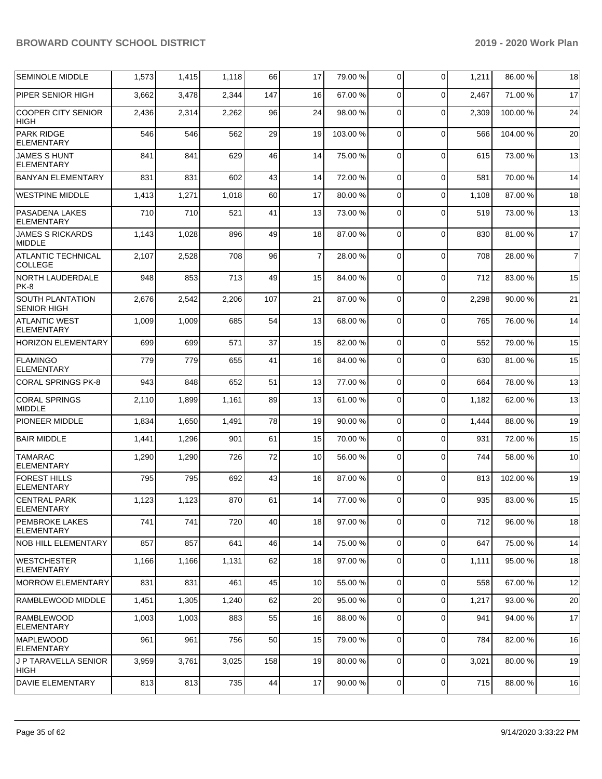| <b>SEMINOLE MIDDLE</b>                        | 1,573 | 1,415 | 1,118 | 66  | 17             | 79.00 %  | $\mathbf 0$    | $\Omega$    | 1,211 | 86.00 % | 18             |
|-----------------------------------------------|-------|-------|-------|-----|----------------|----------|----------------|-------------|-------|---------|----------------|
| PIPER SENIOR HIGH                             | 3,662 | 3,478 | 2,344 | 147 | 16             | 67.00 %  | $\Omega$       | $\Omega$    | 2,467 | 71.00 % | 17             |
| <b>COOPER CITY SENIOR</b><br><b>HIGH</b>      | 2,436 | 2,314 | 2,262 | 96  | 24             | 98.00 %  | $\Omega$       | $\Omega$    | 2,309 | 100.00% | 24             |
| <b>PARK RIDGE</b><br>ELEMENTARY               | 546   | 546   | 562   | 29  | 19             | 103.00 % | 0              | $\mathbf 0$ | 566   | 104.00% | 20             |
| <b>JAMES S HUNT</b><br><b>ELEMENTARY</b>      | 841   | 841   | 629   | 46  | 14             | 75.00 %  | $\mathbf 0$    | $\Omega$    | 615   | 73.00 % | 13             |
| <b>BANYAN ELEMENTARY</b>                      | 831   | 831   | 602   | 43  | 14             | 72.00 %  | $\Omega$       | $\Omega$    | 581   | 70.00%  | 14             |
| <b>WESTPINE MIDDLE</b>                        | 1,413 | 1,271 | 1,018 | 60  | 17             | 80.00 %  | 0              | $\Omega$    | 1,108 | 87.00 % | 18             |
| PASADENA LAKES<br><b>ELEMENTARY</b>           | 710   | 710   | 521   | 41  | 13             | 73.00 %  | 0              | $\Omega$    | 519   | 73.00 % | 13             |
| <b>JAMES S RICKARDS</b><br><b>MIDDLE</b>      | 1,143 | 1,028 | 896   | 49  | 18             | 87.00 %  | 0              | $\Omega$    | 830   | 81.00%  | 17             |
| <b>ATLANTIC TECHNICAL</b><br><b>COLLEGE</b>   | 2,107 | 2,528 | 708   | 96  | $\overline{7}$ | 28.00 %  | $\Omega$       | $\Omega$    | 708   | 28.00 % | $\overline{7}$ |
| <b>NORTH LAUDERDALE</b><br><b>PK-8</b>        | 948   | 853   | 713   | 49  | 15             | 84.00 %  | $\Omega$       | $\mathbf 0$ | 712   | 83.00 % | 15             |
| <b>SOUTH PLANTATION</b><br><b>SENIOR HIGH</b> | 2,676 | 2,542 | 2,206 | 107 | 21             | 87.00 %  | 0              | $\mathbf 0$ | 2,298 | 90.00 % | 21             |
| <b>ATLANTIC WEST</b><br>ELEMENTARY            | 1,009 | 1,009 | 685   | 54  | 13             | 68.00 %  | $\mathbf 0$    | $\Omega$    | 765   | 76.00 % | 14             |
| <b>HORIZON ELEMENTARY</b>                     | 699   | 699   | 571   | 37  | 15             | 82.00 %  | $\Omega$       | $\Omega$    | 552   | 79.00 % | 15             |
| <b>FLAMINGO</b><br><b>ELEMENTARY</b>          | 779   | 779   | 655   | 41  | 16             | 84.00 %  | $\Omega$       | $\mathbf 0$ | 630   | 81.00%  | 15             |
| CORAL SPRINGS PK-8                            | 943   | 848   | 652   | 51  | 13             | 77.00 %  | 0              | $\mathbf 0$ | 664   | 78.00 % | 13             |
| <b>CORAL SPRINGS</b><br><b>MIDDLE</b>         | 2,110 | 1,899 | 1,161 | 89  | 13             | 61.00%   | 0              | $\Omega$    | 1,182 | 62.00 % | 13             |
| <b>PIONEER MIDDLE</b>                         | 1,834 | 1,650 | 1,491 | 78  | 19             | 90.00 %  | $\mathbf 0$    | $\Omega$    | 1,444 | 88.00 % | 19             |
| <b>BAIR MIDDLE</b>                            | 1,441 | 1,296 | 901   | 61  | 15             | 70.00%   | $\mathbf 0$    | $\Omega$    | 931   | 72.00 % | 15             |
| <b>TAMARAC</b><br><b>ELEMENTARY</b>           | 1,290 | 1,290 | 726   | 72  | 10             | 56.00 %  | $\mathbf 0$    | $\Omega$    | 744   | 58.00 % | 10             |
| <b>FOREST HILLS</b><br><b>ELEMENTARY</b>      | 795   | 795   | 692   | 43  | 16             | 87.00 %  | $\Omega$       | $\mathbf 0$ | 813   | 102.00% | 19             |
| <b>CENTRAL PARK</b><br>ELEMENTARY             | 1,123 | 1,123 | 870   | 61  | 14             | 77.00 %  | 0              | $\Omega$    | 935   | 83.00 % | 15             |
| PEMBROKE LAKES<br><b>ELEMENTARY</b>           | 741   | 741   | 720   | 40  | 18             | 97.00 %  | 0              | $\mathbf 0$ | 712   | 96.00 % | 18             |
| <b>NOB HILL ELEMENTARY</b>                    | 857   | 857   | 641   | 46  | 14             | 75.00 %  | 0              | $\mathbf 0$ | 647   | 75.00 % | 14             |
| <b>WESTCHESTER</b><br><b>ELEMENTARY</b>       | 1,166 | 1,166 | 1,131 | 62  | 18             | 97.00 %  | 0              | $\mathbf 0$ | 1,111 | 95.00 % | 18             |
| <b>MORROW ELEMENTARY</b>                      | 831   | 831   | 461   | 45  | 10             | 55.00 %  | $\overline{0}$ | $\mathbf 0$ | 558   | 67.00 % | 12             |
| RAMBLEWOOD MIDDLE                             | 1,451 | 1,305 | 1,240 | 62  | 20             | 95.00 %  | $\overline{0}$ | $\mathbf 0$ | 1,217 | 93.00 % | 20             |
| <b>RAMBLEWOOD</b><br><b>ELEMENTARY</b>        | 1,003 | 1,003 | 883   | 55  | 16             | 88.00 %  | 0              | $\mathbf 0$ | 941   | 94.00 % | 17             |
| <b>MAPLEWOOD</b><br><b>ELEMENTARY</b>         | 961   | 961   | 756   | 50  | 15             | 79.00 %  | $\mathbf 0$    | $\Omega$    | 784   | 82.00 % | 16             |
| J P TARAVELLA SENIOR<br><b>HIGH</b>           | 3,959 | 3,761 | 3,025 | 158 | 19             | 80.00 %  | 0              | $\mathbf 0$ | 3,021 | 80.00 % | 19             |
| <b>DAVIE ELEMENTARY</b>                       | 813   | 813   | 735   | 44  | 17             | 90.00%   | $\mathbf 0$    | 0           | 715   | 88.00%  | 16             |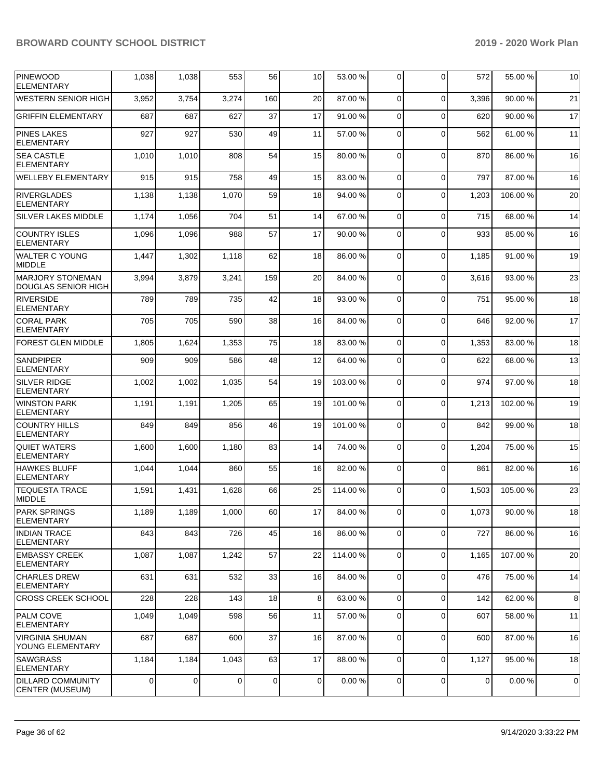| <b>PINEWOOD</b><br><b>ELEMENTARY</b>                  | 1,038          | 1,038          | 553   | 56  | 10          | 53.00 %   | 0              | $\Omega$       | 572            | 55.00 % | 10          |
|-------------------------------------------------------|----------------|----------------|-------|-----|-------------|-----------|----------------|----------------|----------------|---------|-------------|
| <b>WESTERN SENIOR HIGH</b>                            | 3,952          | 3,754          | 3,274 | 160 | 20          | 87.00 %   | $\mathbf 0$    | $\mathbf 0$    | 3,396          | 90.00 % | 21          |
| <b>GRIFFIN ELEMENTARY</b>                             | 687            | 687            | 627   | 37  | 17          | 91.00%    | $\mathbf 0$    | $\mathbf 0$    | 620            | 90.00 % | 17          |
| <b>PINES LAKES</b><br>ELEMENTARY                      | 927            | 927            | 530   | 49  | 11          | 57.00 %   | 0              | $\Omega$       | 562            | 61.00%  | 11          |
| <b>SEA CASTLE</b><br><b>ELEMENTARY</b>                | 1,010          | 1,010          | 808   | 54  | 15          | 80.00 %   | $\mathbf 0$    | $\mathbf 0$    | 870            | 86.00 % | 16          |
| <b>WELLEBY ELEMENTARY</b>                             | 915            | 915            | 758   | 49  | 15          | 83.00 %   | 0              | $\Omega$       | 797            | 87.00 % | 16          |
| <b>RIVERGLADES</b><br><b>ELEMENTARY</b>               | 1,138          | 1,138          | 1,070 | 59  | 18          | 94.00 %   | 0              | $\Omega$       | 1,203          | 106.00% | 20          |
| <b>SILVER LAKES MIDDLE</b>                            | 1,174          | 1,056          | 704   | 51  | 14          | 67.00 %   | 0              | $\mathbf 0$    | 715            | 68.00%  | 14          |
| <b>COUNTRY ISLES</b><br><b>ELEMENTARY</b>             | 1,096          | 1,096          | 988   | 57  | 17          | 90.00 %   | 0              | $\Omega$       | 933            | 85.00 % | 16          |
| <b>WALTER C YOUNG</b><br><b>MIDDLE</b>                | 1,447          | 1,302          | 1,118 | 62  | 18          | 86.00 %   | $\mathbf 0$    | $\mathbf 0$    | 1,185          | 91.00%  | 19          |
| <b>MARJORY STONEMAN</b><br><b>DOUGLAS SENIOR HIGH</b> | 3,994          | 3,879          | 3,241 | 159 | 20          | 84.00 %   | 0              | $\mathbf 0$    | 3,616          | 93.00 % | 23          |
| <b>RIVERSIDE</b><br>ELEMENTARY                        | 789            | 789            | 735   | 42  | 18          | 93.00 %   | 0              | $\Omega$       | 751            | 95.00 % | 18          |
| <b>CORAL PARK</b><br><b>ELEMENTARY</b>                | 705            | 705            | 590   | 38  | 16          | 84.00 %   | $\mathbf 0$    | $\mathbf 0$    | 646            | 92.00 % | 17          |
| <b>FOREST GLEN MIDDLE</b>                             | 1,805          | 1,624          | 1,353 | 75  | 18          | 83.00 %   | 0              | $\Omega$       | 1,353          | 83.00 % | 18          |
| <b>SANDPIPER</b><br><b>ELEMENTARY</b>                 | 909            | 909            | 586   | 48  | 12          | 64.00 %   | 0              | $\Omega$       | 622            | 68.00%  | 13          |
| <b>SILVER RIDGE</b><br><b>ELEMENTARY</b>              | 1,002          | 1,002          | 1,035 | 54  | 19          | 103.00 %  | 0              | $\Omega$       | 974            | 97.00 % | 18          |
| <b>WINSTON PARK</b><br><b>ELEMENTARY</b>              | 1,191          | 1,191          | 1,205 | 65  | 19          | 101.00%   | $\mathbf 0$    | $\mathbf 0$    | 1,213          | 102.00% | 19          |
| <b>COUNTRY HILLS</b><br><b>ELEMENTARY</b>             | 849            | 849            | 856   | 46  | 19          | 101.00%   | 0              | $\Omega$       | 842            | 99.00 % | 18          |
| <b>QUIET WATERS</b><br><b>ELEMENTARY</b>              | 1,600          | 1,600          | 1,180 | 83  | 14          | 74.00 %   | $\mathbf 0$    | $\mathbf 0$    | 1,204          | 75.00 % | 15          |
| <b>HAWKES BLUFF</b><br><b>ELEMENTARY</b>              | 1,044          | 1,044          | 860   | 55  | 16          | 82.00 %   | $\mathbf 0$    | $\mathbf 0$    | 861            | 82.00 % | 16          |
| <b>TEQUESTA TRACE</b><br><b>MIDDLE</b>                | 1,591          | 1,431          | 1,628 | 66  | 25          | 114.00 %  | 0              | $\Omega$       | 1,503          | 105.00% | 23          |
| <b>PARK SPRINGS</b><br>ELEMENTARY                     | 1,189          | 1,189          | 1,000 | 60  | 17          | 84.00 %   | $\overline{0}$ | $\overline{0}$ | 1,073          | 90.00%  | 18          |
| <b>INDIAN TRACE</b><br>ELEMENTARY                     | 843            | 843            | 726   | 45  | 16          | 86.00 %   | $\mathbf 0$    | $\Omega$       | 727            | 86.00 % | 16          |
| <b>EMBASSY CREEK</b><br>ELEMENTARY                    | 1,087          | 1,087          | 1,242 | 57  | 22          | 114.00 %  | 0              | $\mathbf 0$    | 1,165          | 107.00% | 20          |
| <b>CHARLES DREW</b><br>ELEMENTARY                     | 631            | 631            | 532   | 33  | 16          | 84.00 %   | 0              | $\mathbf 0$    | 476            | 75.00 % | 14          |
| <b>CROSS CREEK SCHOOL</b>                             | 228            | 228            | 143   | 18  | 8           | 63.00 %   | $\mathbf 0$    | $\Omega$       | 142            | 62.00%  | 8           |
| PALM COVE<br><b>ELEMENTARY</b>                        | 1,049          | 1,049          | 598   | 56  | 11          | 57.00 %   | $\mathbf 0$    | $\Omega$       | 607            | 58.00 % | 11          |
| <b>VIRGINIA SHUMAN</b><br>YOUNG ELEMENTARY            | 687            | 687            | 600   | 37  | 16          | 87.00 %   | 0              | $\mathbf 0$    | 600            | 87.00 % | 16          |
| SAWGRASS<br>ELEMENTARY                                | 1,184          | 1,184          | 1,043 | 63  | 17          | 88.00 %   | 0              | $\mathbf 0$    | 1,127          | 95.00 % | 18          |
| <b>DILLARD COMMUNITY</b><br>CENTER (MUSEUM)           | $\overline{0}$ | $\overline{0}$ | 0     | 0   | $\mathbf 0$ | $0.00 \%$ | $\mathbf 0$    | $\overline{0}$ | $\overline{0}$ | 0.00%   | $\mathbf 0$ |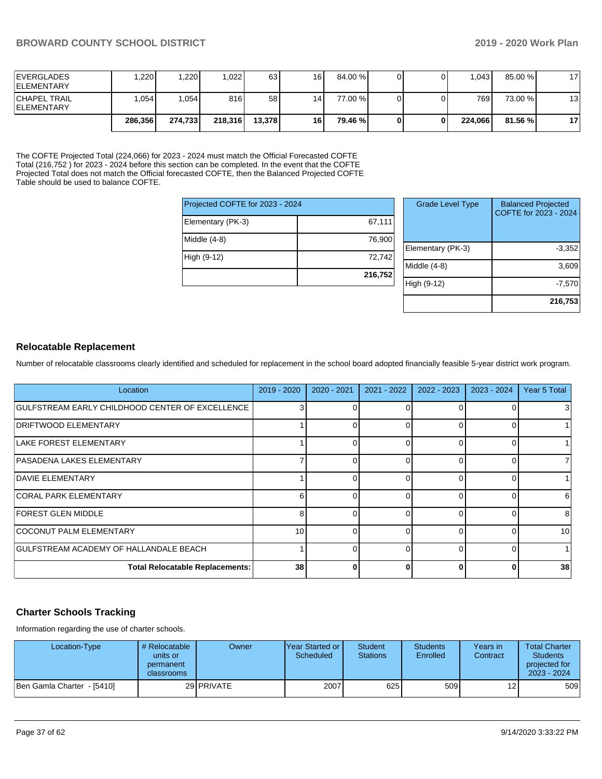| <b>IEVERGLADES</b><br><b>IELEMENTARY</b>  | .220    | 1,220   | 0.022   | 63     | 16              | 84.00 % |  | 1.043   | 85.00 %  | 17 <sub>1</sub> |
|-------------------------------------------|---------|---------|---------|--------|-----------------|---------|--|---------|----------|-----------------|
| <b>CHAPEL TRAIL</b><br><b>IELEMENTARY</b> | .054    | 1,054   | 816     | 58     | 14 <sub>1</sub> | 77.00 % |  | 7691    | 73.00 %  | 13 <sub>1</sub> |
|                                           | 286,356 | 274.733 | 218,316 | 13.378 | 16              | 79.46 % |  | 224.066 | 81.56 %l | 17              |

The COFTE Projected Total (224,066) for 2023 - 2024 must match the Official Forecasted COFTE Total (216,752 ) for 2023 - 2024 before this section can be completed. In the event that the COFTE Projected Total does not match the Official forecasted COFTE, then the Balanced Projected COFTE Table should be used to balance COFTE.

| Projected COFTE for 2023 - 2024 |         |
|---------------------------------|---------|
| Elementary (PK-3)               | 67,111  |
| Middle $(4-8)$                  | 76,900  |
| High (9-12)                     | 72,742  |
|                                 | 216,752 |

| <b>Grade Level Type</b> | <b>Balanced Projected</b><br>COFTE for 2023 - 2024 |
|-------------------------|----------------------------------------------------|
| Elementary (PK-3)       | $-3,352$                                           |
| Middle $(4-8)$          | 3,609                                              |
| High (9-12)             | $-7,570$                                           |
|                         | 216,753                                            |

## **Relocatable Replacement**

Number of relocatable classrooms clearly identified and scheduled for replacement in the school board adopted financially feasible 5-year district work program.

| Location                                        | 2019 - 2020 | 2020 - 2021 | 2021 - 2022 | 2022 - 2023 | 2023 - 2024 | Year 5 Total   |
|-------------------------------------------------|-------------|-------------|-------------|-------------|-------------|----------------|
| GULFSTREAM EARLY CHILDHOOD CENTER OF EXCELLENCE |             |             |             |             |             | 3              |
| <b>DRIFTWOOD ELEMENTARY</b>                     |             |             |             |             |             |                |
| LAKE FOREST ELEMENTARY                          |             |             |             |             |             |                |
| PASADENA LAKES ELEMENTARY                       |             |             |             |             |             | $\overline{7}$ |
| <b>DAVIE ELEMENTARY</b>                         |             |             |             |             |             |                |
| <b>CORAL PARK ELEMENTARY</b>                    | 6           |             |             |             |             | 6              |
| <b>FOREST GLEN MIDDLE</b>                       | 8           |             |             |             |             | 8              |
| <b>COCONUT PALM ELEMENTARY</b>                  | 10          |             |             |             |             | 10             |
| GULFSTREAM ACADEMY OF HALLANDALE BEACH          |             |             |             |             |             | $\mathbf{1}$   |
| <b>Total Relocatable Replacements:</b>          | 38          |             |             |             |             | 38             |

## **Charter Schools Tracking**

Information regarding the use of charter schools.

| Location-Type              | # Relocatable<br>units or<br>permanent<br><b>classrooms</b> | Owner      | <b>IYear Started or</b><br>Scheduled | <b>Student</b><br><b>Stations</b> | <b>Students</b><br>Enrolled | Years in<br>Contract | <b>Total Charter</b><br><b>Students</b><br>projected for<br>2023 - 2024 |
|----------------------------|-------------------------------------------------------------|------------|--------------------------------------|-----------------------------------|-----------------------------|----------------------|-------------------------------------------------------------------------|
| Ben Gamla Charter - [5410] |                                                             | 29 PRIVATE | 2007                                 | 625                               | 509                         | 12                   | 509                                                                     |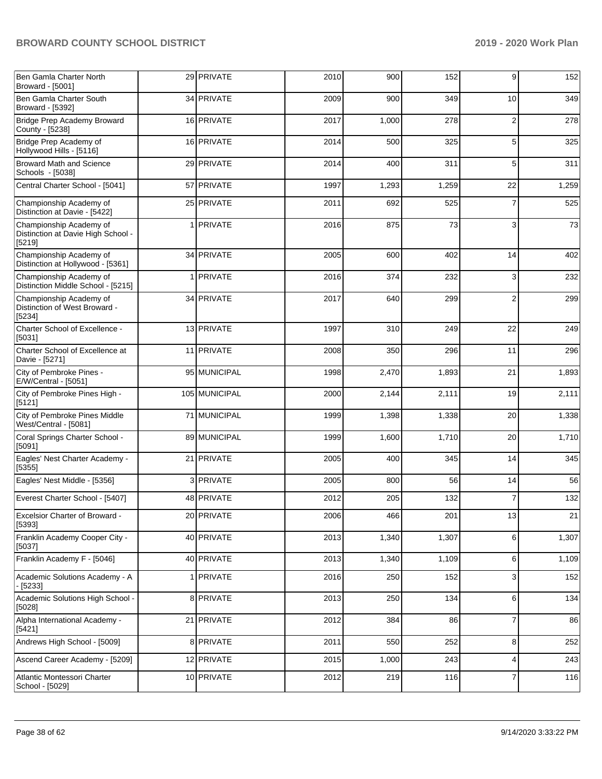| Ben Gamla Charter North<br>Broward - [5001]                             | 29 PRIVATE       | 2010 | 900   | 152   | 9              | 152   |
|-------------------------------------------------------------------------|------------------|------|-------|-------|----------------|-------|
| Ben Gamla Charter South<br>Broward - [5392]                             | 34 PRIVATE       | 2009 | 900   | 349   | 10             | 349   |
| Bridge Prep Academy Broward<br>County - [5238]                          | 16 PRIVATE       | 2017 | 1,000 | 278   | $\overline{2}$ | 278   |
| Bridge Prep Academy of<br>Hollywood Hills - [5116]                      | 16 PRIVATE       | 2014 | 500   | 325   | 5              | 325   |
| <b>Broward Math and Science</b><br>Schools - [5038]                     | 29 PRIVATE       | 2014 | 400   | 311   | 5              | 311   |
| Central Charter School - [5041]                                         | 57 PRIVATE       | 1997 | 1,293 | 1,259 | 22             | 1,259 |
| Championship Academy of<br>Distinction at Davie - [5422]                | 25 PRIVATE       | 2011 | 692   | 525   | 7              | 525   |
| Championship Academy of<br>Distinction at Davie High School -<br>[5219] | 1 PRIVATE        | 2016 | 875   | 73    | 3              | 73    |
| Championship Academy of<br>Distinction at Hollywood - [5361]            | 34 PRIVATE       | 2005 | 600   | 402   | 14             | 402   |
| Championship Academy of<br>Distinction Middle School - [5215]           | 1 <b>PRIVATE</b> | 2016 | 374   | 232   | 3              | 232   |
| Championship Academy of<br>Distinction of West Broward -<br>[5234]      | 34 PRIVATE       | 2017 | 640   | 299   | $\overline{2}$ | 299   |
| Charter School of Excellence -<br>[5031]                                | 13 PRIVATE       | 1997 | 310   | 249   | 22             | 249   |
| Charter School of Excellence at<br>Davie - [5271]                       | 11 PRIVATE       | 2008 | 350   | 296   | 11             | 296   |
| City of Pembroke Pines -<br>E/W/Central - [5051]                        | 95 MUNICIPAL     | 1998 | 2,470 | 1,893 | 21             | 1,893 |
| City of Pembroke Pines High -<br>[5121]                                 | 105 MUNICIPAL    | 2000 | 2,144 | 2,111 | 19             | 2,111 |
| City of Pembroke Pines Middle<br>West/Central - [5081]                  | 71 MUNICIPAL     | 1999 | 1,398 | 1,338 | 20             | 1,338 |
| Coral Springs Charter School -<br>[5091]                                | 89 MUNICIPAL     | 1999 | 1,600 | 1,710 | 20             | 1,710 |
| Eagles' Nest Charter Academy -<br>[5355]                                | 21 PRIVATE       | 2005 | 400   | 345   | 14             | 345   |
| Eagles' Nest Middle - [5356]                                            | 3 PRIVATE        | 2005 | 800   | 56    | 14             | 56    |
| Everest Charter School - [5407]                                         | 48 PRIVATE       | 2012 | 205   | 132   | 7              | 132   |
| <b>Excelsior Charter of Broward -</b><br>[5393]                         | 20 PRIVATE       | 2006 | 466   | 201   | 13             | 21    |
| Franklin Academy Cooper City -<br>[5037]                                | 40 PRIVATE       | 2013 | 1,340 | 1,307 | 6              | 1,307 |
| Franklin Academy F - [5046]                                             | 40 PRIVATE       | 2013 | 1,340 | 1,109 | 6              | 1,109 |
| Academic Solutions Academy - A<br>- [5233]                              | 1 PRIVATE        | 2016 | 250   | 152   | 3              | 152   |
| Academic Solutions High School -<br>[5028]                              | 8 PRIVATE        | 2013 | 250   | 134   | 6              | 134   |
| Alpha International Academy -<br>[5421]                                 | 21 PRIVATE       | 2012 | 384   | 86    | 7              | 86    |
| Andrews High School - [5009]                                            | 8 PRIVATE        | 2011 | 550   | 252   | 8              | 252   |
| Ascend Career Academy - [5209]                                          | 12 PRIVATE       | 2015 | 1,000 | 243   | 4              | 243   |
| Atlantic Montessori Charter<br>School - [5029]                          | 10 PRIVATE       | 2012 | 219   | 116   | 7              | 116   |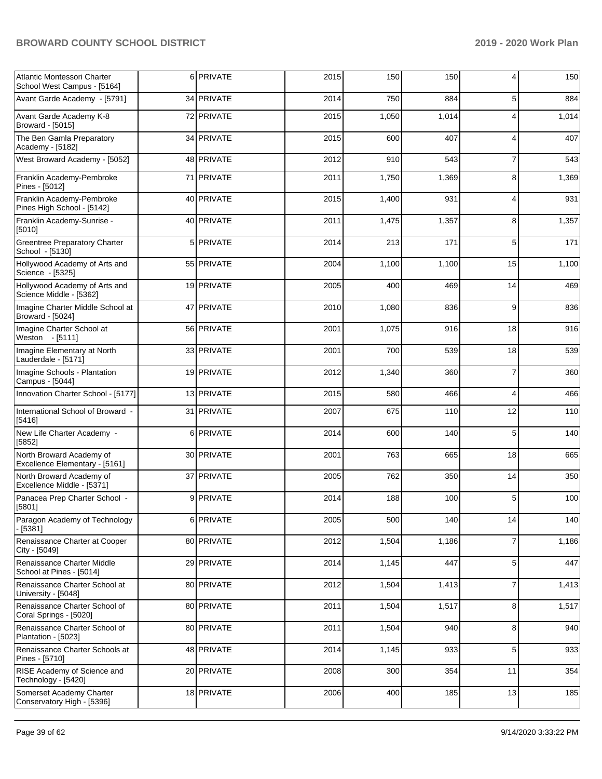| Atlantic Montessori Charter<br>School West Campus - [5164] |   | 6 PRIVATE  | 2015 | 150   | 150   | 4              | 150   |
|------------------------------------------------------------|---|------------|------|-------|-------|----------------|-------|
| Avant Garde Academy - [5791]                               |   | 34 PRIVATE | 2014 | 750   | 884   | 5              | 884   |
| Avant Garde Academy K-8<br>Broward - [5015]                |   | 72 PRIVATE | 2015 | 1,050 | 1,014 | 4              | 1,014 |
| The Ben Gamla Preparatory<br>Academy - [5182]              |   | 34 PRIVATE | 2015 | 600   | 407   | 4              | 407   |
| West Broward Academy - [5052]                              |   | 48 PRIVATE | 2012 | 910   | 543   | $\overline{7}$ | 543   |
| Franklin Academy-Pembroke<br>Pines - [5012]                |   | 71 PRIVATE | 2011 | 1,750 | 1,369 | 8              | 1,369 |
| Franklin Academy-Pembroke<br>Pines High School - [5142]    |   | 40 PRIVATE | 2015 | 1,400 | 931   | 4              | 931   |
| Franklin Academy-Sunrise -<br>[5010]                       |   | 40 PRIVATE | 2011 | 1,475 | 1,357 | 8              | 1,357 |
| <b>Greentree Preparatory Charter</b><br>School - [5130]    |   | 5 PRIVATE  | 2014 | 213   | 171   | 5              | 171   |
| Hollywood Academy of Arts and<br>Science - [5325]          |   | 55 PRIVATE | 2004 | 1,100 | 1,100 | 15             | 1,100 |
| Hollywood Academy of Arts and<br>Science Middle - [5362]   |   | 19 PRIVATE | 2005 | 400   | 469   | 14             | 469   |
| Imagine Charter Middle School at<br>Broward - [5024]       |   | 47 PRIVATE | 2010 | 1,080 | 836   | 9              | 836   |
| Imagine Charter School at<br>Weston - [5111]               |   | 56 PRIVATE | 2001 | 1,075 | 916   | 18             | 916   |
| Imagine Elementary at North<br>Lauderdale - [5171]         |   | 33 PRIVATE | 2001 | 700   | 539   | 18             | 539   |
| Imagine Schools - Plantation<br>Campus - [5044]            |   | 19 PRIVATE | 2012 | 1,340 | 360   | $\overline{7}$ | 360   |
| Innovation Charter School - [5177]                         |   | 13 PRIVATE | 2015 | 580   | 466   | $\overline{4}$ | 466   |
| International School of Broward -<br>[5416]                |   | 31 PRIVATE | 2007 | 675   | 110   | 12             | 110   |
| New Life Charter Academy -<br>[5852]                       | 6 | PRIVATE    | 2014 | 600   | 140   | 5              | 140   |
| North Broward Academy of<br>Excellence Elementary - [5161] |   | 30 PRIVATE | 2001 | 763   | 665   | 18             | 665   |
| North Broward Academy of<br>Excellence Middle - [5371]     |   | 37 PRIVATE | 2005 | 762   | 350   | 14             | 350   |
| Panacea Prep Charter School -<br>[5801]                    | 9 | PRIVATE    | 2014 | 188   | 100   | 5              | 100   |
| Paragon Academy of Technology<br>$-$ [5381]                |   | 6 PRIVATE  | 2005 | 500   | 140   | 14             | 140   |
| Renaissance Charter at Cooper<br>City - [5049]             |   | 80 PRIVATE | 2012 | 1,504 | 1,186 | $\overline{7}$ | 1,186 |
| Renaissance Charter Middle<br>School at Pines - [5014]     |   | 29 PRIVATE | 2014 | 1,145 | 447   | $\overline{5}$ | 447   |
| Renaissance Charter School at<br>University - [5048]       |   | 80 PRIVATE | 2012 | 1,504 | 1,413 | $\overline{7}$ | 1,413 |
| Renaissance Charter School of<br>Coral Springs - [5020]    |   | 80 PRIVATE | 2011 | 1,504 | 1,517 | 8              | 1,517 |
| Renaissance Charter School of<br>Plantation - [5023]       |   | 80 PRIVATE | 2011 | 1,504 | 940   | 8              | 940   |
| Renaissance Charter Schools at<br>Pines - [5710]           |   | 48 PRIVATE | 2014 | 1,145 | 933   | 5              | 933   |
| RISE Academy of Science and<br>Technology - [5420]         |   | 20 PRIVATE | 2008 | 300   | 354   | 11             | 354   |
| Somerset Academy Charter<br>Conservatory High - [5396]     |   | 18 PRIVATE | 2006 | 400   | 185   | 13             | 185   |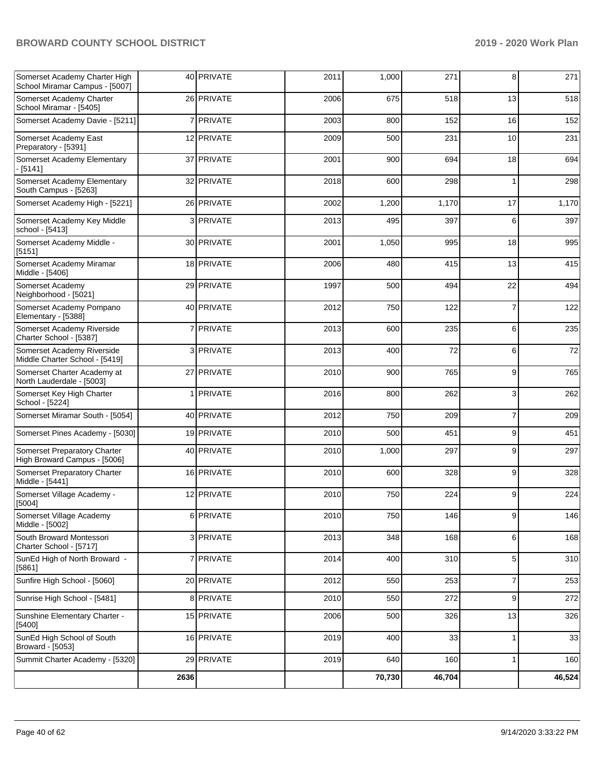| Somerset Academy Charter High<br>School Miramar Campus - [5007] |                | 40 PRIVATE | 2011 | 1,000  | 271    | 8              | 271    |
|-----------------------------------------------------------------|----------------|------------|------|--------|--------|----------------|--------|
| Somerset Academy Charter<br>School Miramar - [5405]             |                | 26 PRIVATE | 2006 | 675    | 518    | 13             | 518    |
| Somerset Academy Davie - [5211]                                 | 7              | PRIVATE    | 2003 | 800    | 152    | 16             | 152    |
| Somerset Academy East<br>Preparatory - [5391]                   |                | 12 PRIVATE | 2009 | 500    | 231    | 10             | 231    |
| Somerset Academy Elementary<br>$-[5141]$                        |                | 37 PRIVATE | 2001 | 900    | 694    | 18             | 694    |
| Somerset Academy Elementary<br>South Campus - [5263]            |                | 32 PRIVATE | 2018 | 600    | 298    | 1              | 298    |
| Somerset Academy High - [5221]                                  |                | 26 PRIVATE | 2002 | 1,200  | 1,170  | 17             | 1,170  |
| Somerset Academy Key Middle<br>school - [5413]                  | 3              | PRIVATE    | 2013 | 495    | 397    | 6              | 397    |
| Somerset Academy Middle -<br>[5151]                             |                | 30 PRIVATE | 2001 | 1,050  | 995    | 18             | 995    |
| Somerset Academy Miramar<br>Middle - [5406]                     |                | 18 PRIVATE | 2006 | 480    | 415    | 13             | 415    |
| Somerset Academy<br>Neighborhood - [5021]                       |                | 29 PRIVATE | 1997 | 500    | 494    | 22             | 494    |
| Somerset Academy Pompano<br>Elementary - [5388]                 |                | 40 PRIVATE | 2012 | 750    | 122    | $\overline{7}$ | 122    |
| Somerset Academy Riverside<br>Charter School - [5387]           |                | 7 PRIVATE  | 2013 | 600    | 235    | 6              | 235    |
| Somerset Academy Riverside<br>Middle Charter School - [5419]    |                | 3 PRIVATE  | 2013 | 400    | 72     | 6              | $72\,$ |
| Somerset Charter Academy at<br>North Lauderdale - [5003]        |                | 27 PRIVATE | 2010 | 900    | 765    | 9              | 765    |
| Somerset Key High Charter<br>School - [5224]                    | 1 <sup>1</sup> | PRIVATE    | 2016 | 800    | 262    | 3              | 262    |
| Somerset Miramar South - [5054]                                 |                | 40 PRIVATE | 2012 | 750    | 209    | $\overline{7}$ | 209    |
| Somerset Pines Academy - [5030]                                 |                | 19 PRIVATE | 2010 | 500    | 451    | 9              | 451    |
| Somerset Preparatory Charter<br>High Broward Campus - [5006]    |                | 40 PRIVATE | 2010 | 1,000  | 297    | 9              | 297    |
| Somerset Preparatory Charter<br>Middle - [5441]                 |                | 16 PRIVATE | 2010 | 600    | 328    | 9              | 328    |
| Somerset Village Academy -<br>[5004]                            |                | 12 PRIVATE | 2010 | 750    | 224    | 9              | 224    |
| Somerset Village Academy<br>Middle - [5002]                     |                | 6 PRIVATE  | 2010 | 750    | 146    | 9              | 146    |
| South Broward Montessori<br>Charter School - [5717]             |                | 3 PRIVATE  | 2013 | 348    | 168    | 6              | 168    |
| SunEd High of North Broward -<br>[5861]                         |                | 7 PRIVATE  | 2014 | 400    | 310    | 5              | 310    |
| Sunfire High School - [5060]                                    |                | 20 PRIVATE | 2012 | 550    | 253    | 7              | 253    |
| Sunrise High School - [5481]                                    |                | 8 PRIVATE  | 2010 | 550    | 272    | 9              | 272    |
| Sunshine Elementary Charter -<br>[5400]                         |                | 15 PRIVATE | 2006 | 500    | 326    | 13             | 326    |
| SunEd High School of South<br>Broward - [5053]                  |                | 16 PRIVATE | 2019 | 400    | 33     | 1              | 33     |
| Summit Charter Academy - [5320]                                 |                | 29 PRIVATE | 2019 | 640    | 160    | $\mathbf{1}$   | 160    |
|                                                                 | 2636           |            |      | 70,730 | 46,704 |                | 46,524 |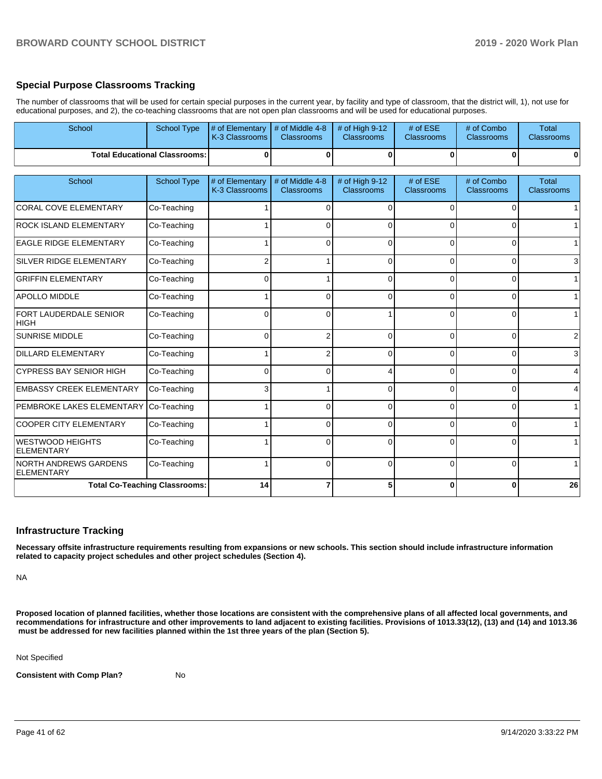## **Special Purpose Classrooms Tracking**

The number of classrooms that will be used for certain special purposes in the current year, by facility and type of classroom, that the district will, 1), not use for educational purposes, and 2), the co-teaching classrooms that are not open plan classrooms and will be used for educational purposes.

| School                                 | School Type                          | # of Elementary<br>K-3 Classrooms | # of Middle 4-8<br><b>Classrooms</b> | # of High 9-12<br><b>Classrooms</b> | # of ESE<br>Classrooms        | # of Combo<br>Classrooms        | <b>Total</b><br>Classrooms        |
|----------------------------------------|--------------------------------------|-----------------------------------|--------------------------------------|-------------------------------------|-------------------------------|---------------------------------|-----------------------------------|
|                                        | <b>Total Educational Classrooms:</b> | O                                 | $\bf{0}$                             | $\bf{0}$                            | $\Omega$                      | $\bf{0}$                        | $\mathbf{0}$                      |
| School                                 | <b>School Type</b>                   | # of Elementary<br>K-3 Classrooms | # of Middle 4-8<br><b>Classrooms</b> | # of High 9-12<br><b>Classrooms</b> | # of ESE<br><b>Classrooms</b> | # of Combo<br><b>Classrooms</b> | <b>Total</b><br><b>Classrooms</b> |
| <b>CORAL COVE ELEMENTARY</b>           | Co-Teaching                          |                                   | $\Omega$                             | $\Omega$                            | $\Omega$                      | $\Omega$                        | 1 <sup>1</sup>                    |
| <b>ROCK ISLAND ELEMENTARY</b>          | Co-Teaching                          |                                   | 0                                    | $\Omega$                            | 0                             | $\Omega$                        | 1                                 |
| <b>EAGLE RIDGE ELEMENTARY</b>          | Co-Teaching                          |                                   | $\Omega$                             | 0                                   | 0                             | $\overline{0}$                  | 1                                 |
| SILVER RIDGE ELEMENTARY                | Co-Teaching                          |                                   |                                      | $\Omega$                            | $\Omega$                      | 0                               | $\mathbf{3}$                      |
| <b>GRIFFIN ELEMENTARY</b>              | Co-Teaching                          | 0                                 |                                      | $\Omega$                            | 0                             | 0                               | 1                                 |
| <b>APOLLO MIDDLE</b>                   | Co-Teaching                          |                                   | $\Omega$                             | $\Omega$                            | $\Omega$                      | 0                               | 1                                 |
| <b>FORT LAUDERDALE SENIOR</b><br> HIGH | Co-Teaching                          | U                                 | $\Omega$                             |                                     | $\Omega$                      | $\Omega$                        | 1                                 |
| <b>SUNRISE MIDDLE</b>                  | Co-Teaching                          | $\Omega$                          | 2                                    | $\Omega$                            | $\Omega$                      | $\Omega$                        | $\overline{2}$                    |
| <b>DILLARD ELEMENTARY</b>              | Co-Teaching                          |                                   | 2                                    | $\Omega$                            | $\Omega$                      | $\Omega$                        | $\mathbf{3}$                      |
| <b>CYPRESS BAY SENIOR HIGH</b>         | Co-Teaching                          | 0                                 | $\Omega$                             | $\boldsymbol{\Delta}$               | $\Omega$                      | 0                               | $\overline{4}$                    |
| <b>EMBASSY CREEK ELEMENTARY</b>        | Co-Teaching                          | 3                                 |                                      | $\Omega$                            | 0                             | $\Omega$                        | $\overline{4}$                    |
| PEMBROKE LAKES ELEMENTARY              | Co-Teaching                          |                                   | $\Omega$                             | $\Omega$                            | O                             | $\Omega$                        | 1                                 |
| <b>COOPER CITY ELEMENTARY</b>          | Co-Teaching                          |                                   | $\Omega$                             | $\Omega$                            | 0                             | 0                               | $\mathbf{1}$                      |
| WESTWOOD HEIGHTS<br><b>ELEMENTARY</b>  | Co-Teaching                          |                                   | 0                                    | $\Omega$                            | $\Omega$                      | $\Omega$                        | 1                                 |
| NORTH ANDREWS GARDENS<br>ELEMENTARY    | Co-Teaching                          |                                   | $\Omega$                             | $\Omega$                            | $\Omega$                      | $\Omega$                        | 1                                 |
|                                        | <b>Total Co-Teaching Classrooms:</b> | 14                                |                                      | 5                                   | O                             | 0                               | 26                                |

## **Infrastructure Tracking**

**Necessary offsite infrastructure requirements resulting from expansions or new schools. This section should include infrastructure information related to capacity project schedules and other project schedules (Section 4).** 

NA

**Proposed location of planned facilities, whether those locations are consistent with the comprehensive plans of all affected local governments, and recommendations for infrastructure and other improvements to land adjacent to existing facilities. Provisions of 1013.33(12), (13) and (14) and 1013.36 must be addressed for new facilities planned within the 1st three years of the plan (Section 5).** 

Not Specified

**Consistent with Comp Plan?** No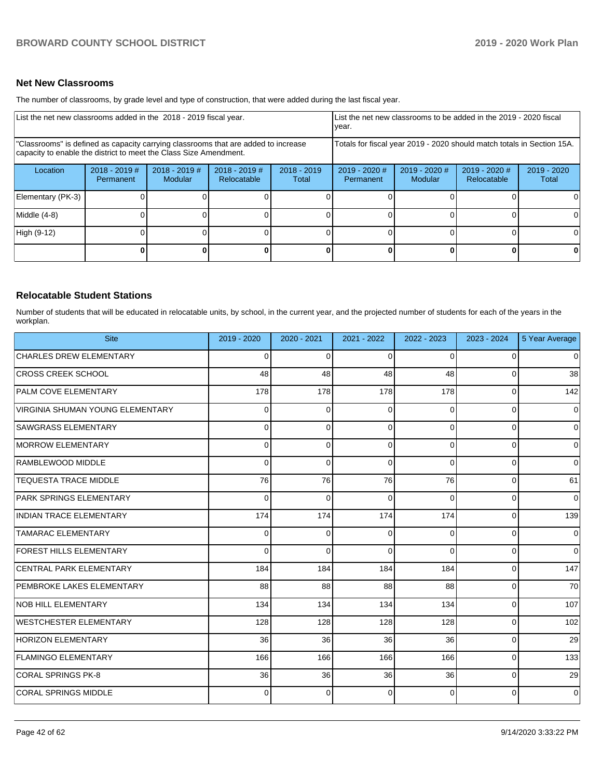## **Net New Classrooms**

The number of classrooms, by grade level and type of construction, that were added during the last fiscal year.

| List the net new classrooms added in the 2018 - 2019 fiscal year.                                                                                       |                              |                                   |                              |                                                                        | List the net new classrooms to be added in the 2019 - 2020 fiscal<br>year. |                            |                                |                        |
|---------------------------------------------------------------------------------------------------------------------------------------------------------|------------------------------|-----------------------------------|------------------------------|------------------------------------------------------------------------|----------------------------------------------------------------------------|----------------------------|--------------------------------|------------------------|
| "Classrooms" is defined as capacity carrying classrooms that are added to increase<br>capacity to enable the district to meet the Class Size Amendment. |                              |                                   |                              | Totals for fiscal year 2019 - 2020 should match totals in Section 15A. |                                                                            |                            |                                |                        |
| Location                                                                                                                                                | $2018 - 2019$ #<br>Permanent | $2018 - 2019$ #<br><b>Modular</b> | 2018 - 2019 #<br>Relocatable | $2018 - 2019$<br>Total                                                 | $2019 - 2020$ #<br>Permanent                                               | $2019 - 2020$ #<br>Modular | $2019 - 2020$ #<br>Relocatable | $2019 - 2020$<br>Total |
| Elementary (PK-3)                                                                                                                                       |                              |                                   |                              |                                                                        |                                                                            |                            |                                | 0                      |
| Middle (4-8)                                                                                                                                            |                              |                                   |                              |                                                                        |                                                                            |                            |                                | 0                      |
| High (9-12)                                                                                                                                             |                              |                                   |                              |                                                                        |                                                                            |                            |                                | $\Omega$               |
|                                                                                                                                                         |                              |                                   |                              | OΙ                                                                     |                                                                            |                            |                                | 0                      |

## **Relocatable Student Stations**

Number of students that will be educated in relocatable units, by school, in the current year, and the projected number of students for each of the years in the workplan.

| <b>Site</b>                      | 2019 - 2020 | 2020 - 2021 | 2021 - 2022 | 2022 - 2023 | 2023 - 2024 | 5 Year Average |
|----------------------------------|-------------|-------------|-------------|-------------|-------------|----------------|
| <b>CHARLES DREW ELEMENTARY</b>   | $\Omega$    | $\Omega$    | $\Omega$    | $\Omega$    | $\Omega$    | $\overline{0}$ |
| <b>CROSS CREEK SCHOOL</b>        | 48          | 48          | 48          | 48          | 0           | 38             |
| <b>PALM COVE ELEMENTARY</b>      | 178         | 178         | 178         | 178         | $\Omega$    | 142            |
| VIRGINIA SHUMAN YOUNG ELEMENTARY | 0           | $\Omega$    | 0           | $\Omega$    | $\Omega$    | -O l           |
| <b>SAWGRASS ELEMENTARY</b>       | $\Omega$    | $\Omega$    | $\Omega$    | $\Omega$    | $\Omega$    | $\overline{0}$ |
| <b>MORROW ELEMENTARY</b>         | 0           | $\Omega$    | $\Omega$    | $\Omega$    | $\Omega$    | 0              |
| RAMBLEWOOD MIDDLE                | 0           | $\Omega$    | 0           | $\Omega$    | $\Omega$    | $\overline{0}$ |
| <b>TEQUESTA TRACE MIDDLE</b>     | 76          | 76          | 76          | 76          | $\Omega$    | 61             |
| <b>PARK SPRINGS ELEMENTARY</b>   | 0           | $\Omega$    | O           | $\Omega$    | $\Omega$    | $\Omega$       |
| <b>INDIAN TRACE ELEMENTARY</b>   | 174         | 174         | 174         | 174         | $\Omega$    | 139            |
| <b>TAMARAC ELEMENTARY</b>        | $\Omega$    | $\Omega$    | $\Omega$    | $\Omega$    | $\Omega$    | $\Omega$       |
| <b>FOREST HILLS ELEMENTARY</b>   | $\Omega$    | $\Omega$    | $\Omega$    | $\Omega$    | $\Omega$    | $\overline{0}$ |
| <b>CENTRAL PARK ELEMENTARY</b>   | 184         | 184         | 184         | 184         | $\Omega$    | 147            |
| PEMBROKE LAKES ELEMENTARY        | 88          | 88          | 88          | 88          | $\Omega$    | 70             |
| <b>NOB HILL ELEMENTARY</b>       | 134         | 134         | 134         | 134         | $\Omega$    | 107            |
| WESTCHESTER ELEMENTARY           | 128         | 128         | 128         | 128         | $\Omega$    | 102            |
| <b>HORIZON ELEMENTARY</b>        | 36          | 36          | 36          | 36          | $\Omega$    | 29             |
| <b>FLAMINGO ELEMENTARY</b>       | 166         | 166         | 166         | 166         | $\Omega$    | 133            |
| CORAL SPRINGS PK-8               | 36          | 36          | 36          | 36          | 0           | 29             |
| <b>CORAL SPRINGS MIDDLE</b>      | 0           | $\Omega$    | $\Omega$    | $\Omega$    | $\Omega$    | $\overline{0}$ |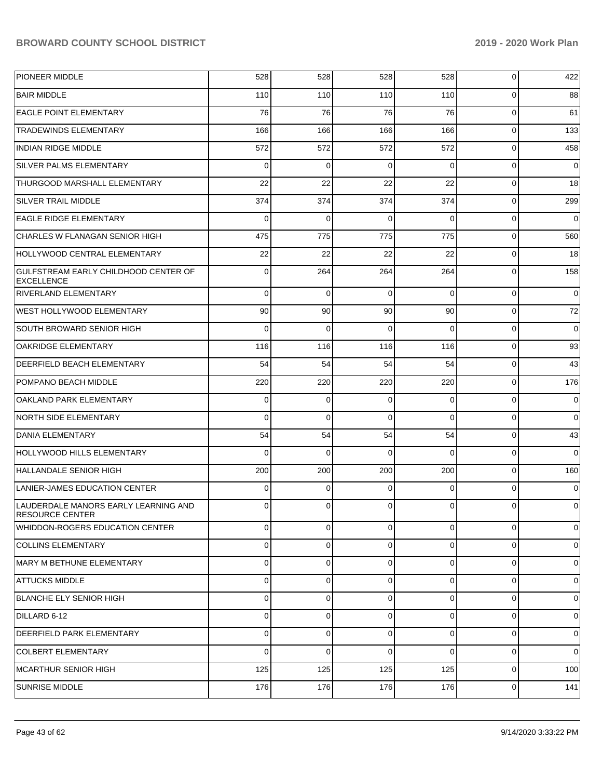| PIONEER MIDDLE                                                 | 528            | 528            | 528      | 528            | 0              | 422            |
|----------------------------------------------------------------|----------------|----------------|----------|----------------|----------------|----------------|
| <b>BAIR MIDDLE</b>                                             | 110            | 110            | 110      | 110            | 0              | 88             |
| <b>EAGLE POINT ELEMENTARY</b>                                  | 76             | 76             | 76       | 76             | $\mathbf 0$    | 61             |
| <b>TRADEWINDS ELEMENTARY</b>                                   | 166            | 166            | 166      | 166            | $\mathbf 0$    | 133            |
| <b>INDIAN RIDGE MIDDLE</b>                                     | 572            | 572            | 572      | 572            | $\mathbf 0$    | 458            |
| SILVER PALMS ELEMENTARY                                        | 0              | 0              | 0        | $\Omega$       | $\mathbf 0$    | 0              |
| THURGOOD MARSHALL ELEMENTARY                                   | 22             | 22             | 22       | 22             | $\mathbf 0$    | 18             |
| SILVER TRAIL MIDDLE                                            | 374            | 374            | 374      | 374            | $\mathbf 0$    | 299            |
| <b>EAGLE RIDGE ELEMENTARY</b>                                  | 0              | 0              | 0        | $\Omega$       | $\mathbf 0$    | 0              |
| CHARLES W FLANAGAN SENIOR HIGH                                 | 475            | 775            | 775      | 775            | $\mathbf 0$    | 560            |
| HOLLYWOOD CENTRAL ELEMENTARY                                   | 22             | 22             | 22       | 22             | 0              | 18             |
| GULFSTREAM EARLY CHILDHOOD CENTER OF<br><b>EXCELLENCE</b>      | 0              | 264            | 264      | 264            | 0              | 158            |
| <b>RIVERLAND ELEMENTARY</b>                                    | 0              | $\mathbf 0$    | 0        | $\Omega$       | $\mathbf 0$    | $\mathbf 0$    |
| <b>WEST HOLLYWOOD ELEMENTARY</b>                               | 90             | 90             | 90       | 90             | $\mathbf 0$    | 72             |
| SOUTH BROWARD SENIOR HIGH                                      | $\mathbf 0$    | $\mathbf 0$    | $\Omega$ | $\Omega$       | $\mathbf 0$    | 0              |
| <b>OAKRIDGE ELEMENTARY</b>                                     | 116            | 116            | 116      | 116            | $\mathbf 0$    | 93             |
| <b>DEERFIELD BEACH ELEMENTARY</b>                              | 54             | 54             | 54       | 54             | $\mathbf 0$    | 43             |
| POMPANO BEACH MIDDLE                                           | 220            | 220            | 220      | 220            | $\mathbf 0$    | 176            |
| OAKLAND PARK ELEMENTARY                                        | 0              | 0              | 0        | $\Omega$       | $\mathbf 0$    | 0              |
| <b>NORTH SIDE ELEMENTARY</b>                                   | 0              | $\mathbf 0$    | $\Omega$ | $\Omega$       | $\mathbf 0$    | $\mathbf 0$    |
| DANIA ELEMENTARY                                               | 54             | 54             | 54       | 54             | $\mathbf 0$    | 43             |
| HOLLYWOOD HILLS ELEMENTARY                                     | $\Omega$       | 0              | $\Omega$ | $\Omega$       | $\mathbf 0$    | $\mathbf 0$    |
| <b>HALLANDALE SENIOR HIGH</b>                                  | 200            | 200            | 200      | 200            | $\mathbf 0$    | 160            |
| LANIER-JAMES EDUCATION CENTER                                  | 0              | 0              | $\Omega$ | $\Omega$       | $\mathbf 0$    | $\mathbf 0$    |
| LAUDERDALE MANORS EARLY LEARNING AND<br><b>RESOURCE CENTER</b> | 0              | $\overline{0}$ | 0        | $\overline{0}$ | 0              | 0              |
| WHIDDON-ROGERS EDUCATION CENTER                                | $\overline{0}$ | $\overline{0}$ | $\Omega$ | $\Omega$       | $\Omega$       | $\overline{0}$ |
| <b>COLLINS ELEMENTARY</b>                                      | $\mathbf 0$    | $\overline{0}$ | $\Omega$ | 0              | $\Omega$       | $\overline{0}$ |
| MARY M BETHUNE ELEMENTARY                                      | $\overline{0}$ | $\overline{0}$ | $\Omega$ | $\Omega$       | $\Omega$       | 0              |
| <b>ATTUCKS MIDDLE</b>                                          | $\mathbf 0$    | $\overline{0}$ | $\Omega$ | 0              | $\Omega$       | $\overline{0}$ |
| BLANCHE ELY SENIOR HIGH                                        | $\overline{0}$ | $\overline{0}$ | $\Omega$ | $\Omega$       | $\Omega$       | 0              |
| DILLARD 6-12                                                   | 0              | $\overline{0}$ | $\Omega$ | $\Omega$       | $\Omega$       | $\overline{0}$ |
| <b>DEERFIELD PARK ELEMENTARY</b>                               | 0              | $\overline{0}$ | $\Omega$ | $\Omega$       | $\Omega$       | $\overline{0}$ |
| COLBERT ELEMENTARY                                             | $\mathbf 0$    | $\Omega$       | $\Omega$ | 0              | $\Omega$       | $\Omega$       |
| MCARTHUR SENIOR HIGH                                           | 125            | 125            | 125      | 125            | $\mathbf 0$    | 100            |
| <b>SUNRISE MIDDLE</b>                                          | 176            | 176            | 176      | 176            | $\overline{0}$ | 141            |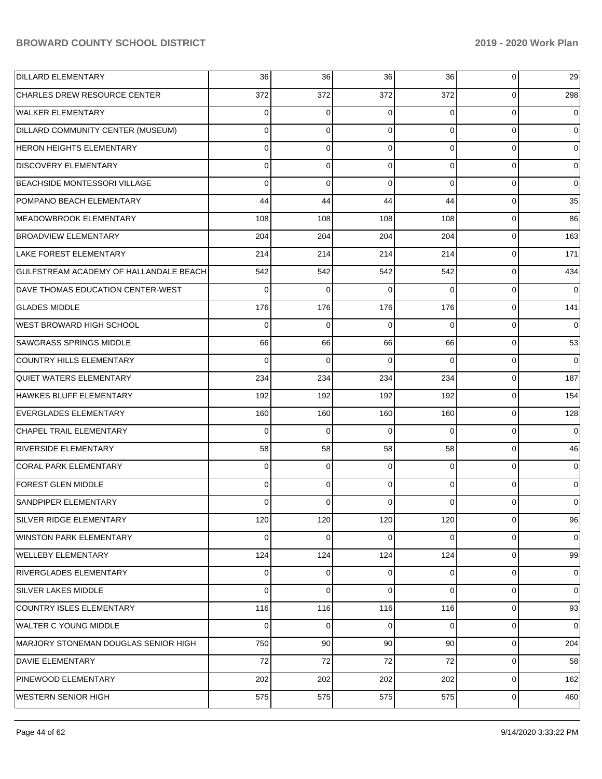| <b>DILLARD ELEMENTARY</b>              | 36       | 36          | 36       | 36       | 0           | 29             |
|----------------------------------------|----------|-------------|----------|----------|-------------|----------------|
| <b>CHARLES DREW RESOURCE CENTER</b>    | 372      | 372         | 372      | 372      | 0           | 298            |
| <b>WALKER ELEMENTARY</b>               | 0        | 0           | 0        | 0        | $\mathbf 0$ | $\Omega$       |
| DILLARD COMMUNITY CENTER (MUSEUM)      | 0        | $\mathbf 0$ | 0        | $\Omega$ | $\mathbf 0$ | 0              |
| <b>HERON HEIGHTS ELEMENTARY</b>        | 0        | $\mathbf 0$ | 0        | $\Omega$ | $\mathbf 0$ | $\Omega$       |
| <b>DISCOVERY ELEMENTARY</b>            | 0        | $\mathbf 0$ | 0        | $\Omega$ | $\mathbf 0$ | 0              |
| BEACHSIDE MONTESSORI VILLAGE           | 0        | $\mathbf 0$ | $\Omega$ | $\Omega$ | $\Omega$    | $\Omega$       |
| POMPANO BEACH ELEMENTARY               | 44       | 44          | 44       | 44       | $\mathbf 0$ | 35             |
| MEADOWBROOK ELEMENTARY                 | 108      | 108         | 108      | 108      | $\mathbf 0$ | 86             |
| <b>BROADVIEW ELEMENTARY</b>            | 204      | 204         | 204      | 204      | $\mathbf 0$ | 163            |
| <b>LAKE FOREST ELEMENTARY</b>          | 214      | 214         | 214      | 214      | $\mathbf 0$ | 171            |
| GULFSTREAM ACADEMY OF HALLANDALE BEACH | 542      | 542         | 542      | 542      | $\mathbf 0$ | 434            |
| DAVE THOMAS EDUCATION CENTER-WEST      | 0        | 0           | 0        | $\Omega$ | $\mathbf 0$ | $\Omega$       |
| <b>GLADES MIDDLE</b>                   | 176      | 176         | 176      | 176      | $\mathbf 0$ | 141            |
| WEST BROWARD HIGH SCHOOL               | 0        | $\mathbf 0$ | $\Omega$ | $\Omega$ | $\mathbf 0$ | $\Omega$       |
| <b>SAWGRASS SPRINGS MIDDLE</b>         | 66       | 66          | 66       | 66       | $\mathbf 0$ | 53             |
| COUNTRY HILLS ELEMENTARY               | 0        | 0           | 0        | $\Omega$ | $\mathbf 0$ | $\Omega$       |
| <b>QUIET WATERS ELEMENTARY</b>         | 234      | 234         | 234      | 234      | $\mathbf 0$ | 187            |
| HAWKES BLUFF ELEMENTARY                | 192      | 192         | 192      | 192      | $\mathbf 0$ | 154            |
| <b>EVERGLADES ELEMENTARY</b>           | 160      | 160         | 160      | 160      | $\mathbf 0$ | 128            |
| CHAPEL TRAIL ELEMENTARY                | 0        | 0           | 0        | $\Omega$ | $\mathbf 0$ | $\Omega$       |
| <b>RIVERSIDE ELEMENTARY</b>            | 58       | 58          | 58       | 58       | $\mathbf 0$ | 46             |
| <b>CORAL PARK ELEMENTARY</b>           | $\Omega$ | 0           | 0        | $\Omega$ | $\mathbf 0$ | $\Omega$       |
| <b>FOREST GLEN MIDDLE</b>              | 0        | $\mathbf 0$ | 0        | $\Omega$ | $\Omega$    | $\Omega$       |
| SANDPIPER ELEMENTARY                   | 0        | 0           | 0        | 0        | $\Omega$    | 0              |
| SILVER RIDGE ELEMENTARY                | 120      | 120         | 120      | 120      | 0           | 96             |
| <b>WINSTON PARK ELEMENTARY</b>         | $\Omega$ | 0           | 0        | $\Omega$ | $\mathbf 0$ | $\overline{0}$ |
| <b>WELLEBY ELEMENTARY</b>              | 124      | 124         | 124      | 124      | $\mathbf 0$ | 99             |
| <b>RIVERGLADES ELEMENTARY</b>          | 0        | 0           | 0        | $\Omega$ | $\mathbf 0$ | $\overline{0}$ |
| SILVER LAKES MIDDLE                    | 0        | $\mathbf 0$ | 0        | $\Omega$ | $\mathbf 0$ | $\mathbf 0$    |
| COUNTRY ISLES ELEMENTARY               | 116      | 116         | 116      | 116      | $\mathbf 0$ | 93             |
| <b>WALTER C YOUNG MIDDLE</b>           | 0        | $\mathbf 0$ | 0        | $\Omega$ | $\mathbf 0$ | $\overline{0}$ |
| MARJORY STONEMAN DOUGLAS SENIOR HIGH   | 750      | 90          | 90       | 90       | $\mathbf 0$ | 204            |
| <b>DAVIE ELEMENTARY</b>                | 72       | 72          | 72       | 72       | $\mathbf 0$ | 58             |
| PINEWOOD ELEMENTARY                    | 202      | 202         | 202      | 202      | $\mathbf 0$ | 162            |
| WESTERN SENIOR HIGH                    | 575      | 575         | 575      | 575      | 0           | 460            |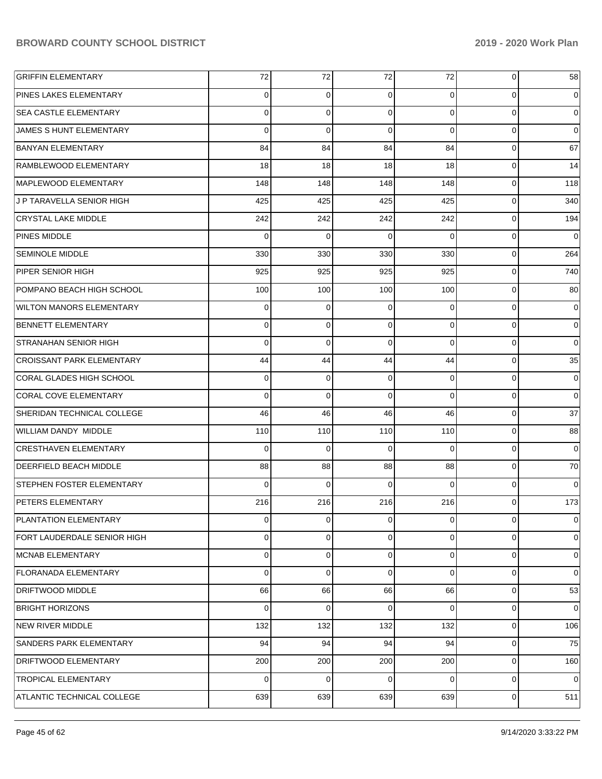| <b>GRIFFIN ELEMENTARY</b>        | 72          | 72             | 72             | 72             | $\mathbf 0$    | 58          |
|----------------------------------|-------------|----------------|----------------|----------------|----------------|-------------|
| <b>PINES LAKES ELEMENTARY</b>    | $\Omega$    | 0              | $\Omega$       | $\Omega$       | 0              | 0           |
| <b>SEA CASTLE ELEMENTARY</b>     | $\Omega$    | 0              | $\Omega$       | $\Omega$       | 0              | $\mathbf 0$ |
| JAMES S HUNT ELEMENTARY          | $\Omega$    | $\Omega$       | $\Omega$       | $\Omega$       | 0              | $\mathbf 0$ |
| <b>BANYAN ELEMENTARY</b>         | 84          | 84             | 84             | 84             | 0              | 67          |
| RAMBLEWOOD ELEMENTARY            | 18          | 18             | 18             | 18             | 0              | 14          |
| MAPLEWOOD ELEMENTARY             | 148         | 148            | 148            | 148            | 0              | 118         |
| J P TARAVELLA SENIOR HIGH        | 425         | 425            | 425            | 425            | 0              | 340         |
| <b>CRYSTAL LAKE MIDDLE</b>       | 242         | 242            | 242            | 242            | 0              | 194         |
| PINES MIDDLE                     | $\Omega$    | $\Omega$       | $\Omega$       | $\Omega$       | 0              | $\mathbf 0$ |
| <b>SEMINOLE MIDDLE</b>           | 330         | 330            | 330            | 330            | 0              | 264         |
| PIPER SENIOR HIGH                | 925         | 925            | 925            | 925            | 0              | 740         |
| POMPANO BEACH HIGH SCHOOL        | 100         | 100            | 100            | 100            | 0              | 80          |
| <b>WILTON MANORS ELEMENTARY</b>  | $\mathbf 0$ | $\mathbf 0$    | $\Omega$       | $\Omega$       | 0              | 0           |
| <b>BENNETT ELEMENTARY</b>        | $\Omega$    | 0              | $\Omega$       | $\Omega$       | 0              | $\mathbf 0$ |
| <b>STRANAHAN SENIOR HIGH</b>     | $\Omega$    | $\Omega$       | $\Omega$       | $\Omega$       | 0              | $\mathbf 0$ |
| <b>CROISSANT PARK ELEMENTARY</b> | 44          | 44             | 44             | 44             | 0              | 35          |
| CORAL GLADES HIGH SCHOOL         | $\mathbf 0$ | $\mathbf 0$    | $\Omega$       | $\Omega$       | 0              | 0           |
| <b>CORAL COVE ELEMENTARY</b>     | $\Omega$    | $\Omega$       | $\Omega$       | $\Omega$       | 0              | $\mathbf 0$ |
| SHERIDAN TECHNICAL COLLEGE       | 46          | 46             | 46             | 46             | 0              | 37          |
| WILLIAM DANDY MIDDLE             | 110         | 110            | 110            | 110            | 0              | 88          |
| <b>CRESTHAVEN ELEMENTARY</b>     | $\Omega$    | $\Omega$       | $\Omega$       | $\Omega$       | 0              | $\mathbf 0$ |
| <b>DEERFIELD BEACH MIDDLE</b>    | 88          | 88             | 88             | 88             | 0              | 70          |
| <b>STEPHEN FOSTER ELEMENTARY</b> | $\Omega$    | $\Omega$       | $\Omega$       | $\Omega$       | 0              | $\mathbf 0$ |
| <b>PETERS ELEMENTARY</b>         | 216         | 216            | 216            | 216            | $\Omega$       | 173         |
| <b>PLANTATION ELEMENTARY</b>     | $\mathbf 0$ | $\overline{0}$ | $\overline{0}$ | $\overline{0}$ | $\overline{0}$ | 0           |
| FORT LAUDERDALE SENIOR HIGH      | $\Omega$    | 0              | $\Omega$       | $\Omega$       | 0              | 0           |
| MCNAB ELEMENTARY                 | $\Omega$    | 0              | $\Omega$       | $\Omega$       | 0              | 0           |
| <b>FLORANADA ELEMENTARY</b>      | $\Omega$    | 0              | $\Omega$       | $\Omega$       | 0              | $\mathbf 0$ |
| <b>DRIFTWOOD MIDDLE</b>          | 66          | 66             | 66             | 66             | 0              | 53          |
| <b>BRIGHT HORIZONS</b>           | $\Omega$    | $\Omega$       | $\Omega$       | $\Omega$       | 0              | $\mathbf 0$ |
| NEW RIVER MIDDLE                 | 132         | 132            | 132            | 132            | 0              | 106         |
| <b>SANDERS PARK ELEMENTARY</b>   | 94          | 94             | 94             | 94             | 0              | 75          |
| <b>DRIFTWOOD ELEMENTARY</b>      | 200         | 200            | 200            | 200            | 0              | 160         |
| <b>TROPICAL ELEMENTARY</b>       | $\Omega$    | $\Omega$       | $\Omega$       | $\Omega$       | 0              | $\mathbf 0$ |
| ATLANTIC TECHNICAL COLLEGE       | 639         | 639            | 639            | 639            | 0              | 511         |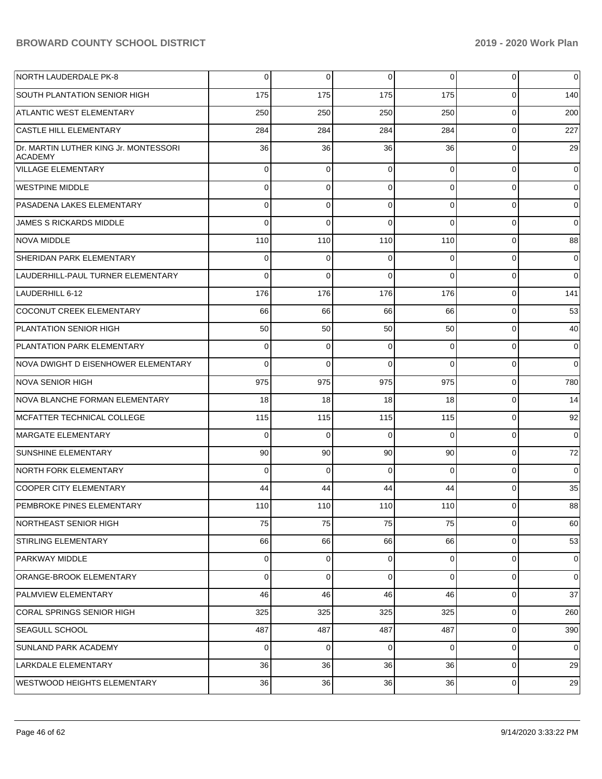| <b>NORTH LAUDERDALE PK-8</b>                            | 0           | $\mathbf 0$ | 0           | $\Omega$       | $\overline{0}$ | $\mathbf 0$ |
|---------------------------------------------------------|-------------|-------------|-------------|----------------|----------------|-------------|
| SOUTH PLANTATION SENIOR HIGH                            | 175         | 175         | 175         | 175            | $\Omega$       | 140         |
| ATLANTIC WEST ELEMENTARY                                | 250         | 250         | 250         | 250            | $\Omega$       | 200         |
| <b>CASTLE HILL ELEMENTARY</b>                           | 284         | 284         | 284         | 284            | $\mathbf 0$    | 227         |
| Dr. MARTIN LUTHER KING Jr. MONTESSORI<br><b>ACADEMY</b> | 36          | 36          | 36          | 36             | $\Omega$       | 29          |
| <b>VILLAGE ELEMENTARY</b>                               | 0           | $\mathbf 0$ | $\mathbf 0$ | $\Omega$       | $\mathbf 0$    | $\mathbf 0$ |
| <b>WESTPINE MIDDLE</b>                                  | 0           | 0           | $\Omega$    | $\Omega$       | 0              | 0           |
| PASADENA LAKES ELEMENTARY                               | 0           | 0           | $\Omega$    | $\Omega$       | $\mathbf 0$    | 0           |
| JAMES S RICKARDS MIDDLE                                 | 0           | $\mathbf 0$ | $\Omega$    | $\Omega$       | 0              | $\mathbf 0$ |
| <b>NOVA MIDDLE</b>                                      | 110         | 110         | 110         | 110            | 0              | 88          |
| <b>SHERIDAN PARK ELEMENTARY</b>                         | 0           | 0           | $\Omega$    | $\Omega$       | 0              | 0           |
| LAUDERHILL-PAUL TURNER ELEMENTARY                       | 0           | 0           | $\Omega$    | $\Omega$       | 0              | $\mathbf 0$ |
| LAUDERHILL 6-12                                         | 176         | 176         | 176         | 176            | 0              | 141         |
| COCONUT CREEK ELEMENTARY                                | 66          | 66          | 66          | 66             | 0              | 53          |
| PLANTATION SENIOR HIGH                                  | 50          | 50          | 50          | 50             | 0              | 40          |
| PLANTATION PARK ELEMENTARY                              | 0           | 0           | $\Omega$    | $\Omega$       | 0              | 0           |
| NOVA DWIGHT D EISENHOWER ELEMENTARY                     | 0           | $\mathbf 0$ | $\Omega$    | $\Omega$       | 0              | $\mathbf 0$ |
| NOVA SENIOR HIGH                                        | 975         | 975         | 975         | 975            | 0              | 780         |
| NOVA BLANCHE FORMAN ELEMENTARY                          | 18          | 18          | 18          | 18             | 0              | 14          |
| MCFATTER TECHNICAL COLLEGE                              | 115         | 115         | 115         | 115            | 0              | 92          |
| MARGATE ELEMENTARY                                      | $\mathbf 0$ | $\mathbf 0$ | $\Omega$    | $\Omega$       | $\mathbf 0$    | $\mathbf 0$ |
| <b>SUNSHINE ELEMENTARY</b>                              | 90          | 90          | 90          | 90             | 0              | 72          |
| <b>NORTH FORK ELEMENTARY</b>                            | 0           | $\mathbf 0$ | $\Omega$    | $\Omega$       | 0              | $\mathbf 0$ |
| <b>COOPER CITY ELEMENTARY</b>                           | 44          | 44          | 44          | 44             | 0              | 35          |
| PEMBROKE PINES ELEMENTARY                               | 110         | 110         | 110         | 110            | 0              | 88          |
| NORTHEAST SENIOR HIGH                                   | 75          | 75          | 75          | 75             | 0              | 60          |
| <b>STIRLING ELEMENTARY</b>                              | 66          | 66          | 66          | 66             | 0              | 53          |
| <b>PARKWAY MIDDLE</b>                                   | 0           | $\mathbf 0$ | $\Omega$    | $\overline{0}$ | 0              | 0           |
| ORANGE-BROOK ELEMENTARY                                 | 0           | $\mathbf 0$ | $\Omega$    | $\overline{0}$ | 0              | 0           |
| <b>PALMVIEW ELEMENTARY</b>                              | 46          | 46          | 46          | 46             | 0              | 37          |
| <b>CORAL SPRINGS SENIOR HIGH</b>                        | 325         | 325         | 325         | 325            | 0              | 260         |
| <b>SEAGULL SCHOOL</b>                                   | 487         | 487         | 487         | 487            | 0              | 390         |
| SUNLAND PARK ACADEMY                                    | 0           | 0           | 0           | $\overline{0}$ | 0              | 0           |
| LARKDALE ELEMENTARY                                     | 36          | 36          | 36          | 36             | 0              | 29          |
| WESTWOOD HEIGHTS ELEMENTARY                             | 36          | 36          | 36          | 36             | $\mathbf 0$    | 29          |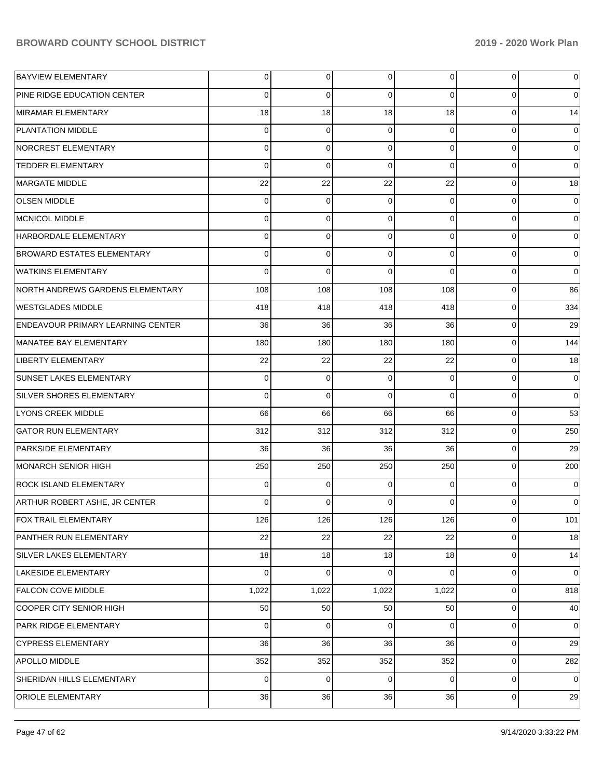| <b>BAYVIEW ELEMENTARY</b>                | 0        | $\overline{0}$ | $\Omega$        | $\overline{0}$ | $\overline{0}$ | $\overline{0}$ |
|------------------------------------------|----------|----------------|-----------------|----------------|----------------|----------------|
| PINE RIDGE EDUCATION CENTER              | $\Omega$ | 0              | $\Omega$        | $\Omega$       | $\overline{0}$ | $\overline{0}$ |
| MIRAMAR ELEMENTARY                       | 18       | 18             | 18              | 18             | $\overline{0}$ | 14             |
| <b>PLANTATION MIDDLE</b>                 | $\Omega$ | $\Omega$       | $\Omega$        | $\Omega$       | $\overline{0}$ | $\overline{0}$ |
| NORCREST ELEMENTARY                      | $\Omega$ | $\Omega$       | $\Omega$        | $\Omega$       | $\Omega$       | $\overline{0}$ |
| <b>TEDDER ELEMENTARY</b>                 | $\Omega$ | $\Omega$       | $\Omega$        | $\Omega$       | $\overline{0}$ | $\overline{0}$ |
| MARGATE MIDDLE                           | 22       | 22             | 22              | 22             | $\overline{0}$ | 18             |
| <b>OLSEN MIDDLE</b>                      | 0        | 0              | $\Omega$        | 0              | $\overline{0}$ | $\overline{0}$ |
| MCNICOL MIDDLE                           | $\Omega$ | 0              | $\Omega$        | $\Omega$       | $\overline{0}$ | $\overline{0}$ |
| HARBORDALE ELEMENTARY                    | $\Omega$ | 0              | $\Omega$        | $\Omega$       | $\overline{0}$ | $\overline{0}$ |
| <b>BROWARD ESTATES ELEMENTARY</b>        | $\Omega$ | 0              | $\Omega$        | $\Omega$       | $\overline{0}$ | $\overline{0}$ |
| <b>WATKINS ELEMENTARY</b>                | $\Omega$ | 0              | $\Omega$        | $\Omega$       | $\overline{0}$ | $\overline{0}$ |
| NORTH ANDREWS GARDENS ELEMENTARY         | 108      | 108            | 108             | 108            | $\overline{0}$ | 86             |
| <b>WESTGLADES MIDDLE</b>                 | 418      | 418            | 418             | 418            | $\overline{0}$ | 334            |
| <b>ENDEAVOUR PRIMARY LEARNING CENTER</b> | 36       | 36             | 36              | 36             | $\overline{0}$ | 29             |
| MANATEE BAY ELEMENTARY                   | 180      | 180            | 180             | 180            | $\overline{0}$ | 144            |
| <b>LIBERTY ELEMENTARY</b>                | 22       | 22             | 22              | 22             | $\overline{0}$ | 18             |
| <b>SUNSET LAKES ELEMENTARY</b>           | 0        | 0              | $\Omega$        | $\Omega$       | $\overline{0}$ | $\overline{0}$ |
| <b>SILVER SHORES ELEMENTARY</b>          | $\Omega$ | $\Omega$       | $\Omega$        | $\Omega$       | $\Omega$       | $\overline{0}$ |
| <b>LYONS CREEK MIDDLE</b>                | 66       | 66             | 66              | 66             | $\overline{0}$ | 53             |
| <b>GATOR RUN ELEMENTARY</b>              | 312      | 312            | 312             | 312            | $\overline{0}$ | 250            |
| <b>PARKSIDE ELEMENTARY</b>               | 36       | 36             | 36              | 36             | $\overline{0}$ | 29             |
| MONARCH SENIOR HIGH                      | 250      | 250            | 250             | 250            | $\Omega$       | 200            |
| <b>ROCK ISLAND ELEMENTARY</b>            | 0        | 0              | $\Omega$        | 0              | $\overline{0}$ | $\overline{0}$ |
| ARTHUR ROBERT ASHE, JR CENTER            | $\Omega$ | 0              | $\Omega$        | 0              | $\Omega$       | $\overline{0}$ |
| FOX TRAIL ELEMENTARY                     | 126      | 126            | 126             | 126            | $\overline{0}$ | 101            |
| <b>PANTHER RUN ELEMENTARY</b>            | 22       | 22             | 22              | 22             | $\overline{0}$ | 18             |
| SILVER LAKES ELEMENTARY                  | 18       | 18             | 18 <sup>1</sup> | 18             | $\overline{0}$ | 14             |
| LAKESIDE ELEMENTARY                      | $\Omega$ | 0              | $\Omega$        | $\Omega$       | $\overline{0}$ | $\overline{0}$ |
| <b>FALCON COVE MIDDLE</b>                | 1,022    | 1,022          | 1,022           | 1,022          | $\overline{0}$ | 818            |
| COOPER CITY SENIOR HIGH                  | 50       | 50             | 50 <sub>1</sub> | 50             | $\overline{0}$ | 40             |
| <b>PARK RIDGE ELEMENTARY</b>             | 0        | 0              | $\Omega$        | 0              | $\overline{0}$ | $\overline{0}$ |
| <b>CYPRESS ELEMENTARY</b>                | 36       | 36             | 36              | 36             | $\overline{0}$ | 29             |
| APOLLO MIDDLE                            | 352      | 352            | 352             | 352            | $\overline{0}$ | 282            |
| SHERIDAN HILLS ELEMENTARY                | 0        | 0              | $\overline{0}$  | $\overline{0}$ | $\overline{0}$ | $\overline{0}$ |
| <b>ORIOLE ELEMENTARY</b>                 | 36       | 36             | 36              | 36             | $\overline{0}$ | 29             |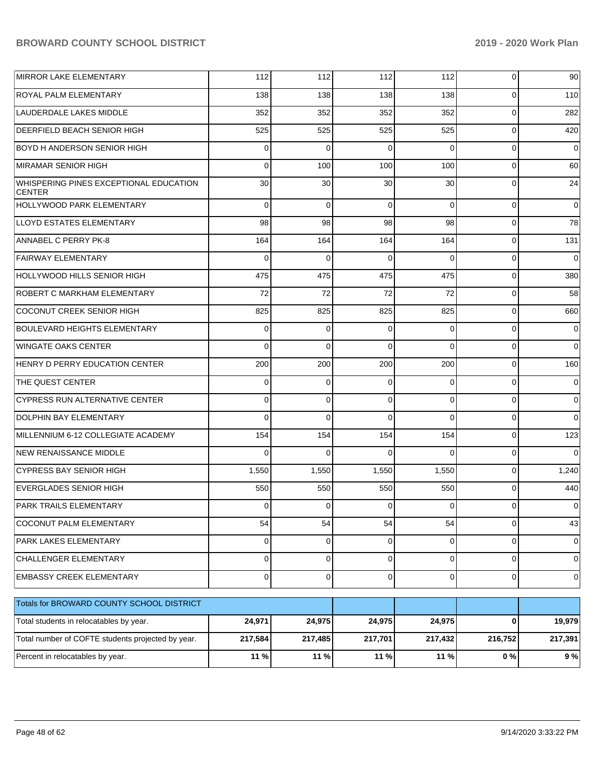| MIRROR LAKE ELEMENTARY                                  | 112          | 112          | 112      | 112         | $\overline{0}$ | 90 l        |
|---------------------------------------------------------|--------------|--------------|----------|-------------|----------------|-------------|
| ROYAL PALM ELEMENTARY                                   | 138          | 138          | 138      | 138         | $\Omega$       | 110         |
| LAUDERDALE LAKES MIDDLE                                 | 352          | 352          | 352      | 352         | $\mathbf 0$    | 282         |
| DEERFIELD BEACH SENIOR HIGH                             | 525          | 525          | 525      | 525         | $\Omega$       | 420         |
| BOYD H ANDERSON SENIOR HIGH                             | 0            | $\Omega$     | $\Omega$ | $\Omega$    | $\Omega$       | $\Omega$    |
| <b>MIRAMAR SENIOR HIGH</b>                              | $\Omega$     | 100          | 100      | 100         | $\Omega$       | 60          |
| WHISPERING PINES EXCEPTIONAL EDUCATION<br><b>CENTER</b> | 30           | 30           | 30       | 30          | $\Omega$       | 24          |
| HOLLYWOOD PARK ELEMENTARY                               | $\Omega$     | $\Omega$     | $\Omega$ | $\Omega$    | $\Omega$       | $\mathbf 0$ |
| LLOYD ESTATES ELEMENTARY                                | 98           | 98           | 98       | 98          | $\Omega$       | 78          |
| ANNABEL C PERRY PK-8                                    | 164          | 164          | 164      | 164         | $\overline{0}$ | 131         |
| <b>FAIRWAY ELEMENTARY</b>                               | $\Omega$     | $\Omega$     | $\Omega$ | $\Omega$    | $\mathbf 0$    | $\Omega$    |
| <b>HOLLYWOOD HILLS SENIOR HIGH</b>                      | 475          | 475          | 475      | 475         | $\mathbf 0$    | 380         |
| ROBERT C MARKHAM ELEMENTARY                             | 72           | 72           | 72       | 72          | $\mathbf 0$    | 58          |
| <b>COCONUT CREEK SENIOR HIGH</b>                        | 825          | 825          | 825      | 825         | $\overline{0}$ | 660         |
| <b>BOULEVARD HEIGHTS ELEMENTARY</b>                     | $\Omega$     | $\Omega$     | $\Omega$ | $\Omega$    | $\mathbf 0$    | 0           |
| <b>WINGATE OAKS CENTER</b>                              | $\Omega$     | $\Omega$     | $\Omega$ | $\Omega$    | $\mathbf 0$    | $\Omega$    |
| HENRY D PERRY EDUCATION CENTER                          | 200          | 200          | 200      | 200         | $\mathbf 0$    | 160         |
| THE QUEST CENTER                                        | $\Omega$     | $\Omega$     | $\Omega$ | $\Omega$    | $\Omega$       | 0           |
| <b>CYPRESS RUN ALTERNATIVE CENTER</b>                   | $\Omega$     | $\Omega$     | $\Omega$ | $\Omega$    | $\Omega$       | $\mathbf 0$ |
| <b>DOLPHIN BAY ELEMENTARY</b>                           | $\Omega$     | $\Omega$     | $\Omega$ | $\Omega$    | $\mathbf 0$    | $\Omega$    |
| MILLENNIUM 6-12 COLLEGIATE ACADEMY                      | 154          | 154          | 154      | 154         | $\mathbf 0$    | 123         |
| <b>NEW RENAISSANCE MIDDLE</b>                           | 0            | $\Omega$     | $\Omega$ | $\Omega$    | $\mathbf 0$    | $\Omega$    |
| <b>CYPRESS BAY SENIOR HIGH</b>                          | 1,550        | 1,550        | 1,550    | 1,550       | $\overline{0}$ | 1,240       |
| <b>EVERGLADES SENIOR HIGH</b>                           | 550          | 550          | 550      | 550         | $\overline{0}$ | 440         |
| <b>PARK TRAILS ELEMENTARY</b>                           | 0            | $\mathbf 0$  | 0        | $\Omega$    | $\overline{0}$ | 0           |
| COCONUT PALM ELEMENTARY                                 | 54           | 54           | 54       | 54          | 0              | 43          |
| PARK LAKES ELEMENTARY                                   | $\mathbf{0}$ | $\mathbf{0}$ | 0        | $\mathbf 0$ | $\mathbf 0$    | 0           |
| <b>CHALLENGER ELEMENTARY</b>                            | $\mathbf{0}$ | $\mathbf 0$  | 0        | $\Omega$    | $\mathbf 0$    | 0           |
| EMBASSY CREEK ELEMENTARY                                | $\mathbf{0}$ | $\mathbf 0$  | 0        | $\Omega$    | $\mathbf 0$    | 0           |
| Totals for BROWARD COUNTY SCHOOL DISTRICT               |              |              |          |             |                |             |
| Total students in relocatables by year.                 | 24,971       | 24,975       | 24,975   | 24,975      | 0              | 19,979      |
| Total number of COFTE students projected by year.       | 217,584      | 217,485      | 217,701  | 217,432     | 216,752        | 217,391     |
| Percent in relocatables by year.                        | 11 %         | 11 %         | 11 %     | 11 %        | $0\%$          | 9%          |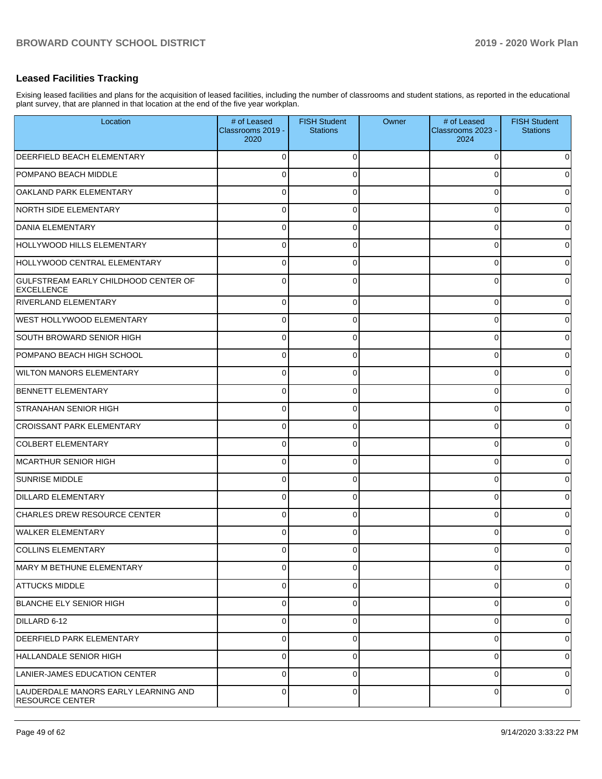## **Leased Facilities Tracking**

Exising leased facilities and plans for the acquisition of leased facilities, including the number of classrooms and student stations, as reported in the educational plant survey, that are planned in that location at the end of the five year workplan.

| Location                                                       | # of Leased<br>Classrooms 2019 -<br>2020 | <b>FISH Student</b><br><b>Stations</b> | Owner | # of Leased<br>Classrooms 2023 -<br>2024 | <b>FISH Student</b><br><b>Stations</b> |
|----------------------------------------------------------------|------------------------------------------|----------------------------------------|-------|------------------------------------------|----------------------------------------|
| <b>DEERFIELD BEACH ELEMENTARY</b>                              | ∩                                        | 0                                      |       | U                                        | 0                                      |
| POMPANO BEACH MIDDLE                                           | 0                                        | 0                                      |       | U                                        | 0                                      |
| OAKLAND PARK ELEMENTARY                                        |                                          | 0                                      |       |                                          | 0                                      |
| NORTH SIDE ELEMENTARY                                          | 0                                        | 0                                      |       | U                                        | 0                                      |
| <b>DANIA ELEMENTARY</b>                                        | U                                        | 0                                      |       | U                                        | 0                                      |
| HOLLYWOOD HILLS ELEMENTARY                                     | 0                                        | 0                                      |       | O                                        | 0                                      |
| HOLLYWOOD CENTRAL ELEMENTARY                                   | $\Omega$                                 | 0                                      |       | U                                        | 0                                      |
| GULFSTREAM EARLY CHILDHOOD CENTER OF<br>EXCELLENCE             | 0                                        | 0                                      |       | 0                                        | 0                                      |
| <b>RIVERLAND ELEMENTARY</b>                                    | 0                                        | 0                                      |       | 0                                        | 0                                      |
| <b>WEST HOLLYWOOD ELEMENTARY</b>                               | 0                                        | 0                                      |       | 0                                        | $\overline{0}$                         |
| SOUTH BROWARD SENIOR HIGH                                      | 0                                        | 0                                      |       | 0                                        | 0                                      |
| POMPANO BEACH HIGH SCHOOL                                      | 0                                        | 0                                      |       | 0                                        | 0                                      |
| <b>WILTON MANORS ELEMENTARY</b>                                | 0                                        | 0                                      |       | 0                                        | 0                                      |
| BENNETT ELEMENTARY                                             | 0                                        | 0                                      |       | 0                                        | $\overline{0}$                         |
| <b>STRANAHAN SENIOR HIGH</b>                                   | 0                                        | 0                                      |       | 0                                        | 0                                      |
| <b>CROISSANT PARK ELEMENTARY</b>                               | 0                                        | 0                                      |       | 0                                        | 0                                      |
| COLBERT ELEMENTARY                                             | 0                                        | 0                                      |       | 0                                        | 0                                      |
| MCARTHUR SENIOR HIGH                                           | 0                                        | 0                                      |       | 0                                        | 0                                      |
| <b>SUNRISE MIDDLE</b>                                          | 0                                        | 0                                      |       | 0                                        | 0                                      |
| <b>DILLARD ELEMENTARY</b>                                      | 0                                        | 0                                      |       | 0                                        | 0                                      |
| CHARLES DREW RESOURCE CENTER                                   | 0                                        | 0                                      |       | 0                                        | 0                                      |
| WALKER ELEMENTARY                                              | 0                                        | 0                                      |       | 0                                        | 0                                      |
| COLLINS ELEMENTARY                                             | 0                                        | 0                                      |       | 0                                        | 0                                      |
| MARY M BETHUNE ELEMENTARY                                      | 0                                        | 0                                      |       | 0                                        | $\overline{0}$                         |
| ATTUCKS MIDDLE                                                 | 0                                        | $\mathbf 0$                            |       | 0                                        | $\overline{0}$                         |
| BLANCHE ELY SENIOR HIGH                                        | 0                                        | $\mathbf 0$                            |       | 0                                        | $\overline{0}$                         |
| DILLARD 6-12                                                   | 0                                        | $\mathbf 0$                            |       | 0                                        | $\overline{0}$                         |
| <b>DEERFIELD PARK ELEMENTARY</b>                               | 0                                        | $\mathbf 0$                            |       | 0                                        | $\overline{0}$                         |
| HALLANDALE SENIOR HIGH                                         | 0                                        | $\mathbf 0$                            |       | 0                                        | $\overline{0}$                         |
| LANIER-JAMES EDUCATION CENTER                                  | 0                                        | $\mathbf 0$                            |       | 0                                        | $\overline{0}$                         |
| LAUDERDALE MANORS EARLY LEARNING AND<br><b>RESOURCE CENTER</b> | 0                                        | 0                                      |       | 0                                        | 0                                      |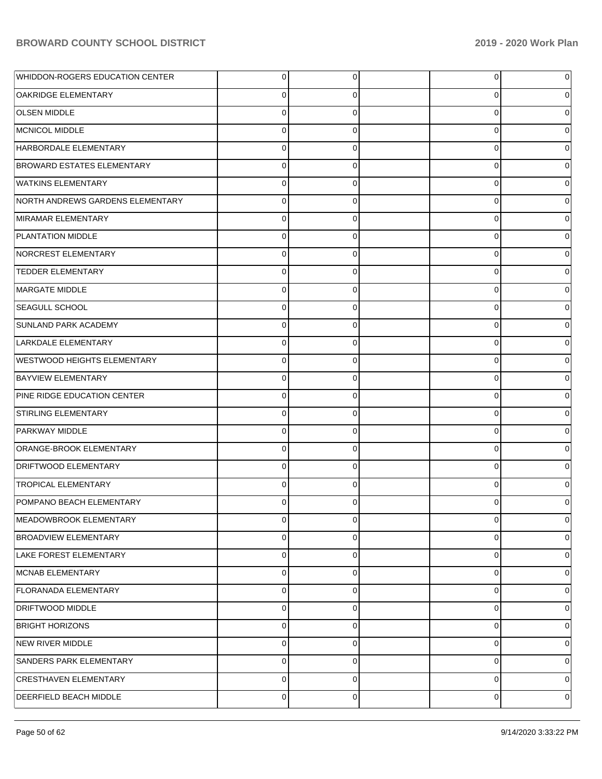| WHIDDON-ROGERS EDUCATION CENTER    | $\overline{0}$ | 0        | 0        | 0 |
|------------------------------------|----------------|----------|----------|---|
| OAKRIDGE ELEMENTARY                | 0              | 0        | 0        | 0 |
| <b>OLSEN MIDDLE</b>                | $\mathbf 0$    | $\Omega$ | 0        | 0 |
| MCNICOL MIDDLE                     | $\mathbf 0$    | 0        | 0        | 0 |
| HARBORDALE ELEMENTARY              | $\mathbf 0$    | $\Omega$ | 0        | 0 |
| <b>BROWARD ESTATES ELEMENTARY</b>  | $\mathbf 0$    | 0        | 0        | 0 |
| <b>WATKINS ELEMENTARY</b>          | $\mathbf 0$    | $\Omega$ | $\Omega$ |   |
| NORTH ANDREWS GARDENS ELEMENTARY   | $\mathbf{0}$   | 0        | 0        | 0 |
| MIRAMAR ELEMENTARY                 | $\mathbf 0$    | $\Omega$ | 0        | 0 |
| PLANTATION MIDDLE                  | $\mathbf 0$    | 0        | 0        | 0 |
| NORCREST ELEMENTARY                | $\mathbf 0$    | $\Omega$ | $\Omega$ |   |
| <b>TEDDER ELEMENTARY</b>           | $\mathbf 0$    | 0        | 0        | 0 |
| MARGATE MIDDLE                     | $\mathbf 0$    | $\Omega$ | 0        | 0 |
| <b>SEAGULL SCHOOL</b>              | $\mathbf 0$    | 0        | 0        | 0 |
| <b>SUNLAND PARK ACADEMY</b>        | $\Omega$       | $\Omega$ | $\Omega$ |   |
| LARKDALE ELEMENTARY                | $\mathbf 0$    | 0        | 0        | 0 |
| <b>WESTWOOD HEIGHTS ELEMENTARY</b> | $\mathbf 0$    | $\Omega$ | 0        | 0 |
| <b>BAYVIEW ELEMENTARY</b>          | $\mathbf 0$    | 0        | 0        | 0 |
| PINE RIDGE EDUCATION CENTER        | $\Omega$       | $\Omega$ | $\Omega$ |   |
| STIRLING ELEMENTARY                | $\mathbf 0$    | 0        | 0        | 0 |
| PARKWAY MIDDLE                     | $\mathbf 0$    | $\Omega$ | 0        | 0 |
| ORANGE-BROOK ELEMENTARY            | $\mathbf{0}$   | 0        | 0        | 0 |
| <b>DRIFTWOOD ELEMENTARY</b>        | $\Omega$       | $\Omega$ | $\Omega$ |   |
| <b>TROPICAL ELEMENTARY</b>         | $\Omega$       | $\Omega$ | 0        | 0 |
| POMPANO BEACH ELEMENTARY           | 0              | 0        | 0        |   |
| MEADOWBROOK ELEMENTARY             | $\overline{0}$ | 0        | 0        | 0 |
| <b>BROADVIEW ELEMENTARY</b>        | $\mathbf 0$    | 0        | 0        | 0 |
| LAKE FOREST ELEMENTARY             | $\mathbf 0$    | $\Omega$ | 0        | 0 |
| MCNAB ELEMENTARY                   | $\mathbf 0$    | 0        | 0        | 0 |
| FLORANADA ELEMENTARY               | $\mathbf 0$    | $\Omega$ | 0        | 0 |
| DRIFTWOOD MIDDLE                   | $\mathbf 0$    | $\Omega$ | 0        | 0 |
| <b>BRIGHT HORIZONS</b>             | $\mathbf 0$    | $\Omega$ | 0        | 0 |
| NEW RIVER MIDDLE                   | $\mathbf 0$    | $\Omega$ | 0        | 0 |
| SANDERS PARK ELEMENTARY            | $\mathbf 0$    | $\Omega$ | 0        | 0 |
| <b>CRESTHAVEN ELEMENTARY</b>       | $\mathbf 0$    | $\Omega$ | 0        | 0 |
| DEERFIELD BEACH MIDDLE             | $\mathbf{0}$   | 0        | 0        | 0 |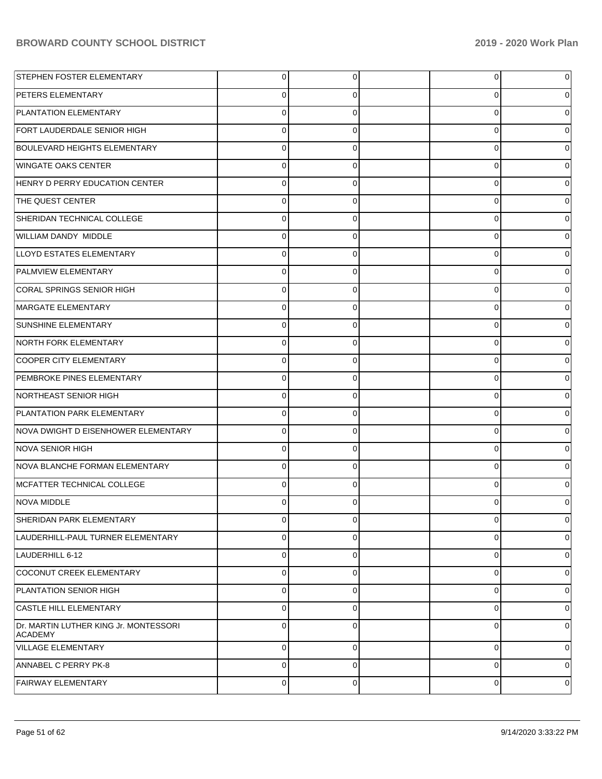| <b>STEPHEN FOSTER ELEMENTARY</b>                 | $\overline{0}$ | 0              | 0           | 0        |
|--------------------------------------------------|----------------|----------------|-------------|----------|
| PETERS ELEMENTARY                                | 0              | 0              | 0           | 0        |
| PLANTATION ELEMENTARY                            | $\mathbf 0$    | 0              | 0           | 0        |
| FORT LAUDERDALE SENIOR HIGH                      | $\Omega$       | 0              | 0           | 0        |
| <b>BOULEVARD HEIGHTS ELEMENTARY</b>              | $\mathbf 0$    | 0              | 0           | 0        |
| <b>WINGATE OAKS CENTER</b>                       | 0              | 0              | 0           | 0        |
| HENRY D PERRY EDUCATION CENTER                   | 0              | 0              | 0           | 0        |
| THE QUEST CENTER                                 | $\Omega$       | 0              | 0           | 0        |
| SHERIDAN TECHNICAL COLLEGE                       | 0              | 0              | 0           | 0        |
| WILLIAM DANDY MIDDLE                             | 0              | 0              | 0           | 0        |
| LLOYD ESTATES ELEMENTARY                         | 0              | 0              | 0           | 0        |
| PALMVIEW ELEMENTARY                              | 0              | 0              | 0           | 0        |
| CORAL SPRINGS SENIOR HIGH                        | 0              | 0              | 0           | 0        |
| MARGATE ELEMENTARY                               | $\Omega$       | 0              | 0           | 0        |
| <b>SUNSHINE ELEMENTARY</b>                       | 0              | 0              | 0           | 0        |
| NORTH FORK ELEMENTARY                            | 0              | 0              | 0           | 0        |
| COOPER CITY ELEMENTARY                           | 0              | 0              | 0           | 0        |
| PEMBROKE PINES ELEMENTARY                        | $\Omega$       | 0              | 0           | 0        |
| NORTHEAST SENIOR HIGH                            | 0              | 0              | 0           | 0        |
| PLANTATION PARK ELEMENTARY                       | 0              | 0              | 0           | 0        |
| NOVA DWIGHT D EISENHOWER ELEMENTARY              | 0              | 0              | 0           | 0        |
| NOVA SENIOR HIGH                                 | 0              | 0              | 0           | 0        |
| NOVA BLANCHE FORMAN ELEMENTARY                   | 0              | 0              | 0           | 0        |
| MCFATTER TECHNICAL COLLEGE                       | $\Omega$       | 0              | 0           | 0        |
| NOVA MIDDLE                                      |                | 0              | 0           | 0        |
| SHERIDAN PARK ELEMENTARY                         | $\overline{0}$ | $\overline{0}$ | 0           | 0        |
| LAUDERHILL-PAUL TURNER ELEMENTARY                | 0              | 0              | 0           | 0        |
| LAUDERHILL 6-12                                  | 0              | $\mathbf 0$    | 0           | 0        |
| COCONUT CREEK ELEMENTARY                         | 0              | 0              | 0           | 0        |
| PLANTATION SENIOR HIGH                           | 0              | 0              | 0           | 0        |
| <b>CASTLE HILL ELEMENTARY</b>                    | 0              | 0              | 0           | 0        |
| Dr. MARTIN LUTHER KING Jr. MONTESSORI<br>ACADEMY | $\Omega$       | 0              | 0           | 0        |
| VILLAGE ELEMENTARY                               | $\Omega$       | $\Omega$       | $\mathbf 0$ | $\Omega$ |
| ANNABEL C PERRY PK-8                             | $\Omega$       | $\Omega$       | $\mathbf 0$ | 0        |
| <b>FAIRWAY ELEMENTARY</b>                        | $\mathbf 0$    | 0              | $\mathbf 0$ | 0        |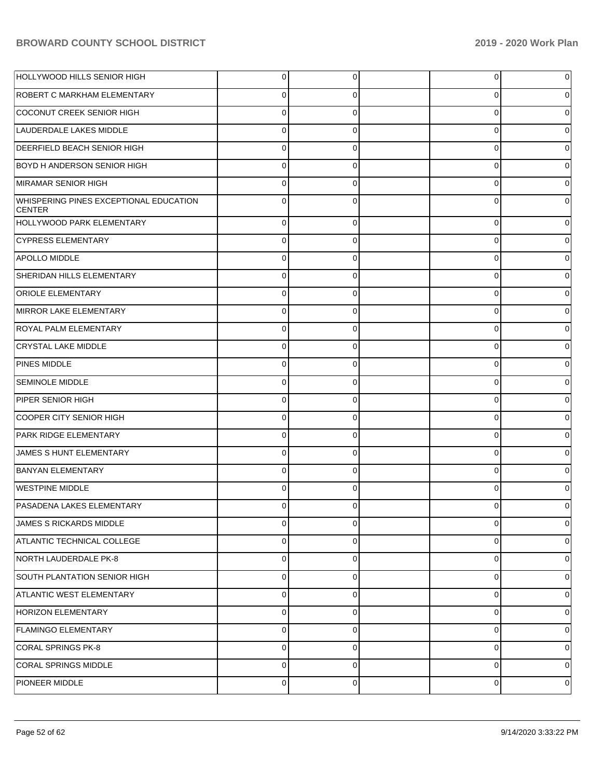| HOLLYWOOD HILLS SENIOR HIGH                             | $\overline{0}$ | 0           | 0           | 0 |
|---------------------------------------------------------|----------------|-------------|-------------|---|
| <b>ROBERT C MARKHAM ELEMENTARY</b>                      | $\Omega$       | $\Omega$    | 0           | 0 |
| COCONUT CREEK SENIOR HIGH                               | $\mathbf 0$    | 0           | $\mathbf 0$ | 0 |
| LAUDERDALE LAKES MIDDLE                                 | $\Omega$       | 0           | 0           | 0 |
| <b>DEERFIELD BEACH SENIOR HIGH</b>                      | $\Omega$       | 0           | 0           | 0 |
| <b>BOYD H ANDERSON SENIOR HIGH</b>                      | $\Omega$       | 0           | 0           | 0 |
| MIRAMAR SENIOR HIGH                                     | $\mathbf 0$    | 0           | 0           | 0 |
| WHISPERING PINES EXCEPTIONAL EDUCATION<br><b>CENTER</b> | $\Omega$       | $\Omega$    | $\Omega$    | 0 |
| HOLLYWOOD PARK ELEMENTARY                               | $\mathbf 0$    | $\Omega$    | 0           | 0 |
| <b>CYPRESS ELEMENTARY</b>                               | $\mathbf 0$    | 0           | 0           | 0 |
| <b>APOLLO MIDDLE</b>                                    | $\mathbf 0$    | $\Omega$    | 0           | o |
| SHERIDAN HILLS ELEMENTARY                               | $\mathbf 0$    | $\Omega$    | 0           | o |
| <b>ORIOLE ELEMENTARY</b>                                | $\mathbf 0$    | $\Omega$    | 0           | o |
| MIRROR LAKE ELEMENTARY                                  | $\mathbf 0$    | 0           | 0           | o |
| <b>ROYAL PALM ELEMENTARY</b>                            | $\mathbf 0$    | $\Omega$    | 0           | o |
| <b>CRYSTAL LAKE MIDDLE</b>                              | $\mathbf 0$    | $\Omega$    | 0           | 0 |
| PINES MIDDLE                                            | $\mathbf 0$    | $\Omega$    | 0           | o |
| <b>SEMINOLE MIDDLE</b>                                  | $\mathbf 0$    | 0           | 0           | o |
| PIPER SENIOR HIGH                                       | $\mathbf 0$    | $\Omega$    | 0           | 0 |
| COOPER CITY SENIOR HIGH                                 | $\mathbf 0$    | 0           | 0           | 0 |
| PARK RIDGE ELEMENTARY                                   | $\mathbf 0$    | $\Omega$    | 0           | 0 |
| JAMES S HUNT ELEMENTARY                                 | $\mathbf 0$    | 0           | 0           | 0 |
| <b>BANYAN ELEMENTARY</b>                                | $\mathbf 0$    | $\Omega$    | 0           | 0 |
| <b>WESTPINE MIDDLE</b>                                  | $\mathbf 0$    | 0           | $\Omega$    |   |
| <b>PASADENA LAKES ELEMENTARY</b>                        | 0              | 0           | 0           | 0 |
| JAMES S RICKARDS MIDDLE                                 | $\pmb{0}$      | $\mathbf 0$ | 0           | 0 |
| ATLANTIC TECHNICAL COLLEGE                              | $\pmb{0}$      | 0           | 0           | 0 |
| NORTH LAUDERDALE PK-8                                   | $\pmb{0}$      | 0           | 0           | 0 |
| SOUTH PLANTATION SENIOR HIGH                            | $\pmb{0}$      | 0           | 0           | 0 |
| <b>ATLANTIC WEST ELEMENTARY</b>                         | $\pmb{0}$      | 0           | 0           | 0 |
| <b>HORIZON ELEMENTARY</b>                               | $\pmb{0}$      | 0           | 0           | 0 |
| <b>FLAMINGO ELEMENTARY</b>                              | $\pmb{0}$      | 0           | 0           | 0 |
| CORAL SPRINGS PK-8                                      | $\pmb{0}$      | 0           | 0           | 0 |
| <b>CORAL SPRINGS MIDDLE</b>                             | $\mathsf 0$    | 0           | 0           | 0 |
| PIONEER MIDDLE                                          | $\mathbf 0$    | 0           | 0           | 0 |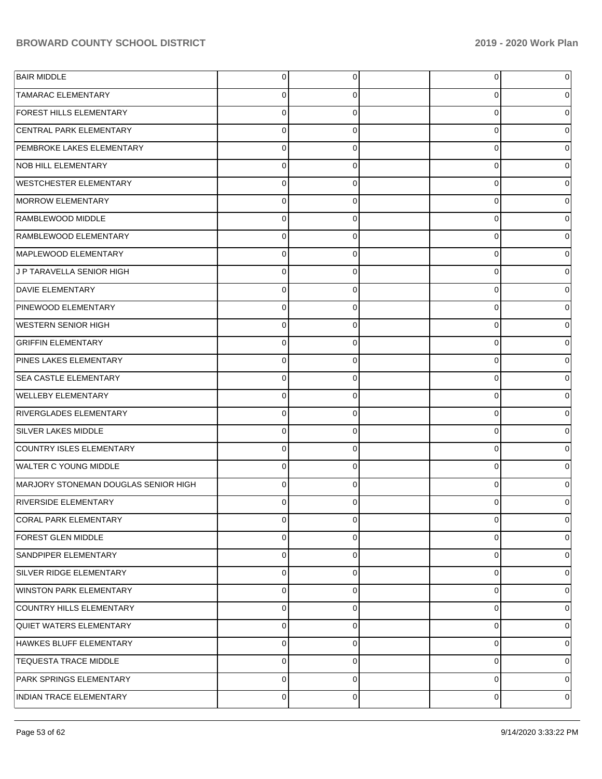| <b>BAIR MIDDLE</b>                   | $\overline{0}$ | 0              | $\overline{0}$ | 0              |
|--------------------------------------|----------------|----------------|----------------|----------------|
| <b>TAMARAC ELEMENTARY</b>            | $\Omega$       | 0              | 0              | 0              |
| FOREST HILLS ELEMENTARY              | $\Omega$       | $\Omega$       | 0              | 0              |
| CENTRAL PARK ELEMENTARY              | $\Omega$       | $\Omega$       | 0              | 0              |
| PEMBROKE LAKES ELEMENTARY            | $\Omega$       | $\Omega$       | 0              | 0              |
| <b>NOB HILL ELEMENTARY</b>           | $\Omega$       | $\Omega$       | 0              | 0              |
| <b>WESTCHESTER ELEMENTARY</b>        | $\Omega$       | $\Omega$       | 0              | 0              |
| MORROW ELEMENTARY                    | $\Omega$       | $\Omega$       | 0              | 0              |
| RAMBLEWOOD MIDDLE                    | $\Omega$       | $\Omega$       | 0              | 0              |
| RAMBLEWOOD ELEMENTARY                | $\Omega$       | $\Omega$       | 0              | 0              |
| MAPLEWOOD ELEMENTARY                 | $\Omega$       | $\Omega$       | 0              | 0              |
| J P TARAVELLA SENIOR HIGH            | $\Omega$       | $\Omega$       | 0              | 0              |
| <b>DAVIE ELEMENTARY</b>              | $\Omega$       | $\Omega$       | 0              | 0              |
| PINEWOOD ELEMENTARY                  | $\Omega$       | $\Omega$       | 0              | 0              |
| <b>WESTERN SENIOR HIGH</b>           | $\Omega$       | $\Omega$       | 0              | 0              |
| <b>GRIFFIN ELEMENTARY</b>            | $\Omega$       | $\Omega$       | 0              | 0              |
| PINES LAKES ELEMENTARY               | $\Omega$       | $\Omega$       | 0              | 0              |
| <b>SEA CASTLE ELEMENTARY</b>         | $\Omega$       | $\Omega$       | 0              | 0              |
| <b>WELLEBY ELEMENTARY</b>            | $\Omega$       | $\Omega$       | 0              | 0              |
| RIVERGLADES ELEMENTARY               | $\Omega$       | $\Omega$       | 0              | 0              |
| SILVER LAKES MIDDLE                  | $\Omega$       | $\Omega$       | 0              | 0              |
| COUNTRY ISLES ELEMENTARY             | $\Omega$       | $\Omega$       | 0              | 0              |
| WALTER C YOUNG MIDDLE                | $\Omega$       | $\Omega$       | 0              | 0              |
| MARJORY STONEMAN DOUGLAS SENIOR HIGH | $\Omega$       | $\Omega$       | 0              | 0              |
| <b>RIVERSIDE ELEMENTARY</b>          | 0              | C              | $\Omega$       | 0              |
| CORAL PARK ELEMENTARY                | $\overline{0}$ | $\overline{0}$ | $\overline{0}$ | 0              |
| <b>FOREST GLEN MIDDLE</b>            | $\mathbf 0$    | $\Omega$       | 0              | 0              |
| SANDPIPER ELEMENTARY                 | $\Omega$       | $\Omega$       | 0              | 0              |
| SILVER RIDGE ELEMENTARY              | $\Omega$       | $\Omega$       | 0              | 0              |
| <b>WINSTON PARK ELEMENTARY</b>       | $\Omega$       | $\Omega$       | 0              | 0              |
| COUNTRY HILLS ELEMENTARY             | $\mathbf 0$    | $\Omega$       | 0              | 0              |
| QUIET WATERS ELEMENTARY              | $\mathbf 0$    | $\Omega$       | 0              | 0              |
| HAWKES BLUFF ELEMENTARY              | $\mathbf 0$    | $\Omega$       | 0              | $\overline{0}$ |
| <b>TEQUESTA TRACE MIDDLE</b>         | $\Omega$       | $\Omega$       | 0              | 0              |
| PARK SPRINGS ELEMENTARY              | $\Omega$       | $\Omega$       | 0              | 0              |
| INDIAN TRACE ELEMENTARY              | $\mathbf 0$    | 0              | 0              | 0              |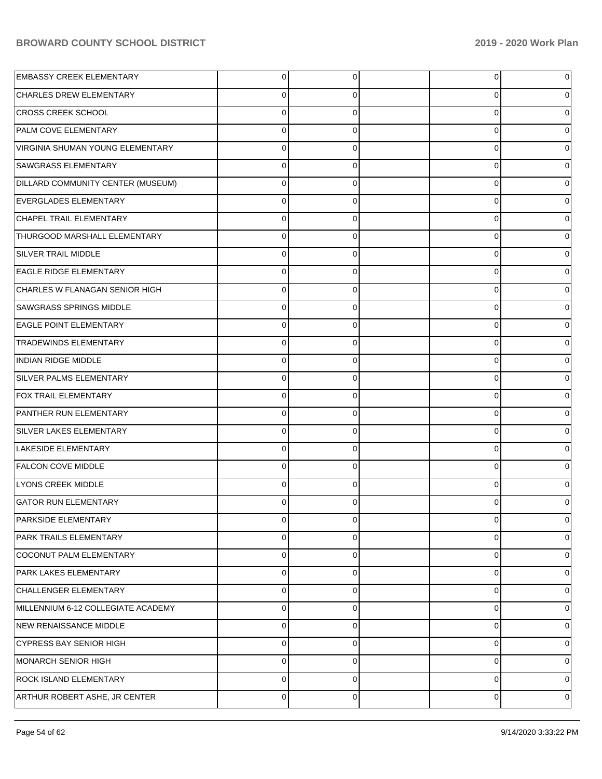| <b>EMBASSY CREEK ELEMENTARY</b>    | 0        | 0 | $\overline{0}$ |          |
|------------------------------------|----------|---|----------------|----------|
| <b>CHARLES DREW ELEMENTARY</b>     | 0        | O | 0              |          |
| <b>CROSS CREEK SCHOOL</b>          | $\Omega$ | 0 | 0              |          |
| <b>PALM COVE ELEMENTARY</b>        | $\Omega$ | 0 | 0              |          |
| VIRGINIA SHUMAN YOUNG ELEMENTARY   | $\Omega$ | 0 | 0              |          |
| <b>SAWGRASS ELEMENTARY</b>         | $\Omega$ | 0 | 0              |          |
| DILLARD COMMUNITY CENTER (MUSEUM)  | $\Omega$ | 0 | 0              |          |
| EVERGLADES ELEMENTARY              | $\Omega$ | 0 | 0              |          |
| CHAPEL TRAIL ELEMENTARY            | $\Omega$ | 0 | 0              |          |
| THURGOOD MARSHALL ELEMENTARY       | $\Omega$ | 0 | 0              |          |
| <b>SILVER TRAIL MIDDLE</b>         | $\Omega$ | 0 | 0              |          |
| <b>EAGLE RIDGE ELEMENTARY</b>      | $\Omega$ | 0 | 0              |          |
| CHARLES W FLANAGAN SENIOR HIGH     | $\Omega$ | 0 | 0              |          |
| <b>SAWGRASS SPRINGS MIDDLE</b>     | $\Omega$ | 0 | 0              |          |
| <b>EAGLE POINT ELEMENTARY</b>      | $\Omega$ | 0 | 0              |          |
| <b>TRADEWINDS ELEMENTARY</b>       | $\Omega$ | 0 | 0              |          |
| <b>INDIAN RIDGE MIDDLE</b>         | $\Omega$ | 0 | 0              |          |
| <b>SILVER PALMS ELEMENTARY</b>     | $\Omega$ | 0 | 0              |          |
| <b>FOX TRAIL ELEMENTARY</b>        | $\Omega$ |   | 0              |          |
| PANTHER RUN ELEMENTARY             | $\Omega$ | 0 | 0              |          |
| SILVER LAKES ELEMENTARY            | $\Omega$ | 0 | 0              |          |
| LAKESIDE ELEMENTARY                | $\Omega$ | 0 | 0              |          |
| <b>FALCON COVE MIDDLE</b>          | $\Omega$ |   | 0              |          |
| <b>LYONS CREEK MIDDLE</b>          | $\Omega$ | 0 | 0              |          |
| <b>GATOR RUN ELEMENTARY</b>        | O        |   | 0              |          |
| PARKSIDE ELEMENTARY                | 0        | 0 | $\overline{0}$ | 0        |
| <b>PARK TRAILS ELEMENTARY</b>      | 0        | 0 | 0              | 0        |
| COCONUT PALM ELEMENTARY            | 0        | 0 | 0              | $\Omega$ |
| PARK LAKES ELEMENTARY              | 0        | 0 | 0              | 0        |
| CHALLENGER ELEMENTARY              | 0        | 0 | 0              | 0        |
| MILLENNIUM 6-12 COLLEGIATE ACADEMY | 0        | 0 | 0              | 0        |
| NEW RENAISSANCE MIDDLE             | 0        | 0 | 0              | 0        |
| <b>CYPRESS BAY SENIOR HIGH</b>     | 0        | 0 | 0              | 0        |
| MONARCH SENIOR HIGH                | 0        | 0 | 0              | 0        |
| <b>ROCK ISLAND ELEMENTARY</b>      | 0        | 0 | 0              | 0        |
| ARTHUR ROBERT ASHE, JR CENTER      | 0        | 0 | $\mathbf 0$    | 0        |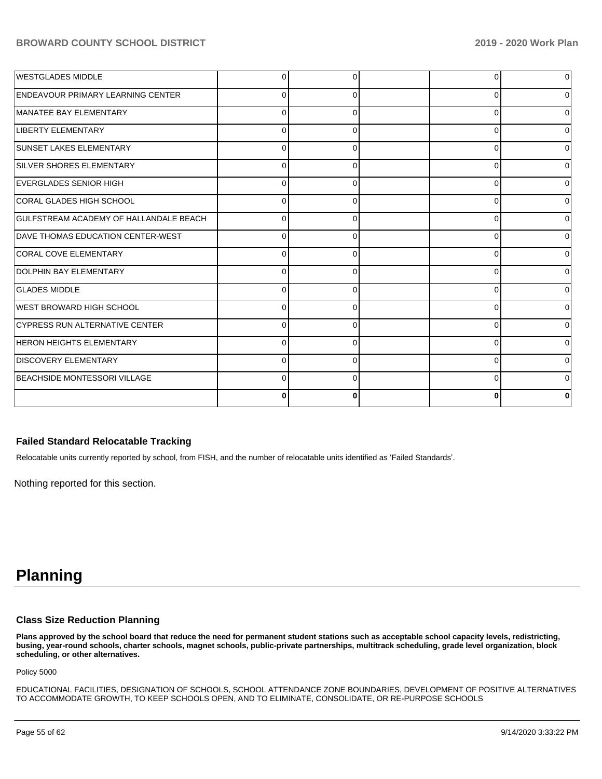| <b>WESTGLADES MIDDLE</b>                 | <sup>0</sup> |              |          | $\overline{0}$ |
|------------------------------------------|--------------|--------------|----------|----------------|
| <b>ENDEAVOUR PRIMARY LEARNING CENTER</b> | <sup>0</sup> |              |          | $\Omega$       |
| MANATEE BAY ELEMENTARY                   | $\Omega$     |              |          | $\overline{0}$ |
| <b>LIBERTY ELEMENTARY</b>                | $\Omega$     |              |          | $\Omega$       |
| <b>SUNSET LAKES ELEMENTARY</b>           | $\Omega$     |              |          | $\Omega$       |
| <b>SILVER SHORES ELEMENTARY</b>          | $\Omega$     | ∩            |          | $\Omega$       |
| <b>EVERGLADES SENIOR HIGH</b>            | $\Omega$     | $\Omega$     | ∩        | 0              |
| CORAL GLADES HIGH SCHOOL                 | $\Omega$     | $\Omega$     | $\Omega$ | 0              |
| GULFSTREAM ACADEMY OF HALLANDALE BEACH   | $\Omega$     | $\Omega$     | O        | 0              |
| DAVE THOMAS EDUCATION CENTER-WEST        | $\Omega$     | $\Omega$     | U        | $\overline{0}$ |
| CORAL COVE ELEMENTARY                    | $\Omega$     | $\Omega$     | $\Omega$ | $\Omega$       |
| <b>DOLPHIN BAY ELEMENTARY</b>            | $\Omega$     | ∩            | ∩        | $\Omega$       |
| <b>GLADES MIDDLE</b>                     | $\Omega$     | ∩            | ∩        | $\Omega$       |
| WEST BROWARD HIGH SCHOOL                 | $\Omega$     | <sup>n</sup> | ∩        | $\Omega$       |
| <b>CYPRESS RUN ALTERNATIVE CENTER</b>    | $\Omega$     | ∩            | n        | $\Omega$       |
| <b>HERON HEIGHTS ELEMENTARY</b>          | $\Omega$     | $\Omega$     | ∩        | Οl             |
| <b>DISCOVERY ELEMENTARY</b>              | $\Omega$     | $\Omega$     | 0        | 01             |
| BEACHSIDE MONTESSORI VILLAGE             | $\Omega$     | ∩            | ∩        | $\Omega$       |
|                                          | 0            |              |          | 0              |

#### **Failed Standard Relocatable Tracking**

Relocatable units currently reported by school, from FISH, and the number of relocatable units identified as 'Failed Standards'.

Nothing reported for this section.

# **Planning**

#### **Class Size Reduction Planning**

**Plans approved by the school board that reduce the need for permanent student stations such as acceptable school capacity levels, redistricting, busing, year-round schools, charter schools, magnet schools, public-private partnerships, multitrack scheduling, grade level organization, block scheduling, or other alternatives.**

Policy 5000

EDUCATIONAL FACILITIES, DESIGNATION OF SCHOOLS, SCHOOL ATTENDANCE ZONE BOUNDARIES, DEVELOPMENT OF POSITIVE ALTERNATIVES TO ACCOMMODATE GROWTH, TO KEEP SCHOOLS OPEN, AND TO ELIMINATE, CONSOLIDATE, OR RE-PURPOSE SCHOOLS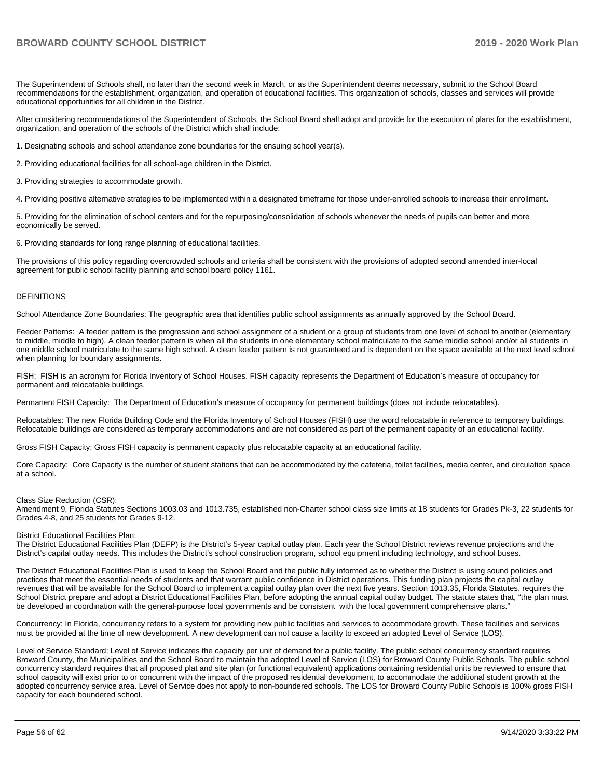The Superintendent of Schools shall, no later than the second week in March, or as the Superintendent deems necessary, submit to the School Board recommendations for the establishment, organization, and operation of educational facilities. This organization of schools, classes and services will provide educational opportunities for all children in the District.

After considering recommendations of the Superintendent of Schools, the School Board shall adopt and provide for the execution of plans for the establishment, organization, and operation of the schools of the District which shall include:

1. Designating schools and school attendance zone boundaries for the ensuing school year(s).

2. Providing educational facilities for all school-age children in the District.

3. Providing strategies to accommodate growth.

4. Providing positive alternative strategies to be implemented within a designated timeframe for those under-enrolled schools to increase their enrollment.

5. Providing for the elimination of school centers and for the repurposing/consolidation of schools whenever the needs of pupils can better and more economically be served.

6. Providing standards for long range planning of educational facilities.

The provisions of this policy regarding overcrowded schools and criteria shall be consistent with the provisions of adopted second amended inter-local agreement for public school facility planning and school board policy 1161.

#### DEFINITIONS

School Attendance Zone Boundaries: The geographic area that identifies public school assignments as annually approved by the School Board.

Feeder Patterns: A feeder pattern is the progression and school assignment of a student or a group of students from one level of school to another (elementary to middle, middle to high). A clean feeder pattern is when all the students in one elementary school matriculate to the same middle school and/or all students in one middle school matriculate to the same high school. A clean feeder pattern is not guaranteed and is dependent on the space available at the next level school when planning for boundary assignments.

FISH: FISH is an acronym for Florida Inventory of School Houses. FISH capacity represents the Department of Education's measure of occupancy for permanent and relocatable buildings.

Permanent FISH Capacity: The Department of Education's measure of occupancy for permanent buildings (does not include relocatables).

Relocatables: The new Florida Building Code and the Florida Inventory of School Houses (FISH) use the word relocatable in reference to temporary buildings. Relocatable buildings are considered as temporary accommodations and are not considered as part of the permanent capacity of an educational facility.

Gross FISH Capacity: Gross FISH capacity is permanent capacity plus relocatable capacity at an educational facility.

Core Capacity: Core Capacity is the number of student stations that can be accommodated by the cafeteria, toilet facilities, media center, and circulation space at a school.

#### Class Size Reduction (CSR):

Amendment 9, Florida Statutes Sections 1003.03 and 1013.735, established non-Charter school class size limits at 18 students for Grades Pk-3, 22 students for Grades 4-8, and 25 students for Grades 9-12.

#### District Educational Facilities Plan:

The District Educational Facilities Plan (DEFP) is the District's 5-year capital outlay plan. Each year the School District reviews revenue projections and the District's capital outlay needs. This includes the District's school construction program, school equipment including technology, and school buses.

The District Educational Facilities Plan is used to keep the School Board and the public fully informed as to whether the District is using sound policies and practices that meet the essential needs of students and that warrant public confidence in District operations. This funding plan projects the capital outlay revenues that will be available for the School Board to implement a capital outlay plan over the next five years. Section 1013.35, Florida Statutes, requires the School District prepare and adopt a District Educational Facilities Plan, before adopting the annual capital outlay budget. The statute states that, "the plan must be developed in coordination with the general-purpose local governments and be consistent with the local government comprehensive plans."

Concurrency: In Florida, concurrency refers to a system for providing new public facilities and services to accommodate growth. These facilities and services must be provided at the time of new development. A new development can not cause a facility to exceed an adopted Level of Service (LOS).

Level of Service Standard: Level of Service indicates the capacity per unit of demand for a public facility. The public school concurrency standard requires Broward County, the Municipalities and the School Board to maintain the adopted Level of Service (LOS) for Broward County Public Schools. The public school concurrency standard requires that all proposed plat and site plan (or functional equivalent) applications containing residential units be reviewed to ensure that school capacity will exist prior to or concurrent with the impact of the proposed residential development, to accommodate the additional student growth at the adopted concurrency service area. Level of Service does not apply to non-boundered schools. The LOS for Broward County Public Schools is 100% gross FISH capacity for each boundered school.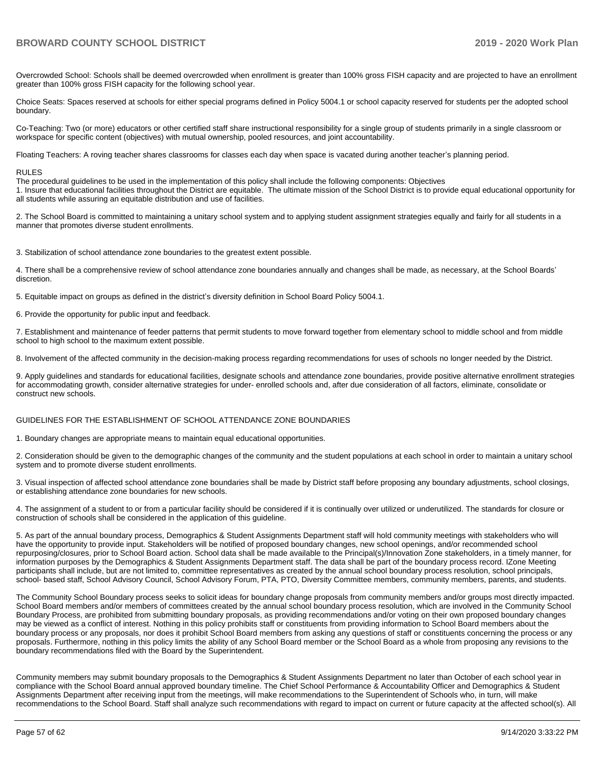Overcrowded School: Schools shall be deemed overcrowded when enrollment is greater than 100% gross FISH capacity and are projected to have an enrollment greater than 100% gross FISH capacity for the following school year.

Choice Seats: Spaces reserved at schools for either special programs defined in Policy 5004.1 or school capacity reserved for students per the adopted school boundary.

Co-Teaching: Two (or more) educators or other certified staff share instructional responsibility for a single group of students primarily in a single classroom or workspace for specific content (objectives) with mutual ownership, pooled resources, and joint accountability.

Floating Teachers: A roving teacher shares classrooms for classes each day when space is vacated during another teacher's planning period.

#### RULES

The procedural guidelines to be used in the implementation of this policy shall include the following components: Objectives 1. Insure that educational facilities throughout the District are equitable. The ultimate mission of the School District is to provide equal educational opportunity for all students while assuring an equitable distribution and use of facilities.

2. The School Board is committed to maintaining a unitary school system and to applying student assignment strategies equally and fairly for all students in a manner that promotes diverse student enrollments.

3. Stabilization of school attendance zone boundaries to the greatest extent possible.

4. There shall be a comprehensive review of school attendance zone boundaries annually and changes shall be made, as necessary, at the School Boards' discretion.

5. Equitable impact on groups as defined in the district's diversity definition in School Board Policy 5004.1.

6. Provide the opportunity for public input and feedback.

7. Establishment and maintenance of feeder patterns that permit students to move forward together from elementary school to middle school and from middle school to high school to the maximum extent possible.

8. Involvement of the affected community in the decision-making process regarding recommendations for uses of schools no longer needed by the District.

9. Apply guidelines and standards for educational facilities, designate schools and attendance zone boundaries, provide positive alternative enrollment strategies for accommodating growth, consider alternative strategies for under- enrolled schools and, after due consideration of all factors, eliminate, consolidate or construct new schools.

#### GUIDELINES FOR THE ESTABLISHMENT OF SCHOOL ATTENDANCE ZONE BOUNDARIES

1. Boundary changes are appropriate means to maintain equal educational opportunities.

2. Consideration should be given to the demographic changes of the community and the student populations at each school in order to maintain a unitary school system and to promote diverse student enrollments.

3. Visual inspection of affected school attendance zone boundaries shall be made by District staff before proposing any boundary adjustments, school closings, or establishing attendance zone boundaries for new schools.

4. The assignment of a student to or from a particular facility should be considered if it is continually over utilized or underutilized. The standards for closure or construction of schools shall be considered in the application of this guideline.

5. As part of the annual boundary process, Demographics & Student Assignments Department staff will hold community meetings with stakeholders who will have the opportunity to provide input. Stakeholders will be notified of proposed boundary changes, new school openings, and/or recommended school repurposing/closures, prior to School Board action. School data shall be made available to the Principal(s)/Innovation Zone stakeholders, in a timely manner, for information purposes by the Demographics & Student Assignments Department staff. The data shall be part of the boundary process record. IZone Meeting participants shall include, but are not limited to, committee representatives as created by the annual school boundary process resolution, school principals, school- based staff, School Advisory Council, School Advisory Forum, PTA, PTO, Diversity Committee members, community members, parents, and students.

The Community School Boundary process seeks to solicit ideas for boundary change proposals from community members and/or groups most directly impacted. School Board members and/or members of committees created by the annual school boundary process resolution, which are involved in the Community School Boundary Process, are prohibited from submitting boundary proposals, as providing recommendations and/or voting on their own proposed boundary changes may be viewed as a conflict of interest. Nothing in this policy prohibits staff or constituents from providing information to School Board members about the boundary process or any proposals, nor does it prohibit School Board members from asking any questions of staff or constituents concerning the process or any proposals. Furthermore, nothing in this policy limits the ability of any School Board member or the School Board as a whole from proposing any revisions to the boundary recommendations filed with the Board by the Superintendent.

Community members may submit boundary proposals to the Demographics & Student Assignments Department no later than October of each school year in compliance with the School Board annual approved boundary timeline. The Chief School Performance & Accountability Officer and Demographics & Student Assignments Department after receiving input from the meetings, will make recommendations to the Superintendent of Schools who, in turn, will make recommendations to the School Board. Staff shall analyze such recommendations with regard to impact on current or future capacity at the affected school(s). All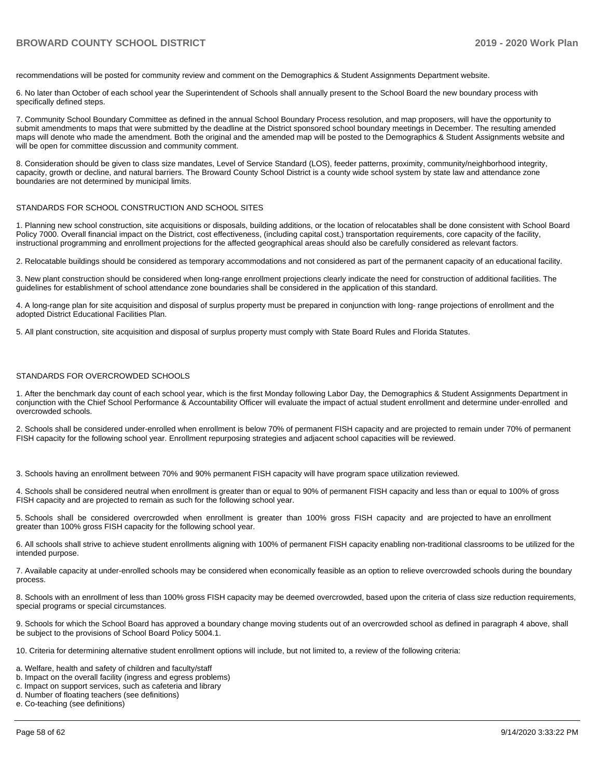recommendations will be posted for community review and comment on the Demographics & Student Assignments Department website.

6. No later than October of each school year the Superintendent of Schools shall annually present to the School Board the new boundary process with specifically defined steps.

7. Community School Boundary Committee as defined in the annual School Boundary Process resolution, and map proposers, will have the opportunity to submit amendments to maps that were submitted by the deadline at the District sponsored school boundary meetings in December. The resulting amended maps will denote who made the amendment. Both the original and the amended map will be posted to the Demographics & Student Assignments website and will be open for committee discussion and community comment.

8. Consideration should be given to class size mandates, Level of Service Standard (LOS), feeder patterns, proximity, community/neighborhood integrity, capacity, growth or decline, and natural barriers. The Broward County School District is a county wide school system by state law and attendance zone boundaries are not determined by municipal limits.

#### STANDARDS FOR SCHOOL CONSTRUCTION AND SCHOOL SITES

1. Planning new school construction, site acquisitions or disposals, building additions, or the location of relocatables shall be done consistent with School Board Policy 7000. Overall financial impact on the District, cost effectiveness, (including capital cost,) transportation requirements, core capacity of the facility, instructional programming and enrollment projections for the affected geographical areas should also be carefully considered as relevant factors.

2. Relocatable buildings should be considered as temporary accommodations and not considered as part of the permanent capacity of an educational facility.

3. New plant construction should be considered when long-range enrollment projections clearly indicate the need for construction of additional facilities. The guidelines for establishment of school attendance zone boundaries shall be considered in the application of this standard.

4. A long-range plan for site acquisition and disposal of surplus property must be prepared in conjunction with long- range projections of enrollment and the adopted District Educational Facilities Plan.

5. All plant construction, site acquisition and disposal of surplus property must comply with State Board Rules and Florida Statutes.

#### STANDARDS FOR OVERCROWDED SCHOOLS

1. After the benchmark day count of each school year, which is the first Monday following Labor Day, the Demographics & Student Assignments Department in conjunction with the Chief School Performance & Accountability Officer will evaluate the impact of actual student enrollment and determine under-enrolled and overcrowded schools.

2. Schools shall be considered under-enrolled when enrollment is below 70% of permanent FISH capacity and are projected to remain under 70% of permanent FISH capacity for the following school year. Enrollment repurposing strategies and adjacent school capacities will be reviewed.

3. Schools having an enrollment between 70% and 90% permanent FISH capacity will have program space utilization reviewed.

4. Schools shall be considered neutral when enrollment is greater than or equal to 90% of permanent FISH capacity and less than or equal to 100% of gross FISH capacity and are projected to remain as such for the following school year.

5. Schools shall be considered overcrowded when enrollment is greater than 100% gross FISH capacity and are projected to have an enrollment greater than 100% gross FISH capacity for the following school year.

6. All schools shall strive to achieve student enrollments aligning with 100% of permanent FISH capacity enabling non-traditional classrooms to be utilized for the intended purpose.

7. Available capacity at under-enrolled schools may be considered when economically feasible as an option to relieve overcrowded schools during the boundary process.

8. Schools with an enrollment of less than 100% gross FISH capacity may be deemed overcrowded, based upon the criteria of class size reduction requirements, special programs or special circumstances.

9. Schools for which the School Board has approved a boundary change moving students out of an overcrowded school as defined in paragraph 4 above, shall be subject to the provisions of School Board Policy 5004.1.

10. Criteria for determining alternative student enrollment options will include, but not limited to, a review of the following criteria:

a. Welfare, health and safety of children and faculty/staff

- b. Impact on the overall facility (ingress and egress problems)
- c. Impact on support services, such as cafeteria and library
- d. Number of floating teachers (see definitions)

e. Co-teaching (see definitions)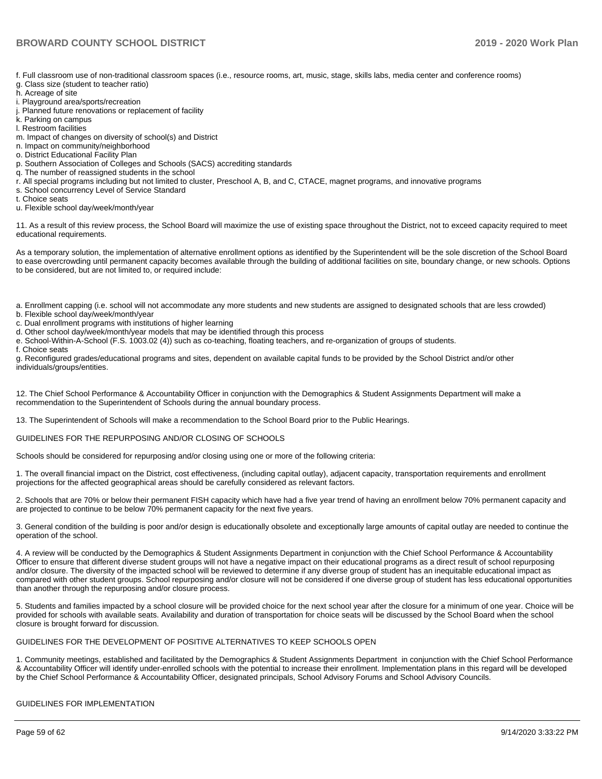f. Full classroom use of non-traditional classroom spaces (i.e., resource rooms, art, music, stage, skills labs, media center and conference rooms)

- g. Class size (student to teacher ratio)
- h. Acreage of site
- i. Playground area/sports/recreation
- j. Planned future renovations or replacement of facility
- k. Parking on campus
- l. Restroom facilities
- m. Impact of changes on diversity of school(s) and District
- n. Impact on community/neighborhood
- o. District Educational Facility Plan
- p. Southern Association of Colleges and Schools (SACS) accrediting standards
- q. The number of reassigned students in the school
- r. All special programs including but not limited to cluster, Preschool A, B, and C, CTACE, magnet programs, and innovative programs s. School concurrency Level of Service Standard
- t. Choice seats
- u. Flexible school day/week/month/year

11. As a result of this review process, the School Board will maximize the use of existing space throughout the District, not to exceed capacity required to meet educational requirements.

As a temporary solution, the implementation of alternative enrollment options as identified by the Superintendent will be the sole discretion of the School Board to ease overcrowding until permanent capacity becomes available through the building of additional facilities on site, boundary change, or new schools. Options to be considered, but are not limited to, or required include:

a. Enrollment capping (i.e. school will not accommodate any more students and new students are assigned to designated schools that are less crowded)

- b. Flexible school day/week/month/year
- c. Dual enrollment programs with institutions of higher learning
- d. Other school day/week/month/year models that may be identified through this process
- e. School-Within-A-School (F.S. 1003.02 (4)) such as co-teaching, floating teachers, and re-organization of groups of students.
- f. Choice seats

g. Reconfigured grades/educational programs and sites, dependent on available capital funds to be provided by the School District and/or other individuals/groups/entities.

12. The Chief School Performance & Accountability Officer in conjunction with the Demographics & Student Assignments Department will make a recommendation to the Superintendent of Schools during the annual boundary process.

13. The Superintendent of Schools will make a recommendation to the School Board prior to the Public Hearings.

#### GUIDELINES FOR THE REPURPOSING AND/OR CLOSING OF SCHOOLS

Schools should be considered for repurposing and/or closing using one or more of the following criteria:

1. The overall financial impact on the District, cost effectiveness, (including capital outlay), adjacent capacity, transportation requirements and enrollment projections for the affected geographical areas should be carefully considered as relevant factors.

2. Schools that are 70% or below their permanent FISH capacity which have had a five year trend of having an enrollment below 70% permanent capacity and are projected to continue to be below 70% permanent capacity for the next five years.

3. General condition of the building is poor and/or design is educationally obsolete and exceptionally large amounts of capital outlay are needed to continue the operation of the school.

4. A review will be conducted by the Demographics & Student Assignments Department in conjunction with the Chief School Performance & Accountability Officer to ensure that different diverse student groups will not have a negative impact on their educational programs as a direct result of school repurposing and/or closure. The diversity of the impacted school will be reviewed to determine if any diverse group of student has an inequitable educational impact as compared with other student groups. School repurposing and/or closure will not be considered if one diverse group of student has less educational opportunities than another through the repurposing and/or closure process.

5. Students and families impacted by a school closure will be provided choice for the next school year after the closure for a minimum of one year. Choice will be provided for schools with available seats. Availability and duration of transportation for choice seats will be discussed by the School Board when the school closure is brought forward for discussion.

#### GUIDELINES FOR THE DEVELOPMENT OF POSITIVE ALTERNATIVES TO KEEP SCHOOLS OPEN

1. Community meetings, established and facilitated by the Demographics & Student Assignments Department in conjunction with the Chief School Performance & Accountability Officer will identify under-enrolled schools with the potential to increase their enrollment. Implementation plans in this regard will be developed by the Chief School Performance & Accountability Officer, designated principals, School Advisory Forums and School Advisory Councils.

#### GUIDELINES FOR IMPLEMENTATION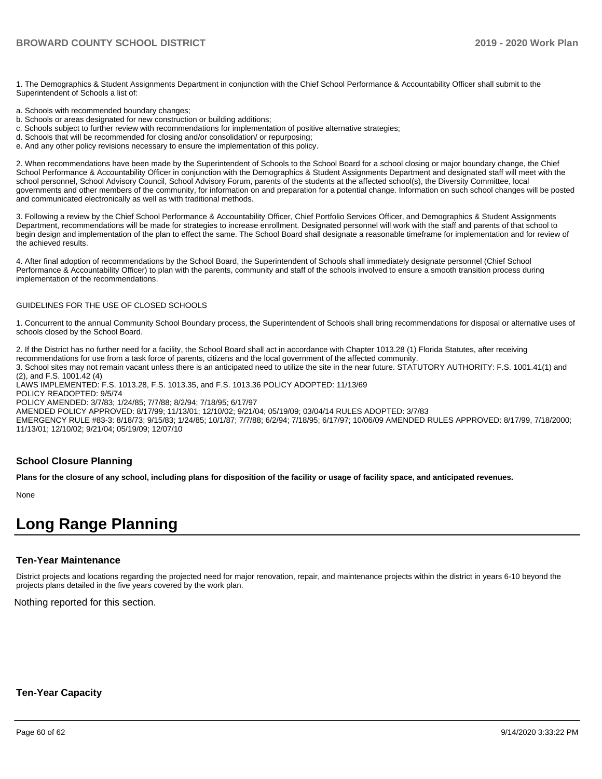1. The Demographics & Student Assignments Department in conjunction with the Chief School Performance & Accountability Officer shall submit to the Superintendent of Schools a list of:

- a. Schools with recommended boundary changes;
- b. Schools or areas designated for new construction or building additions;
- c. Schools subject to further review with recommendations for implementation of positive alternative strategies;
- d. Schools that will be recommended for closing and/or consolidation/ or repurposing;
- e. And any other policy revisions necessary to ensure the implementation of this policy.

2. When recommendations have been made by the Superintendent of Schools to the School Board for a school closing or major boundary change, the Chief School Performance & Accountability Officer in conjunction with the Demographics & Student Assignments Department and designated staff will meet with the school personnel, School Advisory Council, School Advisory Forum, parents of the students at the affected school(s), the Diversity Committee, local governments and other members of the community, for information on and preparation for a potential change. Information on such school changes will be posted and communicated electronically as well as with traditional methods.

3. Following a review by the Chief School Performance & Accountability Officer, Chief Portfolio Services Officer, and Demographics & Student Assignments Department, recommendations will be made for strategies to increase enrollment. Designated personnel will work with the staff and parents of that school to begin design and implementation of the plan to effect the same. The School Board shall designate a reasonable timeframe for implementation and for review of the achieved results.

4. After final adoption of recommendations by the School Board, the Superintendent of Schools shall immediately designate personnel (Chief School Performance & Accountability Officer) to plan with the parents, community and staff of the schools involved to ensure a smooth transition process during implementation of the recommendations.

#### GUIDELINES FOR THE USE OF CLOSED SCHOOLS

1. Concurrent to the annual Community School Boundary process, the Superintendent of Schools shall bring recommendations for disposal or alternative uses of schools closed by the School Board.

2. If the District has no further need for a facility, the School Board shall act in accordance with Chapter 1013.28 (1) Florida Statutes, after receiving recommendations for use from a task force of parents, citizens and the local government of the affected community. 3. School sites may not remain vacant unless there is an anticipated need to utilize the site in the near future. STATUTORY AUTHORITY: F.S. 1001.41(1) and (2), and F.S. 1001.42 (4) LAWS IMPLEMENTED: F.S. 1013.28, F.S. 1013.35, and F.S. 1013.36 POLICY ADOPTED: 11/13/69 POLICY READOPTED: 9/5/74 POLICY AMENDED: 3/7/83; 1/24/85; 7/7/88; 8/2/94; 7/18/95; 6/17/97 AMENDED POLICY APPROVED: 8/17/99; 11/13/01; 12/10/02; 9/21/04; 05/19/09; 03/04/14 RULES ADOPTED: 3/7/83

EMERGENCY RULE #83-3: 8/18/73; 9/15/83; 1/24/85; 10/1/87; 7/7/88; 6/2/94; 7/18/95; 6/17/97; 10/06/09 AMENDED RULES APPROVED: 8/17/99, 7/18/2000; 11/13/01; 12/10/02; 9/21/04; 05/19/09; 12/07/10

#### **School Closure Planning**

**Plans for the closure of any school, including plans for disposition of the facility or usage of facility space, and anticipated revenues.** 

None

# **Long Range Planning**

#### **Ten-Year Maintenance**

District projects and locations regarding the projected need for major renovation, repair, and maintenance projects within the district in years 6-10 beyond the projects plans detailed in the five years covered by the work plan.

Nothing reported for this section.

#### **Ten-Year Capacity**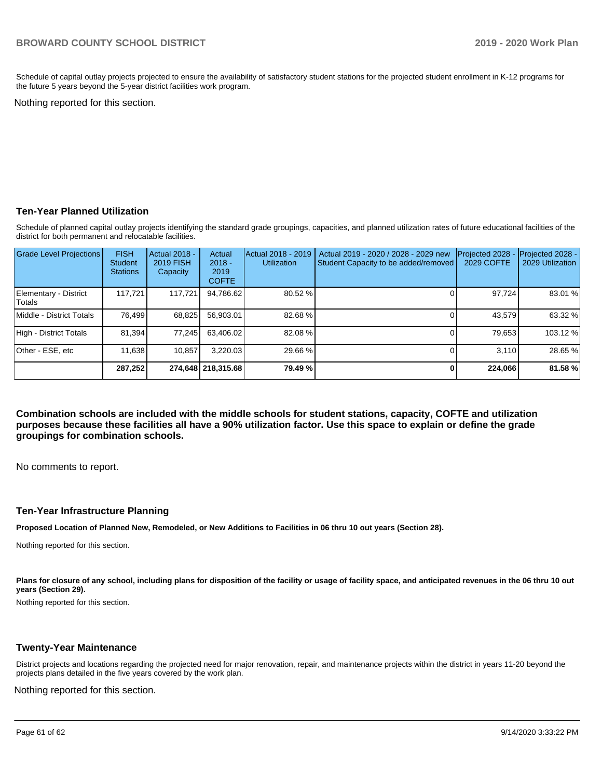Schedule of capital outlay projects projected to ensure the availability of satisfactory student stations for the projected student enrollment in K-12 programs for the future 5 years beyond the 5-year district facilities work program.

Nothing reported for this section.

### **Ten-Year Planned Utilization**

Schedule of planned capital outlay projects identifying the standard grade groupings, capacities, and planned utilization rates of future educational facilities of the district for both permanent and relocatable facilities.

| <b>Grade Level Projections</b>   | <b>FISH</b><br><b>Student</b><br><b>Stations</b> | Actual 2018 -<br><b>2019 FISH</b><br>Capacity | Actual<br>$2018 -$<br>2019<br><b>COFTE</b> | Actual 2018 - 2019<br><b>Utilization</b> | Actual 2019 - 2020 / 2028 - 2029 new<br>Student Capacity to be added/removed | Projected 2028<br>2029 COFTE | Projected 2028 -<br>2029 Utilization |
|----------------------------------|--------------------------------------------------|-----------------------------------------------|--------------------------------------------|------------------------------------------|------------------------------------------------------------------------------|------------------------------|--------------------------------------|
| Elementary - District<br> Totals | 117.721                                          | 117,721                                       | 94,786.62                                  | 80.52 %                                  |                                                                              | 97,724                       | 83.01 %                              |
| Middle - District Totals         | 76.499                                           | 68,825                                        | 56,903.01                                  | 82.68%                                   |                                                                              | 43,579                       | 63.32 %                              |
| High - District Totals           | 81.394                                           | 77.245                                        | 63.406.02                                  | 82.08 %                                  |                                                                              | 79,653                       | 103.12 %                             |
| Other - ESE, etc                 | 11,638                                           | 10.857                                        | 3.220.03                                   | 29.66 %                                  |                                                                              | 3.110                        | 28.65 %                              |
|                                  | 287,252                                          |                                               | 274,648   218,315.68                       | 79.49 %                                  |                                                                              | 224,066                      | 81.58%                               |

**Combination schools are included with the middle schools for student stations, capacity, COFTE and utilization purposes because these facilities all have a 90% utilization factor. Use this space to explain or define the grade groupings for combination schools.** 

No comments to report.

#### **Ten-Year Infrastructure Planning**

**Proposed Location of Planned New, Remodeled, or New Additions to Facilities in 06 thru 10 out years (Section 28).**

Nothing reported for this section.

Plans for closure of any school, including plans for disposition of the facility or usage of facility space, and anticipated revenues in the 06 thru 10 out **years (Section 29).**

Nothing reported for this section.

#### **Twenty-Year Maintenance**

District projects and locations regarding the projected need for major renovation, repair, and maintenance projects within the district in years 11-20 beyond the projects plans detailed in the five years covered by the work plan.

Nothing reported for this section.